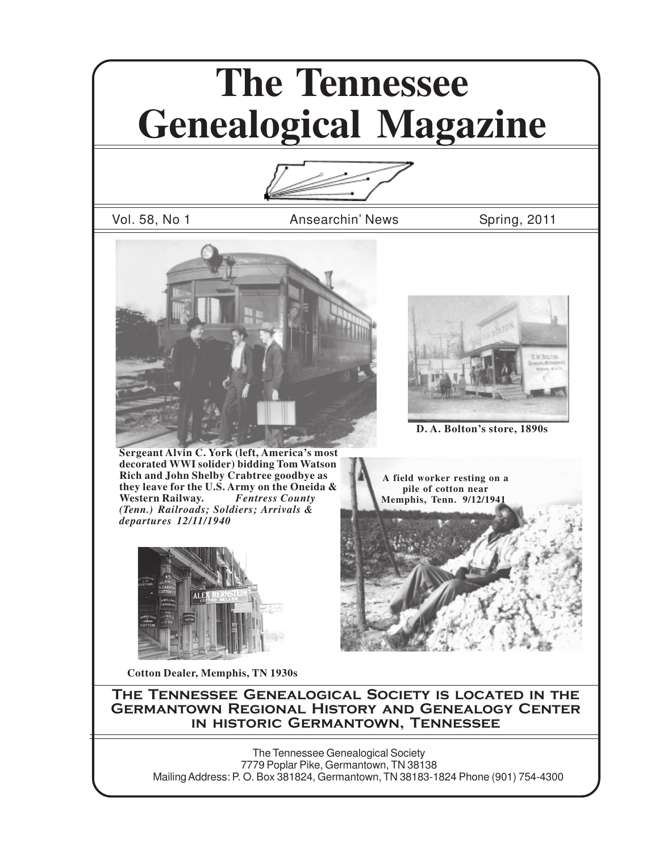# **The Tennessee Genealogical Magazine**

Vol. 58, No 1 **Ansearchin' News** Spring, 2011



**Sergeant Alvin C. York (left, America's most decorated WWI solider) bidding Tom Watson Rich and John Shelby Crabtree goodbye as they leave for the U.S. Army on the Oneida & Western Railway.** *(Tenn.) Railroads; Soldiers; Arrivals & departures 12/11/1940*



**Cotton Dealer, Memphis, TN 1930s**



**D. A. Bolton's store, 1890s**

**A field worker resting on a pile of cotton near Memphis, Tenn. 9/12/194** 



The Tennessee Genealogical Society is located in the Germantown Regional History and Genealogy Center in historic Germantown, Tennessee

The Tennessee Genealogical Society 7779 Poplar Pike, Germantown, TN 38138 Mailing Address: P. O. Box 381824, Germantown, TN 38183-1824 Phone (901) 754-4300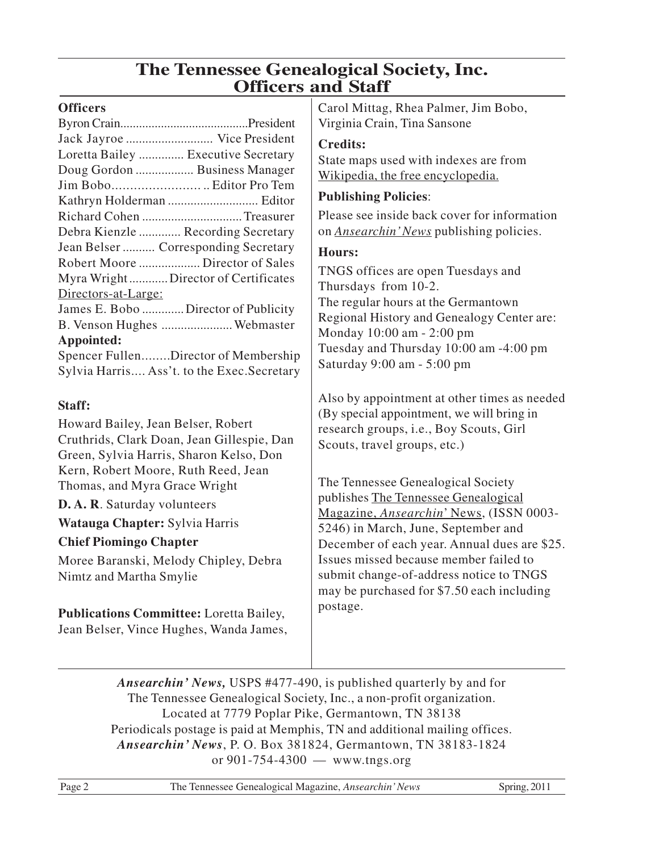# **The Tennessee Genealogical Society, Inc. Officers and Staff**

#### **Officers**

| Jack Jayroe  Vice President          |                                             |
|--------------------------------------|---------------------------------------------|
| Loretta Bailey  Executive Secretary  |                                             |
| Doug Gordon  Business Manager        |                                             |
| Jim Bobo Editor Pro Tem              |                                             |
|                                      |                                             |
| Richard Cohen Treasurer              |                                             |
| Debra Kienzle  Recording Secretary   |                                             |
| Jean Belser  Corresponding Secretary |                                             |
| Robert Moore  Director of Sales      |                                             |
| Myra WrightDirector of Certificates  |                                             |
| Directors-at-Large:                  |                                             |
| James E. Bobo  Director of Publicity |                                             |
| B. Venson Hughes  Webmaster          |                                             |
| Appointed:                           |                                             |
|                                      | Spencer FullenDirector of Membership        |
|                                      | Sylvia Harris Ass't. to the Exec. Secretary |
|                                      |                                             |

#### **Staff:**

Howard Bailey, Jean Belser, Robert Cruthrids, Clark Doan, Jean Gillespie, Dan Green, Sylvia Harris, Sharon Kelso, Don Kern, Robert Moore, Ruth Reed, Jean Thomas, and Myra Grace Wright

**D. A. R**. Saturday volunteers

**Watauga Chapter:** Sylvia Harris

#### **Chief Piomingo Chapter**

Moree Baranski, Melody Chipley, Debra Nimtz and Martha Smylie

**Publications Committee:** Loretta Bailey, Jean Belser, Vince Hughes, Wanda James, Carol Mittag, Rhea Palmer, Jim Bobo, Virginia Crain, Tina Sansone

#### **Credits:**

State maps used with indexes are from Wikipedia, the free encyclopedia.

#### **Publishing Policies**:

Please see inside back cover for information on *Ansearchin' News* publishing policies.

#### **Hours:**

TNGS offices are open Tuesdays and Thursdays from 10-2. The regular hours at the Germantown Regional History and Genealogy Center are: Monday 10:00 am - 2:00 pm Tuesday and Thursday 10:00 am -4:00 pm Saturday 9:00 am - 5:00 pm

Also by appointment at other times as needed (By special appointment, we will bring in research groups, i.e., Boy Scouts, Girl Scouts, travel groups, etc.)

The Tennessee Genealogical Society publishes The Tennessee Genealogical Magazine, *Ansearchin*' News, (ISSN 0003- 5246) in March, June, September and December of each year. Annual dues are \$25. Issues missed because member failed to submit change-of-address notice to TNGS may be purchased for \$7.50 each including postage.

*Ansearchin' News,* USPS #477-490, is published quarterly by and for The Tennessee Genealogical Society, Inc., a non-profit organization. Located at 7779 Poplar Pike, Germantown, TN 38138 Periodicals postage is paid at Memphis, TN and additional mailing offices. *Ansearchin' News*, P. O. Box 381824, Germantown, TN 38183-1824 or 901-754-4300 — www.tngs.org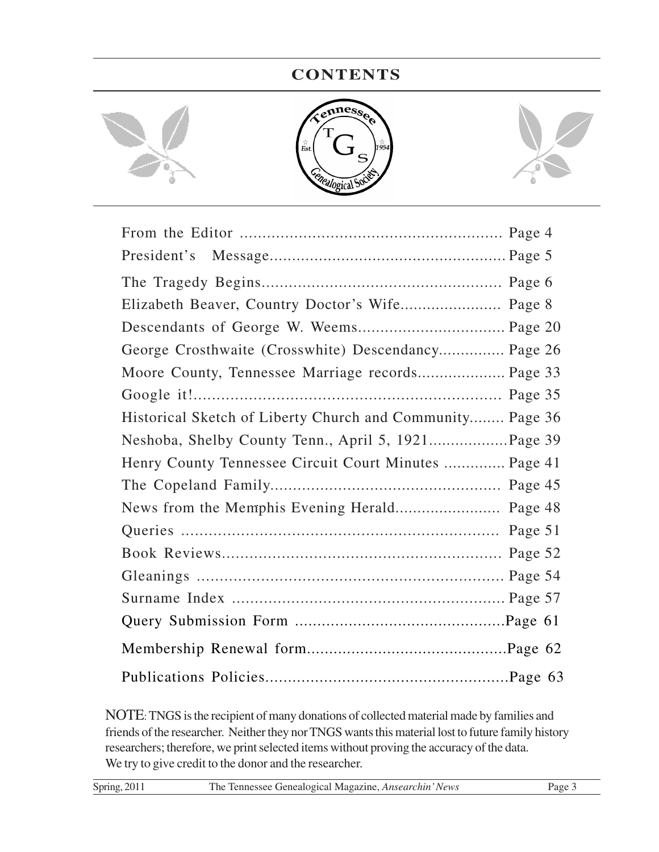### **CONTENTS**



| Elizabeth Beaver, Country Doctor's Wife Page 8            |
|-----------------------------------------------------------|
|                                                           |
| George Crosthwaite (Crosswhite) Descendancy Page 26       |
| Moore County, Tennessee Marriage records Page 33          |
|                                                           |
| Historical Sketch of Liberty Church and Community Page 36 |
|                                                           |
| Henry County Tennessee Circuit Court Minutes  Page 41     |
|                                                           |
|                                                           |
|                                                           |
|                                                           |
|                                                           |
|                                                           |
|                                                           |
|                                                           |
|                                                           |

NOTE: TNGS is the recipient of many donations of collected material made by families and friends of the researcher. Neither they nor TNGS wants this material lost to future family history researchers; therefore, we print selected items without proving the accuracy of the data. We try to give credit to the donor and the researcher.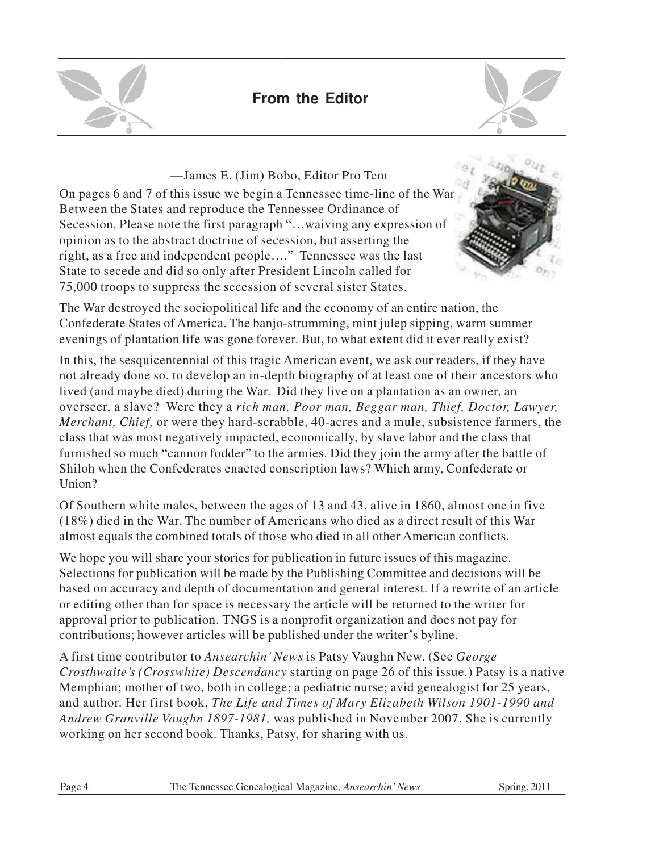

# **From the Editor**



On pages 6 and 7 of this issue we begin a Tennessee time-line of the War Between the States and reproduce the Tennessee Ordinance of Secession. Please note the first paragraph "…waiving any expression of opinion as to the abstract doctrine of secession, but asserting the right, as a free and independent people…." Tennessee was the last State to secede and did so only after President Lincoln called for 75,000 troops to suppress the secession of several sister States. —James E. (Jim) Bobo, Editor Pro Tem



The War destroyed the sociopolitical life and the economy of an entire nation, the Confederate States of America. The banjo-strumming, mint julep sipping, warm summer evenings of plantation life was gone forever. But, to what extent did it ever really exist?

In this, the sesquicentennial of this tragic American event, we ask our readers, if they have not already done so, to develop an in-depth biography of at least one of their ancestors who lived (and maybe died) during the War. Did they live on a plantation as an owner, an overseer, a slave? Were they a *rich man, Poor man, Beggar man, Thief, Doctor, Lawyer, Merchant, Chief,* or were they hard-scrabble, 40-acres and a mule, subsistence farmers, the class that was most negatively impacted, economically, by slave labor and the class that furnished so much "cannon fodder" to the armies. Did they join the army after the battle of Shiloh when the Confederates enacted conscription laws? Which army, Confederate or Union?

Of Southern white males, between the ages of 13 and 43, alive in 1860, almost one in five (18%) died in the War. The number of Americans who died as a direct result of this War almost equals the combined totals of those who died in all other American conflicts.

We hope you will share your stories for publication in future issues of this magazine. Selections for publication will be made by the Publishing Committee and decisions will be based on accuracy and depth of documentation and general interest. If a rewrite of an article or editing other than for space is necessary the article will be returned to the writer for approval prior to publication. TNGS is a nonprofit organization and does not pay for contributions; however articles will be published under the writer's byline.

A first time contributor to *Ansearchin' News* is Patsy Vaughn New. (See *George Crosthwaite's (Crosswhite) Descendancy* starting on page 26 of this issue.) Patsy is a native Memphian; mother of two, both in college; a pediatric nurse; avid genealogist for 25 years, and author. Her first book, *The Life and Times of Mary Elizabeth Wilson 1901-1990 and Andrew Granville Vaughn 1897-1981,* was published in November 2007. She is currently working on her second book. Thanks, Patsy, for sharing with us.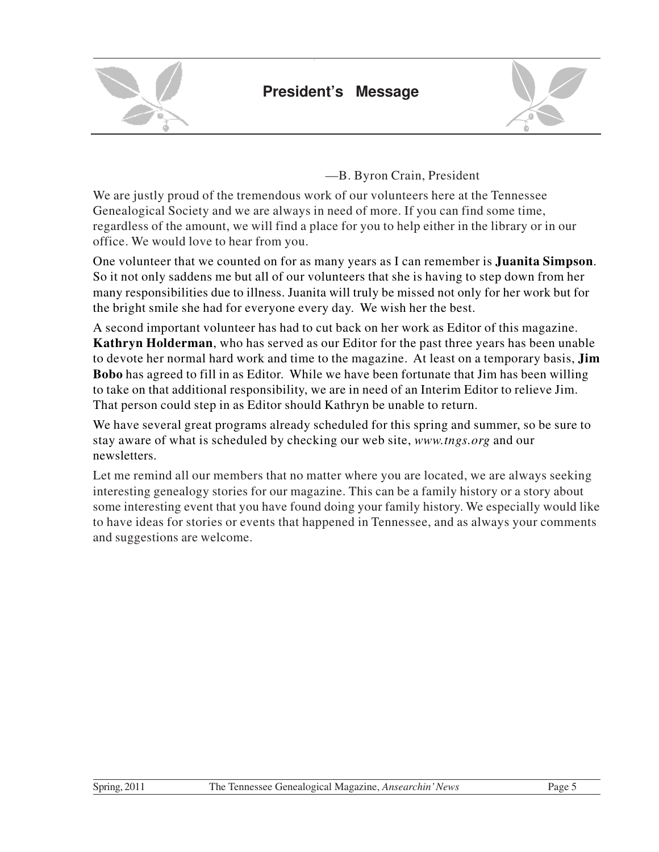



—B. Byron Crain, President

We are justly proud of the tremendous work of our volunteers here at the Tennessee Genealogical Society and we are always in need of more. If you can find some time, regardless of the amount, we will find a place for you to help either in the library or in our office. We would love to hear from you.

One volunteer that we counted on for as many years as I can remember is **Juanita Simpson**. So it not only saddens me but all of our volunteers that she is having to step down from her many responsibilities due to illness. Juanita will truly be missed not only for her work but for the bright smile she had for everyone every day. We wish her the best.

A second important volunteer has had to cut back on her work as Editor of this magazine. **Kathryn Holderman**, who has served as our Editor for the past three years has been unable to devote her normal hard work and time to the magazine. At least on a temporary basis, **Jim Bobo** has agreed to fill in as Editor. While we have been fortunate that Jim has been willing to take on that additional responsibility, we are in need of an Interim Editor to relieve Jim. That person could step in as Editor should Kathryn be unable to return.

We have several great programs already scheduled for this spring and summer, so be sure to stay aware of what is scheduled by checking our web site, *www.tngs.org* and our newsletters.

Let me remind all our members that no matter where you are located, we are always seeking interesting genealogy stories for our magazine. This can be a family history or a story about some interesting event that you have found doing your family history. We especially would like to have ideas for stories or events that happened in Tennessee, and as always your comments and suggestions are welcome.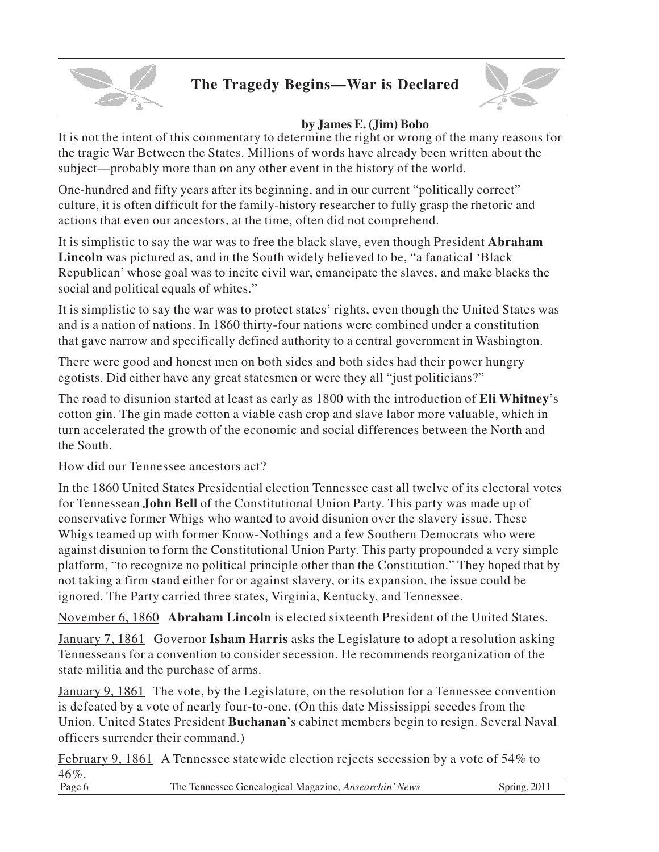

# **The Tragedy Begins—War is Declared**



#### **by James E. (Jim) Bobo**

It is not the intent of this commentary to determine the right or wrong of the many reasons for the tragic War Between the States. Millions of words have already been written about the subject—probably more than on any other event in the history of the world.

One-hundred and fifty years after its beginning, and in our current "politically correct" culture, it is often difficult for the family-history researcher to fully grasp the rhetoric and actions that even our ancestors, at the time, often did not comprehend.

It is simplistic to say the war was to free the black slave, even though President **Abraham Lincoln** was pictured as, and in the South widely believed to be, "a fanatical 'Black Republican' whose goal was to incite civil war, emancipate the slaves, and make blacks the social and political equals of whites."

It is simplistic to say the war was to protect states' rights, even though the United States was and is a nation of nations. In 1860 thirty-four nations were combined under a constitution that gave narrow and specifically defined authority to a central government in Washington.

There were good and honest men on both sides and both sides had their power hungry egotists. Did either have any great statesmen or were they all "just politicians?"

The road to disunion started at least as early as 1800 with the introduction of **Eli Whitney**'s cotton gin. The gin made cotton a viable cash crop and slave labor more valuable, which in turn accelerated the growth of the economic and social differences between the North and the South.

How did our Tennessee ancestors act?

In the 1860 United States Presidential election Tennessee cast all twelve of its electoral votes for Tennessean **John Bell** of the Constitutional Union Party. This party was made up of conservative former Whigs who wanted to avoid disunion over the slavery issue. These Whigs teamed up with former Know-Nothings and a few Southern Democrats who were against disunion to form the Constitutional Union Party. This party propounded a very simple platform, "to recognize no political principle other than the Constitution." They hoped that by not taking a firm stand either for or against slavery, or its expansion, the issue could be ignored. The Party carried three states, Virginia, Kentucky, and Tennessee.

November 6, 1860 **Abraham Lincoln** is elected sixteenth President of the United States.

January 7, 1861 Governor **Isham Harris** asks the Legislature to adopt a resolution asking Tennesseans for a convention to consider secession. He recommends reorganization of the state militia and the purchase of arms.

January 9, 1861 The vote, by the Legislature, on the resolution for a Tennessee convention is defeated by a vote of nearly four-to-one. (On this date Mississippi secedes from the Union. United States President **Buchanan**'s cabinet members begin to resign. Several Naval officers surrender their command.)

February 9, 1861 A Tennessee statewide election rejects secession by a vote of 54% to 46%.

| .<br>Page | <i>L</i> Tennessee Genealogical Magazine, <i>Ansearchin' News</i><br>ne. |  |
|-----------|--------------------------------------------------------------------------|--|
|           |                                                                          |  |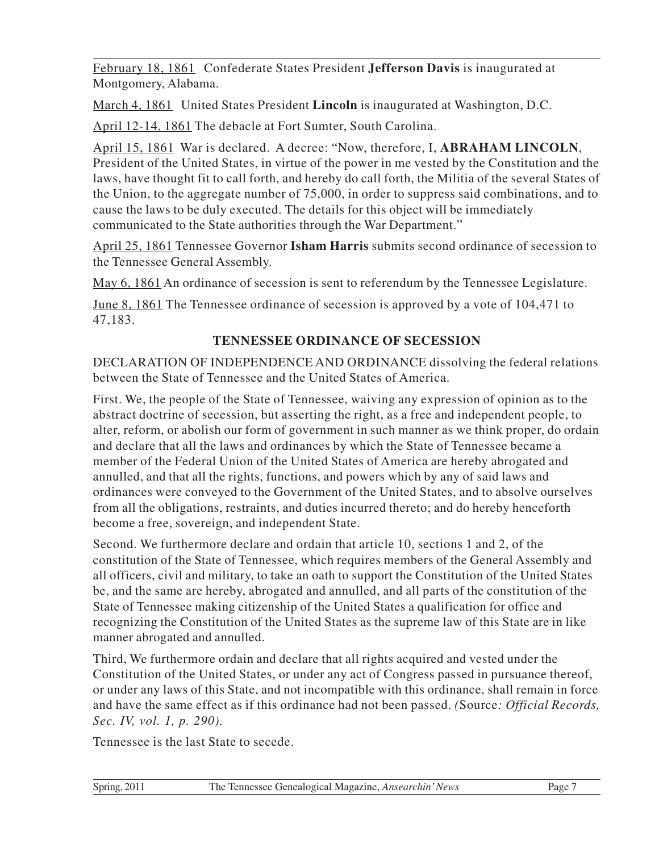February 18, 1861 Confederate States President **Jefferson Davis** is inaugurated at Montgomery, Alabama.

March 4, 1861 United States President **Lincoln** is inaugurated at Washington, D.C.

April 12-14, 1861 The debacle at Fort Sumter, South Carolina.

April 15, 1861 War is declared. A decree: "Now, therefore, I, **ABRAHAM LINCOLN**, President of the United States, in virtue of the power in me vested by the Constitution and the laws, have thought fit to call forth, and hereby do call forth, the Militia of the several States of the Union, to the aggregate number of 75,000, in order to suppress said combinations, and to cause the laws to be duly executed. The details for this object will be immediately communicated to the State authorities through the War Department."

April 25, 1861 Tennessee Governor **Isham Harris** submits second ordinance of secession to the Tennessee General Assembly.

May 6, 1861 An ordinance of secession is sent to referendum by the Tennessee Legislature.

June 8, 1861 The Tennessee ordinance of secession is approved by a vote of 104,471 to 47,183.

#### **TENNESSEE ORDINANCE OF SECESSION**

DECLARATION OF INDEPENDENCE AND ORDINANCE dissolving the federal relations between the State of Tennessee and the United States of America.

First. We, the people of the State of Tennessee, waiving any expression of opinion as to the abstract doctrine of secession, but asserting the right, as a free and independent people, to alter, reform, or abolish our form of government in such manner as we think proper, do ordain and declare that all the laws and ordinances by which the State of Tennessee became a member of the Federal Union of the United States of America are hereby abrogated and annulled, and that all the rights, functions, and powers which by any of said laws and ordinances were conveyed to the Government of the United States, and to absolve ourselves from all the obligations, restraints, and duties incurred thereto; and do hereby henceforth become a free, sovereign, and independent State.

Second. We furthermore declare and ordain that article 10, sections 1 and 2, of the constitution of the State of Tennessee, which requires members of the General Assembly and all officers, civil and military, to take an oath to support the Constitution of the United States be, and the same are hereby, abrogated and annulled, and all parts of the constitution of the State of Tennessee making citizenship of the United States a qualification for office and recognizing the Constitution of the United States as the supreme law of this State are in like manner abrogated and annulled.

Third, We furthermore ordain and declare that all rights acquired and vested under the Constitution of the United States, or under any act of Congress passed in pursuance thereof, or under any laws of this State, and not incompatible with this ordinance, shall remain in force and have the same effect as if this ordinance had not been passed. *(*Source*: Official Records, Sec. IV, vol. 1, p. 290).*

Tennessee is the last State to secede.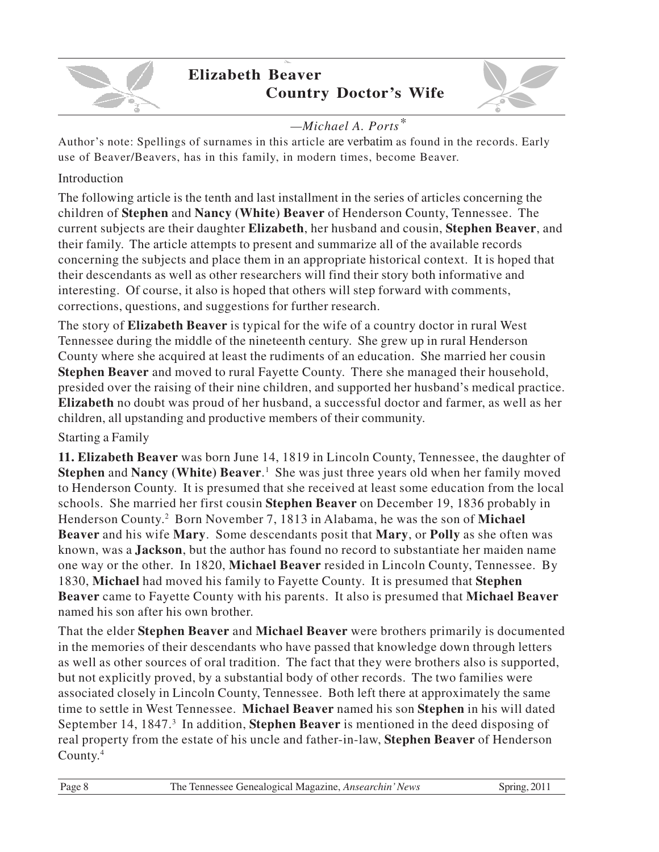

# **Elizabeth Beaver Country Doctor's Wife**



#### *—Michael A. Ports\**

Author's note: Spellings of surnames in this article are verbatim as found in the records. Early use of Beaver/Beavers, has in this family, in modern times, become Beaver.

#### Introduction

The following article is the tenth and last installment in the series of articles concerning the children of **Stephen** and **Nancy (White) Beaver** of Henderson County, Tennessee. The current subjects are their daughter **Elizabeth**, her husband and cousin, **Stephen Beaver**, and their family. The article attempts to present and summarize all of the available records concerning the subjects and place them in an appropriate historical context. It is hoped that their descendants as well as other researchers will find their story both informative and interesting. Of course, it also is hoped that others will step forward with comments, corrections, questions, and suggestions for further research.

The story of **Elizabeth Beaver** is typical for the wife of a country doctor in rural West Tennessee during the middle of the nineteenth century. She grew up in rural Henderson County where she acquired at least the rudiments of an education. She married her cousin **Stephen Beaver** and moved to rural Fayette County. There she managed their household, presided over the raising of their nine children, and supported her husband's medical practice. **Elizabeth** no doubt was proud of her husband, a successful doctor and farmer, as well as her children, all upstanding and productive members of their community.

#### Starting a Family

**11. Elizabeth Beaver** was born June 14, 1819 in Lincoln County, Tennessee, the daughter of **Stephen** and **Nancy (White) Beaver**. 1 She was just three years old when her family moved to Henderson County. It is presumed that she received at least some education from the local schools. She married her first cousin **Stephen Beaver** on December 19, 1836 probably in Henderson County. 2 Born November 7, 1813 in Alabama, he was the son of **Michael Beaver** and his wife **Mary**. Some descendants posit that **Mary**, or **Polly** as she often was known, was a **Jackson**, but the author has found no record to substantiate her maiden name one way or the other. In 1820, **Michael Beaver** resided in Lincoln County, Tennessee. By 1830, **Michael** had moved his family to Fayette County. It is presumed that **Stephen Beaver** came to Fayette County with his parents. It also is presumed that **Michael Beaver** named his son after his own brother.

That the elder **Stephen Beaver** and **Michael Beaver** were brothers primarily is documented in the memories of their descendants who have passed that knowledge down through letters as well as other sources of oral tradition. The fact that they were brothers also is supported, but not explicitly proved, by a substantial body of other records. The two families were associated closely in Lincoln County, Tennessee. Both left there at approximately the same time to settle in West Tennessee. **Michael Beaver** named his son **Stephen** in his will dated September 14, 1847.<sup>3</sup> In addition, **Stephen Beaver** is mentioned in the deed disposing of real property from the estate of his uncle and father-in-law, **Stephen Beaver** of Henderson County. 4

| Page 8 | The Tennessee Genealogical Magazine, Ansearchin' News | Spring, 2011 |
|--------|-------------------------------------------------------|--------------|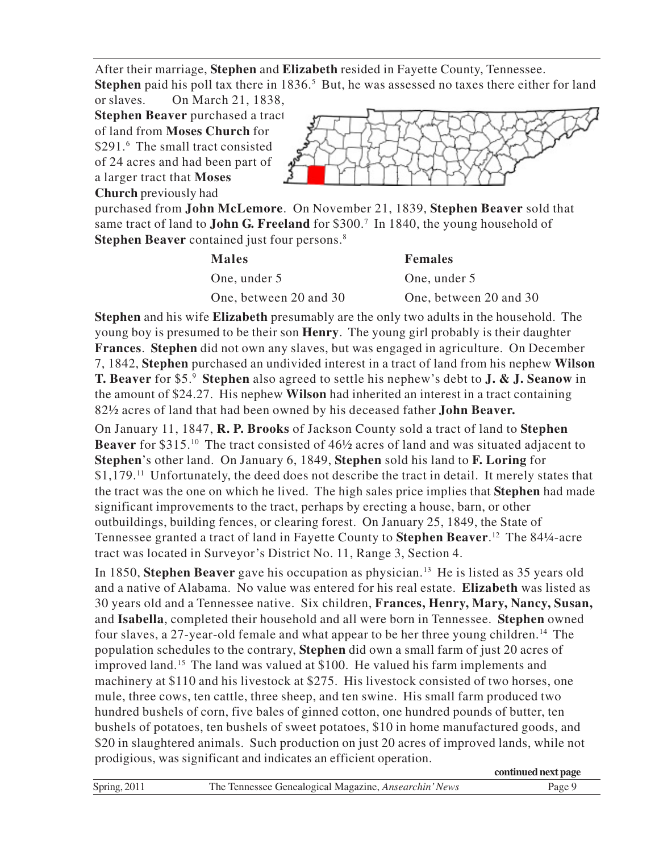After their marriage, **Stephen** and **Elizabeth** resided in Fayette County, Tennessee.

**Stephen** paid his poll tax there in 1836.<sup>5</sup> But, he was assessed no taxes there either for land or slaves. On March 21, 1838,

**Stephen Beaver** purchased a tract of land from **Moses Church** for \$291.<sup>6</sup> The small tract consisted of 24 acres and had been part of a larger tract that **Moses Church** previously had



purchased from **John McLemore**. On November 21, 1839, **Stephen Beaver** sold that same tract of land to **John G. Freeland** for \$300.<sup>7</sup> In 1840, the young household of **Stephen Beaver** contained just four persons.<sup>8</sup>

| <b>Males</b>           | <b>Females</b>         |
|------------------------|------------------------|
| One, under 5           | One, under 5           |
| One, between 20 and 30 | One, between 20 and 30 |

**Stephen** and his wife **Elizabeth** presumably are the only two adults in the household. The young boy is presumed to be their son **Henry**. The young girl probably is their daughter **Frances**. **Stephen** did not own any slaves, but was engaged in agriculture. On December 7, 1842, **Stephen** purchased an undivided interest in a tract of land from his nephew **Wilson T. Beaver** for \$5.<sup>9</sup> **Stephen** also agreed to settle his nephew's debt to **J. & J. Seanow** in the amount of \$24.27. His nephew **Wilson** had inherited an interest in a tract containing 82½ acres of land that had been owned by his deceased father **John Beaver.**

On January 11, 1847, **R. P. Brooks** of Jackson County sold a tract of land to **Stephen Beaver** for \$315.<sup>10</sup> The tract consisted of 46½ acres of land and was situated adjacent to **Stephen**'s other land. On January 6, 1849, **Stephen** sold his land to **F. Loring** for \$1,179.<sup>11</sup> Unfortunately, the deed does not describe the tract in detail. It merely states that the tract was the one on which he lived. The high sales price implies that **Stephen** had made significant improvements to the tract, perhaps by erecting a house, barn, or other outbuildings, building fences, or clearing forest. On January 25, 1849, the State of Tennessee granted a tract of land in Fayette County to **Stephen Beaver**. 12 The 84¼-acre tract was located in Surveyor's District No. 11, Range 3, Section 4.

In 1850, **Stephen Beaver** gave his occupation as physician.<sup>13</sup> He is listed as 35 years old and a native of Alabama. No value was entered for his real estate. **Elizabeth** was listed as 30 years old and a Tennessee native. Six children, **Frances, Henry, Mary, Nancy, Susan,** and **Isabella**, completed their household and all were born in Tennessee. **Stephen** owned four slaves, a 27-year-old female and what appear to be her three young children.<sup>14</sup> The population schedules to the contrary, **Stephen** did own a small farm of just 20 acres of improved land.<sup>15</sup> The land was valued at \$100. He valued his farm implements and machinery at \$110 and his livestock at \$275. His livestock consisted of two horses, one mule, three cows, ten cattle, three sheep, and ten swine. His small farm produced two hundred bushels of corn, five bales of ginned cotton, one hundred pounds of butter, ten bushels of potatoes, ten bushels of sweet potatoes, \$10 in home manufactured goods, and \$20 in slaughtered animals. Such production on just 20 acres of improved lands, while not prodigious, was significant and indicates an efficient operation.

|                |                                                       | continued next page         |
|----------------|-------------------------------------------------------|-----------------------------|
| Spring, $2011$ | The Tennessee Genealogical Magazine, Ansearchin' News | $v_{\text{age}}\mathcal{G}$ |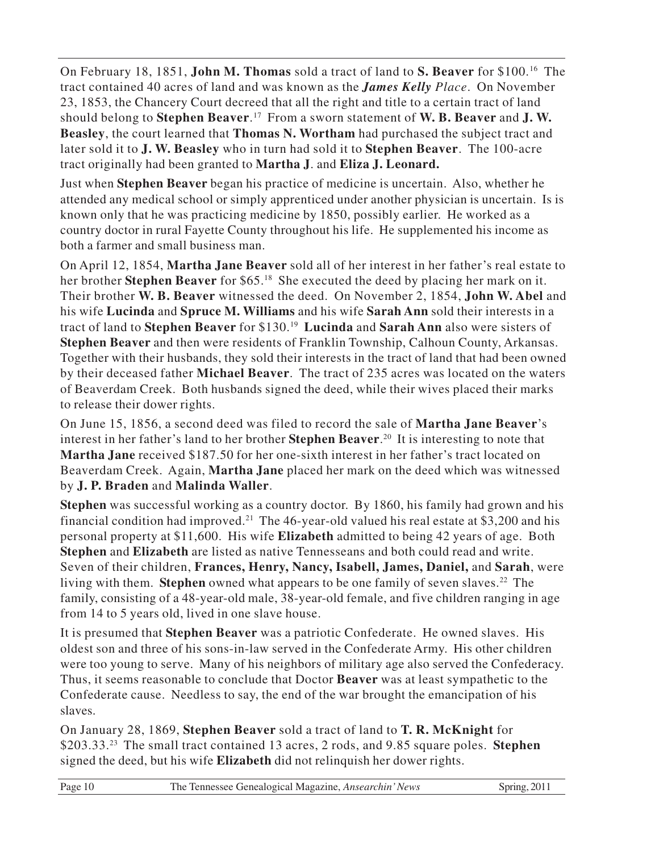On February 18, 1851, **John M. Thomas** sold a tract of land to **S. Beaver** for \$100.<sup>16</sup> The tract contained 40 acres of land and was known as the *James Kelly Place*. On November 23, 1853, the Chancery Court decreed that all the right and title to a certain tract of land should belong to **Stephen Beaver**. <sup>17</sup> From a sworn statement of **W. B. Beaver** and **J. W. Beasley**, the court learned that **Thomas N. Wortham** had purchased the subject tract and later sold it to **J. W. Beasley** who in turn had sold it to **Stephen Beaver**. The 100-acre tract originally had been granted to **Martha J**. and **Eliza J. Leonard.**

Just when **Stephen Beaver** began his practice of medicine is uncertain. Also, whether he attended any medical school or simply apprenticed under another physician is uncertain. Is is known only that he was practicing medicine by 1850, possibly earlier. He worked as a country doctor in rural Fayette County throughout his life. He supplemented his income as both a farmer and small business man.

On April 12, 1854, **Martha Jane Beaver** sold all of her interest in her father's real estate to her brother **Stephen Beaver** for \$65.<sup>18</sup> She executed the deed by placing her mark on it. Their brother **W. B. Beaver** witnessed the deed. On November 2, 1854, **John W. Abel** and his wife **Lucinda** and **Spruce M. Williams** and his wife **Sarah Ann** sold their interests in a tract of land to **Stephen Beaver** for \$130.<sup>19</sup> **Lucinda** and **Sarah Ann** also were sisters of **Stephen Beaver** and then were residents of Franklin Township, Calhoun County, Arkansas. Together with their husbands, they sold their interests in the tract of land that had been owned by their deceased father **Michael Beaver**. The tract of 235 acres was located on the waters of Beaverdam Creek. Both husbands signed the deed, while their wives placed their marks to release their dower rights.

On June 15, 1856, a second deed was filed to record the sale of **Martha Jane Beaver**'s interest in her father's land to her brother **Stephen Beaver**. <sup>20</sup> It is interesting to note that **Martha Jane** received \$187.50 for her one-sixth interest in her father's tract located on Beaverdam Creek. Again, **Martha Jane** placed her mark on the deed which was witnessed by **J. P. Braden** and **Malinda Waller**.

**Stephen** was successful working as a country doctor. By 1860, his family had grown and his financial condition had improved.<sup>21</sup> The 46-year-old valued his real estate at \$3,200 and his personal property at \$11,600. His wife **Elizabeth** admitted to being 42 years of age. Both **Stephen** and **Elizabeth** are listed as native Tennesseans and both could read and write. Seven of their children, **Frances, Henry, Nancy, Isabell, James, Daniel,** and **Sarah**, were living with them. **Stephen** owned what appears to be one family of seven slaves.<sup>22</sup> The family, consisting of a 48-year-old male, 38-year-old female, and five children ranging in age from 14 to 5 years old, lived in one slave house.

It is presumed that **Stephen Beaver** was a patriotic Confederate. He owned slaves. His oldest son and three of his sons-in-law served in the Confederate Army. His other children were too young to serve. Many of his neighbors of military age also served the Confederacy. Thus, it seems reasonable to conclude that Doctor **Beaver** was at least sympathetic to the Confederate cause. Needless to say, the end of the war brought the emancipation of his slaves.

On January 28, 1869, **Stephen Beaver** sold a tract of land to **T. R. McKnight** for \$203.33.<sup>23</sup> The small tract contained 13 acres, 2 rods, and 9.85 square poles. **Stephen** signed the deed, but his wife **Elizabeth** did not relinquish her dower rights.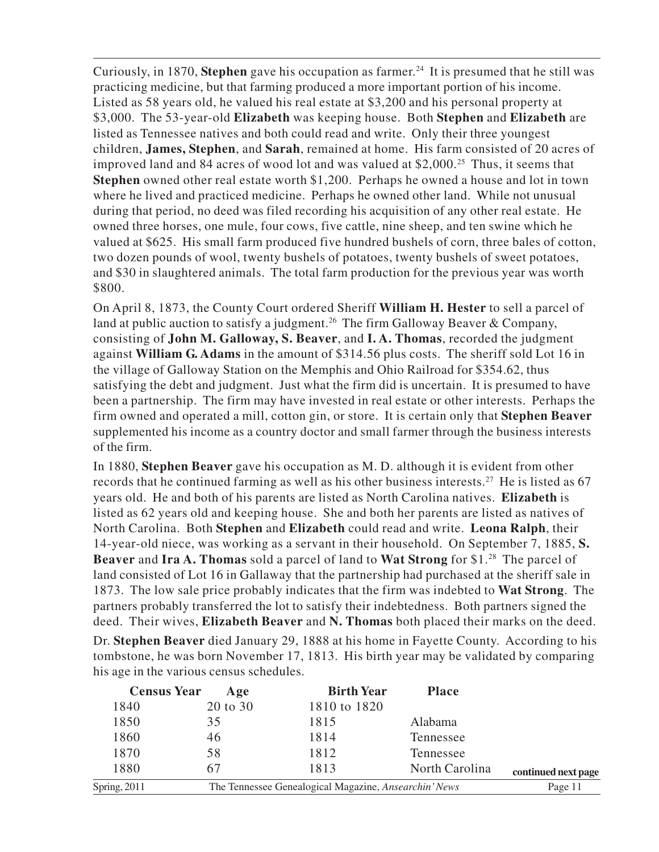Curiously, in 1870, **Stephen** gave his occupation as farmer. <sup>24</sup> It is presumed that he still was practicing medicine, but that farming produced a more important portion of his income. Listed as 58 years old, he valued his real estate at \$3,200 and his personal property at \$3,000. The 53-year-old **Elizabeth** was keeping house. Both **Stephen** and **Elizabeth** are listed as Tennessee natives and both could read and write. Only their three youngest children, **James, Stephen**, and **Sarah**, remained at home. His farm consisted of 20 acres of improved land and 84 acres of wood lot and was valued at  $$2,000.<sup>25</sup>$  Thus, it seems that **Stephen** owned other real estate worth \$1,200. Perhaps he owned a house and lot in town where he lived and practiced medicine. Perhaps he owned other land. While not unusual during that period, no deed was filed recording his acquisition of any other real estate. He owned three horses, one mule, four cows, five cattle, nine sheep, and ten swine which he valued at \$625. His small farm produced five hundred bushels of corn, three bales of cotton, two dozen pounds of wool, twenty bushels of potatoes, twenty bushels of sweet potatoes, and \$30 in slaughtered animals. The total farm production for the previous year was worth \$800.

On April 8, 1873, the County Court ordered Sheriff **William H. Hester** to sell a parcel of land at public auction to satisfy a judgment.<sup>26</sup> The firm Galloway Beaver & Company, consisting of **John M. Galloway, S. Beaver**, and **I. A. Thomas**, recorded the judgment against **William G. Adams** in the amount of \$314.56 plus costs. The sheriff sold Lot 16 in the village of Galloway Station on the Memphis and Ohio Railroad for \$354.62, thus satisfying the debt and judgment. Just what the firm did is uncertain. It is presumed to have been a partnership. The firm may have invested in real estate or other interests. Perhaps the firm owned and operated a mill, cotton gin, or store. It is certain only that **Stephen Beaver** supplemented his income as a country doctor and small farmer through the business interests of the firm.

In 1880, **Stephen Beaver** gave his occupation as M. D. although it is evident from other records that he continued farming as well as his other business interests.<sup>27</sup> He is listed as 67 years old. He and both of his parents are listed as North Carolina natives. **Elizabeth** is listed as 62 years old and keeping house. She and both her parents are listed as natives of North Carolina. Both **Stephen** and **Elizabeth** could read and write. **Leona Ralph**, their 14-year-old niece, was working as a servant in their household. On September 7, 1885, **S. Beaver** and **Ira A. Thomas** sold a parcel of land to **Wat Strong** for \$1.<sup>28</sup> The parcel of land consisted of Lot 16 in Gallaway that the partnership had purchased at the sheriff sale in 1873. The low sale price probably indicates that the firm was indebted to **Wat Strong**. The partners probably transferred the lot to satisfy their indebtedness. Both partners signed the deed. Their wives, **Elizabeth Beaver** and **N. Thomas** both placed their marks on the deed.

Dr. **Stephen Beaver** died January 29, 1888 at his home in Fayette County. According to his tombstone, he was born November 17, 1813. His birth year may be validated by comparing his age in the various census schedules.

| 20 to 30<br>1810 to 1820<br>1840                                      |                     |
|-----------------------------------------------------------------------|---------------------|
|                                                                       |                     |
| 1850<br>1815<br>35<br>Alabama                                         |                     |
| 1860<br>1814<br>46<br>Tennessee                                       |                     |
| 1870<br>58<br>1812<br>Tennessee                                       |                     |
| 1880<br>1813<br>67<br>North Carolina                                  | continued next page |
| Spring, 2011<br>The Tennessee Genealogical Magazine, Ansearchin' News | Page 11             |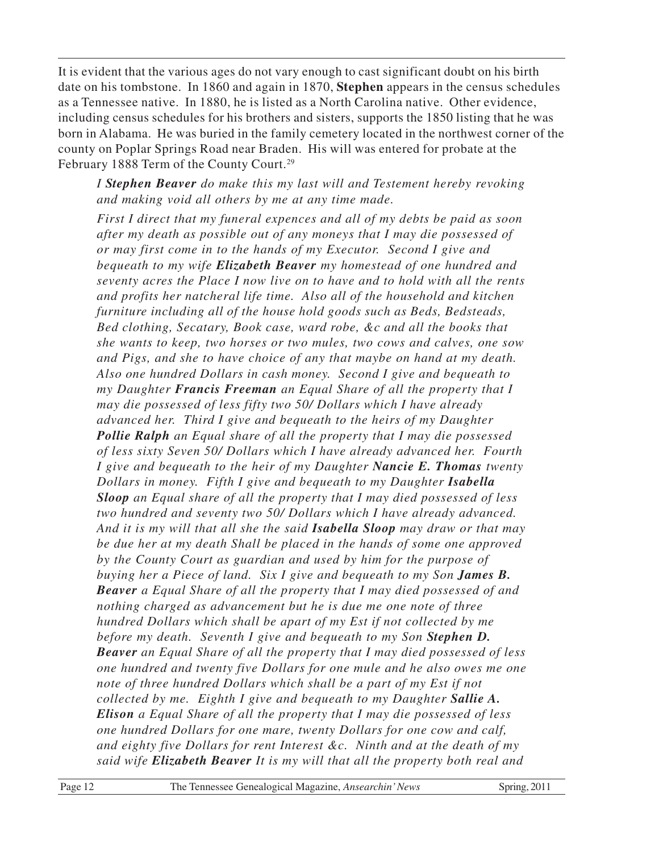It is evident that the various ages do not vary enough to cast significant doubt on his birth date on his tombstone. In 1860 and again in 1870, **Stephen** appears in the census schedules as a Tennessee native. In 1880, he is listed as a North Carolina native. Other evidence, including census schedules for his brothers and sisters, supports the 1850 listing that he was born in Alabama. He was buried in the family cemetery located in the northwest corner of the county on Poplar Springs Road near Braden. His will was entered for probate at the February 1888 Term of the County Court.<sup>29</sup>

*I Stephen Beaver do make this my last will and Testement hereby revoking and making void all others by me at any time made.*

*First I direct that my funeral expences and all of my debts be paid as soon after my death as possible out of any moneys that I may die possessed of or may first come in to the hands of my Executor. Second I give and bequeath to my wife Elizabeth Beaver my homestead of one hundred and seventy acres the Place I now live on to have and to hold with all the rents and profits her natcheral life time. Also all of the household and kitchen furniture including all of the house hold goods such as Beds, Bedsteads, Bed clothing, Secatary, Book case, ward robe, &c and all the books that she wants to keep, two horses or two mules, two cows and calves, one sow and Pigs, and she to have choice of any that maybe on hand at my death. Also one hundred Dollars in cash money. Second I give and bequeath to my Daughter Francis Freeman an Equal Share of all the property that I may die possessed of less fifty two 50/ Dollars which I have already advanced her. Third I give and bequeath to the heirs of my Daughter Pollie Ralph an Equal share of all the property that I may die possessed of less sixty Seven 50/ Dollars which I have already advanced her. Fourth I give and bequeath to the heir of my Daughter Nancie E. Thomas twenty Dollars in money. Fifth I give and bequeath to my Daughter Isabella Sloop an Equal share of all the property that I may died possessed of less two hundred and seventy two 50/ Dollars which I have already advanced. And it is my will that all she the said Isabella Sloop may draw or that may be due her at my death Shall be placed in the hands of some one approved by the County Court as guardian and used by him for the purpose of buying her a Piece of land. Six I give and bequeath to my Son James B. Beaver a Equal Share of all the property that I may died possessed of and nothing charged as advancement but he is due me one note of three hundred Dollars which shall be apart of my Est if not collected by me before my death. Seventh I give and bequeath to my Son Stephen D. Beaver an Equal Share of all the property that I may died possessed of less one hundred and twenty five Dollars for one mule and he also owes me one note of three hundred Dollars which shall be a part of my Est if not collected by me. Eighth I give and bequeath to my Daughter Sallie A. Elison a Equal Share of all the property that I may die possessed of less one hundred Dollars for one mare, twenty Dollars for one cow and calf, and eighty five Dollars for rent Interest &c. Ninth and at the death of my said wife Elizabeth Beaver It is my will that all the property both real and*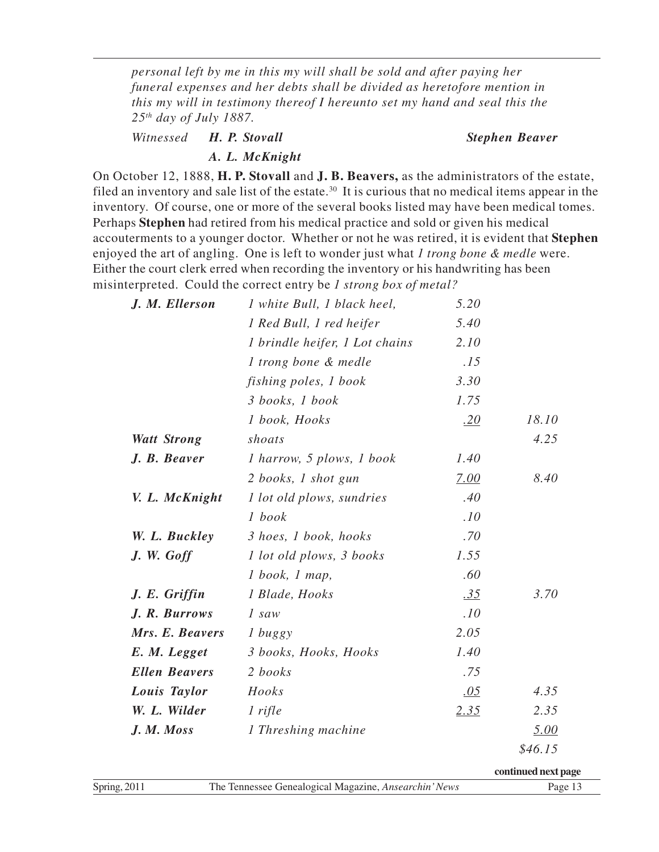*personal left by me in this my will shall be sold and after paying her funeral expenses and her debts shall be divided as heretofore mention in this my will in testimony thereof I hereunto set my hand and seal this the 25th day of July 1887.*

*Witnessed H. P. Stovall Stephen Beaver*

*A. L. McKnight*

On October 12, 1888, **H. P. Stovall** and **J. B. Beavers,** as the administrators of the estate, filed an inventory and sale list of the estate.<sup>30</sup> It is curious that no medical items appear in the inventory. Of course, one or more of the several books listed may have been medical tomes. Perhaps **Stephen** had retired from his medical practice and sold or given his medical accouterments to a younger doctor. Whether or not he was retired, it is evident that **Stephen** enjoyed the art of angling. One is left to wonder just what *1 trong bone & medle* were. Either the court clerk erred when recording the inventory or his handwriting has been misinterpreted. Could the correct entry be *1 strong box of metal?*

| J. M. Ellerson       | 1 white Bull, 1 black heel,      | 5.20 |         |
|----------------------|----------------------------------|------|---------|
|                      | 1 Red Bull, 1 red heifer         | 5.40 |         |
|                      | 1 brindle heifer, 1 Lot chains   | 2.10 |         |
|                      | 1 trong bone & medle             | .15  |         |
|                      | fishing poles, 1 book            | 3.30 |         |
|                      | 3 books, 1 book                  | 1.75 |         |
|                      | 1 book, Hooks                    | .20  | 18.10   |
| <b>Watt Strong</b>   | shoats                           |      | 4.25    |
| J. B. Beaver         | <i>l</i> harrow, 5 plows, 1 book | 1.40 |         |
|                      | 2 books, 1 shot gun              | 7.00 | 8.40    |
| V. L. McKnight       | 1 lot old plows, sundries        | .40  |         |
|                      | 1 book                           | .10  |         |
| W. L. Buckley        | 3 hoes, 1 book, hooks            | .70  |         |
| $J.$ W. Goff         | 1 lot old plows, 3 books         | 1.55 |         |
|                      | $1$ book, $1$ map,               | .60  |         |
| J. E. Griffin        | 1 Blade, Hooks                   | .35  | 3.70    |
| J. R. Burrows        | 1 saw                            | .10  |         |
| Mrs. E. Beavers      | 1 buggy                          | 2.05 |         |
| E. M. Legget         | 3 books, Hooks, Hooks            | 1.40 |         |
| <b>Ellen Beavers</b> | 2 books                          | .75  |         |
| Louis Taylor         | Hooks                            | .05  | 4.35    |
| W. L. Wilder         | $1$ rifle                        | 2.35 | 2.35    |
| J. M. Moss           | 1 Threshing machine              |      | 5.00    |
|                      |                                  |      | \$46.15 |

**continued next page**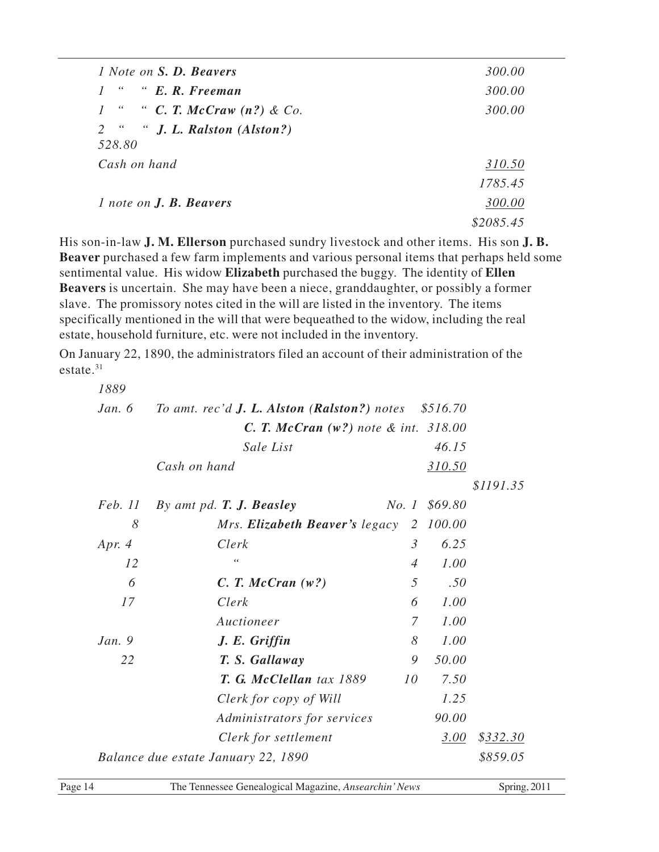| <i>l</i> Note on <b>S. D. Beavers</b>   | 300.00    |
|-----------------------------------------|-----------|
| $\epsilon$<br>" E.R. Freeman            | 300.00    |
| " " C. T. McCraw $(n?)$ & Co.           | 300.00    |
| 2 " " J. L. Ralston (Alston?)<br>528.80 |           |
| Cash on hand                            | 310.50    |
|                                         | 1785.45   |
| $1$ note on $J.$ <b>B.</b> Beavers      | 300.00    |
|                                         | \$2085.45 |

His son-in-law **J. M. Ellerson** purchased sundry livestock and other items. His son **J. B. Beaver** purchased a few farm implements and various personal items that perhaps held some sentimental value. His widow **Elizabeth** purchased the buggy. The identity of **Ellen Beavers** is uncertain. She may have been a niece, granddaughter, or possibly a former slave. The promissory notes cited in the will are listed in the inventory. The items specifically mentioned in the will that were bequeathed to the widow, including the real estate, household furniture, etc. were not included in the inventory.

On January 22, 1890, the administrators filed an account of their administration of the estate.<sup>31</sup>

| 1889           |                                                             |                |         |           |
|----------------|-------------------------------------------------------------|----------------|---------|-----------|
| Jan. $6$       | To amt. rec'd <b>J. L. Alston (Ralston?)</b> notes \$516.70 |                |         |           |
|                | <b>C. T. McCran</b> $(w?)$ note & int. $318.00$             |                |         |           |
|                | Sale List                                                   |                | 46.15   |           |
|                | Cash on hand                                                |                | 310.50  |           |
|                |                                                             |                |         | \$1191.35 |
| <i>Feb. 11</i> | By amt pd. T. J. Beasley                                    | No.1           | \$69.80 |           |
| 8              | Mrs. <b>Elizabeth Beaver's</b> legacy                       | 2              | 100.00  |           |
| Apr. 4         | Clerk                                                       | $\mathfrak{Z}$ | 6.25    |           |
| 12             | $\epsilon$ $\epsilon$                                       | $\overline{4}$ | 1.00    |           |
| 6              | $C.$ T. McCran $(w?)$                                       | 5              | .50     |           |
| 17             | Clerk                                                       | 6              | 1.00    |           |
|                | Auctioneer                                                  | $\overline{7}$ | 1.00    |           |
| Jan.9          | J. E. Griffin                                               | 8              | 1.00    |           |
| 22             | T. S. Gallaway                                              | 9              | 50.00   |           |
|                | T. G. McClellan tax 1889                                    | 10             | 7.50    |           |
|                | Clerk for copy of Will                                      |                | 1.25    |           |
|                | Administrators for services                                 |                | 90.00   |           |
|                | Clerk for settlement                                        |                | 3.00    | \$332.30  |
|                | Balance due estate January 22, 1890                         |                |         | \$859.05  |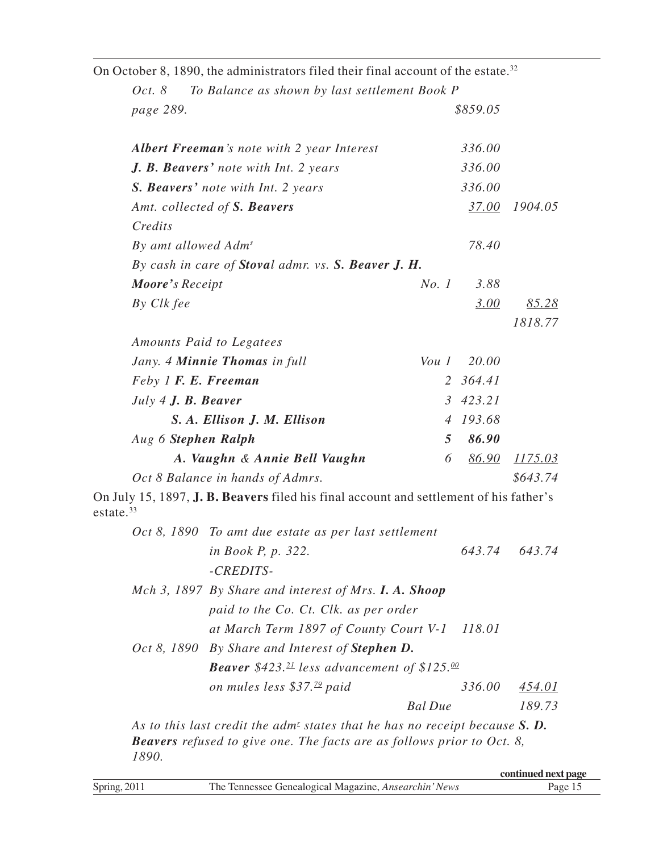|                                 | On October 8, 1890, the administrators filed their final account of the estate. <sup>32</sup>  |                |              |                |
|---------------------------------|------------------------------------------------------------------------------------------------|----------------|--------------|----------------|
| Oct. 8                          | To Balance as shown by last settlement Book P                                                  |                |              |                |
| page 289.                       |                                                                                                |                | \$859.05     |                |
|                                 | <b>Albert Freeman's note with 2 year Interest</b>                                              |                | 336.00       |                |
|                                 | J. B. Beavers' note with Int. 2 years                                                          |                | 336.00       |                |
|                                 | S. Beavers' note with Int. 2 years                                                             |                | 336.00       |                |
|                                 | Amt. collected of S. Beavers                                                                   |                | 37.00        | 1904.05        |
| Credits                         |                                                                                                |                |              |                |
| By amt allowed Adm <sup>s</sup> |                                                                                                |                | 78.40        |                |
|                                 | By cash in care of Stoval admr. vs. S. Beaver J. H.                                            |                |              |                |
| Moore's Receipt                 |                                                                                                | No. 1          | 3.88         |                |
| By Clk fee                      |                                                                                                |                | 3.00         | <u>85.28</u>   |
|                                 |                                                                                                |                |              | 1818.77        |
|                                 | Amounts Paid to Legatees                                                                       |                |              |                |
|                                 | Jany. 4 Minnie Thomas in full                                                                  | Vou1           | 20.00        |                |
| Feby 1 F. E. Freeman            |                                                                                                |                | 2 364.41     |                |
| July 4 J. B. Beaver             |                                                                                                |                | 3 423.21     |                |
|                                 | S. A. Ellison J. M. Ellison                                                                    | $\overline{4}$ | 193.68       |                |
| Aug 6 Stephen Ralph             |                                                                                                | 5              | 86.90        |                |
|                                 | A. Vaughn & Annie Bell Vaughn                                                                  | 6              | <u>86.90</u> | <u>1175.03</u> |
|                                 | Oct 8 Balance in hands of Admrs.                                                               |                |              | \$643.74       |
| estate. $33$                    | On July 15, 1897, <b>J. B. Beavers</b> filed his final account and settlement of his father's  |                |              |                |
|                                 | Oct 8, 1890 To amt due estate as per last settlement                                           |                |              |                |
|                                 | <i>in Book P, p.</i> 322.                                                                      |                |              | 643.74 643.74  |
|                                 | -CREDITS-                                                                                      |                |              |                |
|                                 | Mch 3, 1897 By Share and interest of Mrs. I. A. Shoop                                          |                |              |                |
|                                 | paid to the Co. Ct. Clk. as per order                                                          |                |              |                |
|                                 | at March Term 1897 of County Court V-1                                                         |                | 118.01       |                |
|                                 | Oct 8, 1890 By Share and Interest of <b>Stephen D.</b>                                         |                |              |                |
|                                 | <b>Beaver</b> \$423. <sup>21</sup> less advancement of \$125.00                                |                |              |                |
|                                 | on mules less \$37. <sup>79</sup> paid                                                         |                | 336.00       | 454.01         |
|                                 |                                                                                                | <b>Bal</b> Due |              | 189.73         |
|                                 | As to this last credit the adm <sup>E</sup> states that he has no receipt because $S$ <b>D</b> |                |              |                |

As to this last credit the adm<sup>*r*</sup> states that he has no receipt because **S. D.** *Beavers refused to give one. The facts are as follows prior to Oct. 8, 1890.*

|              |                                                                                | continued next page |
|--------------|--------------------------------------------------------------------------------|---------------------|
| Spring, 2011 | The <sub>1</sub><br>e Tennessee Genealogical Magazine. <i>Ansearchin' News</i> | age.                |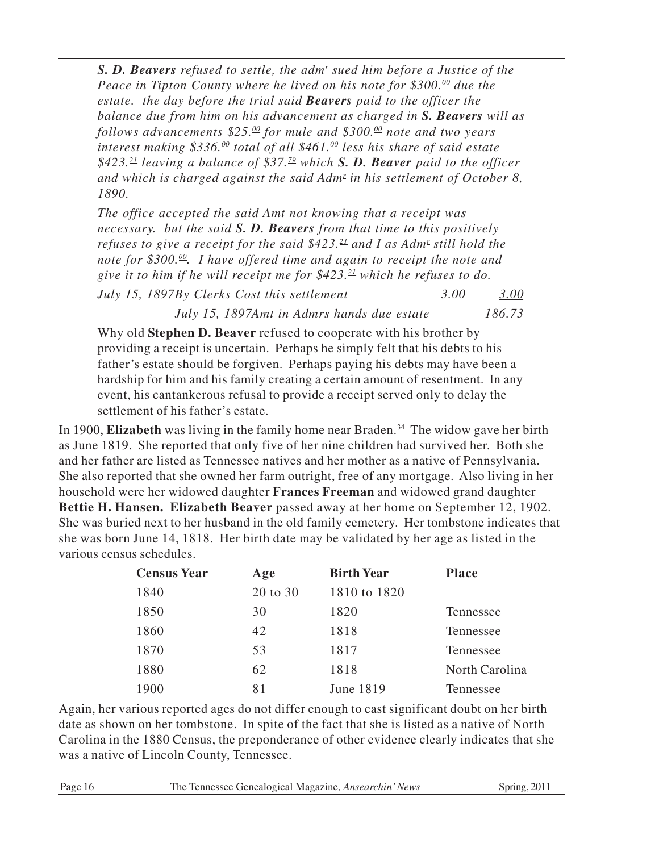**S. D. Beavers** refused to settle, the adm<sup>*r*</sup> sued him before a Justice of the *Peace in Tipton County where he lived on his note for \$300.<sup>00</sup> due the estate. the day before the trial said Beavers paid to the officer the balance due from him on his advancement as charged in S. Beavers will as follows advancements \$25.<sup>00</sup> for mule and \$300.<sup>00</sup> note and two years interest making \$336.<sup>00</sup> total of all \$461.<sup>00</sup> less his share of said estate \$423.<sup>21</sup> leaving a balance of \$37.<sup>79</sup> which S. D. Beaver paid to the officer and which is charged against the said Adm<sup>r</sup> in his settlement of October 8, 1890.*

*The office accepted the said Amt not knowing that a receipt was necessary. but the said S. D. Beavers from that time to this positively refuses to give a receipt for the said \$423.<sup>21</sup> and I as Adm<sup>r</sup> still hold the note for \$300.<sup>00</sup>. I have offered time and again to receipt the note and give it to him if he will receipt me for \$423.<sup>21</sup> which he refuses to do. July 15, 1897By Clerks Cost this settlement 3.00 3.00*

*July 15, 1897Amt in Admrs hands due estate 186.73*

Why old **Stephen D. Beaver** refused to cooperate with his brother by providing a receipt is uncertain. Perhaps he simply felt that his debts to his father's estate should be forgiven. Perhaps paying his debts may have been a hardship for him and his family creating a certain amount of resentment. In any event, his cantankerous refusal to provide a receipt served only to delay the settlement of his father's estate.

In 1900, **Elizabeth** was living in the family home near Braden.<sup>34</sup> The widow gave her birth as June 1819. She reported that only five of her nine children had survived her. Both she and her father are listed as Tennessee natives and her mother as a native of Pennsylvania. She also reported that she owned her farm outright, free of any mortgage. Also living in her household were her widowed daughter **Frances Freeman** and widowed grand daughter **Bettie H. Hansen. Elizabeth Beaver** passed away at her home on September 12, 1902. She was buried next to her husband in the old family cemetery. Her tombstone indicates that she was born June 14, 1818. Her birth date may be validated by her age as listed in the various census schedules.

| <b>Census Year</b> | Age      | <b>Birth Year</b> | <b>Place</b>   |
|--------------------|----------|-------------------|----------------|
| 1840               | 20 to 30 | 1810 to 1820      |                |
| 1850               | 30       | 1820              | Tennessee      |
| 1860               | 42       | 1818              | Tennessee      |
| 1870               | 53       | 1817              | Tennessee      |
| 1880               | 62       | 1818              | North Carolina |
| 1900               | 81       | June 1819         | Tennessee      |

Again, her various reported ages do not differ enough to cast significant doubt on her birth date as shown on her tombstone. In spite of the fact that she is listed as a native of North Carolina in the 1880 Census, the preponderance of other evidence clearly indicates that she was a native of Lincoln County, Tennessee.

| Page 16<br>The Tennessee Genealogical Magazine, Ansearchin' News |  |
|------------------------------------------------------------------|--|
|------------------------------------------------------------------|--|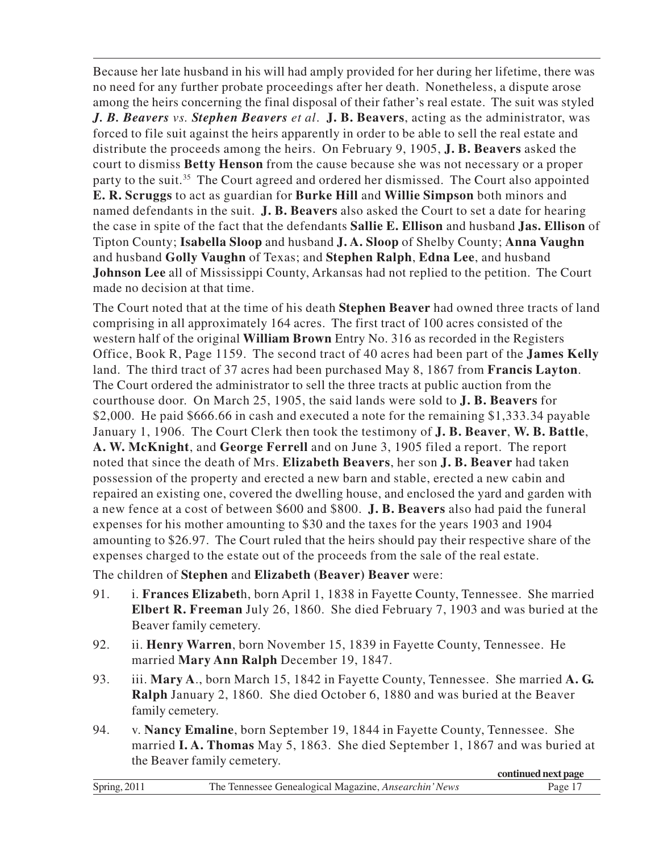Because her late husband in his will had amply provided for her during her lifetime, there was no need for any further probate proceedings after her death. Nonetheless, a dispute arose among the heirs concerning the final disposal of their father's real estate. The suit was styled *J. B. Beavers vs. Stephen Beavers et al*. **J. B. Beavers**, acting as the administrator, was forced to file suit against the heirs apparently in order to be able to sell the real estate and distribute the proceeds among the heirs. On February 9, 1905, **J. B. Beavers** asked the court to dismiss **Betty Henson** from the cause because she was not necessary or a proper party to the suit.<sup>35</sup> The Court agreed and ordered her dismissed. The Court also appointed **E. R. Scruggs** to act as guardian for **Burke Hill** and **Willie Simpson** both minors and named defendants in the suit. **J. B. Beavers** also asked the Court to set a date for hearing the case in spite of the fact that the defendants **Sallie E. Ellison** and husband **Jas. Ellison** of Tipton County; **Isabella Sloop** and husband **J. A. Sloop** of Shelby County; **Anna Vaughn** and husband **Golly Vaughn** of Texas; and **Stephen Ralph**, **Edna Lee**, and husband **Johnson Lee** all of Mississippi County, Arkansas had not replied to the petition. The Court made no decision at that time.

The Court noted that at the time of his death **Stephen Beaver** had owned three tracts of land comprising in all approximately 164 acres. The first tract of 100 acres consisted of the western half of the original **William Brown** Entry No. 316 as recorded in the Registers Office, Book R, Page 1159. The second tract of 40 acres had been part of the **James Kelly** land. The third tract of 37 acres had been purchased May 8, 1867 from **Francis Layton**. The Court ordered the administrator to sell the three tracts at public auction from the courthouse door. On March 25, 1905, the said lands were sold to **J. B. Beavers** for \$2,000. He paid \$666.66 in cash and executed a note for the remaining \$1,333.34 payable January 1, 1906. The Court Clerk then took the testimony of **J. B. Beaver**, **W. B. Battle**, **A. W. McKnight**, and **George Ferrell** and on June 3, 1905 filed a report. The report noted that since the death of Mrs. **Elizabeth Beavers**, her son **J. B. Beaver** had taken possession of the property and erected a new barn and stable, erected a new cabin and repaired an existing one, covered the dwelling house, and enclosed the yard and garden with a new fence at a cost of between \$600 and \$800. **J. B. Beavers** also had paid the funeral expenses for his mother amounting to \$30 and the taxes for the years 1903 and 1904 amounting to \$26.97. The Court ruled that the heirs should pay their respective share of the expenses charged to the estate out of the proceeds from the sale of the real estate.

The children of **Stephen** and **Elizabeth (Beaver) Beaver** were:

- 91. i. **Frances Elizabet**h, born April 1, 1838 in Fayette County, Tennessee. She married **Elbert R. Freeman** July 26, 1860. She died February 7, 1903 and was buried at the Beaver family cemetery.
- 92. ii. **Henry Warren**, born November 15, 1839 in Fayette County, Tennessee. He married **Mary Ann Ralph** December 19, 1847.
- 93. iii. **Mary A**., born March 15, 1842 in Fayette County, Tennessee. She married **A. G. Ralph** January 2, 1860. She died October 6, 1880 and was buried at the Beaver family cemetery.
- 94. v. **Nancy Emaline**, born September 19, 1844 in Fayette County, Tennessee. She married **I. A. Thomas** May 5, 1863. She died September 1, 1867 and was buried at the Beaver family cemetery. **continued next page**

|              |                                                       | -conunued next bage |
|--------------|-------------------------------------------------------|---------------------|
| Spring, 2011 | The Tennessee Genealogical Magazine, Ansearchin' News | Page 1              |
|              |                                                       |                     |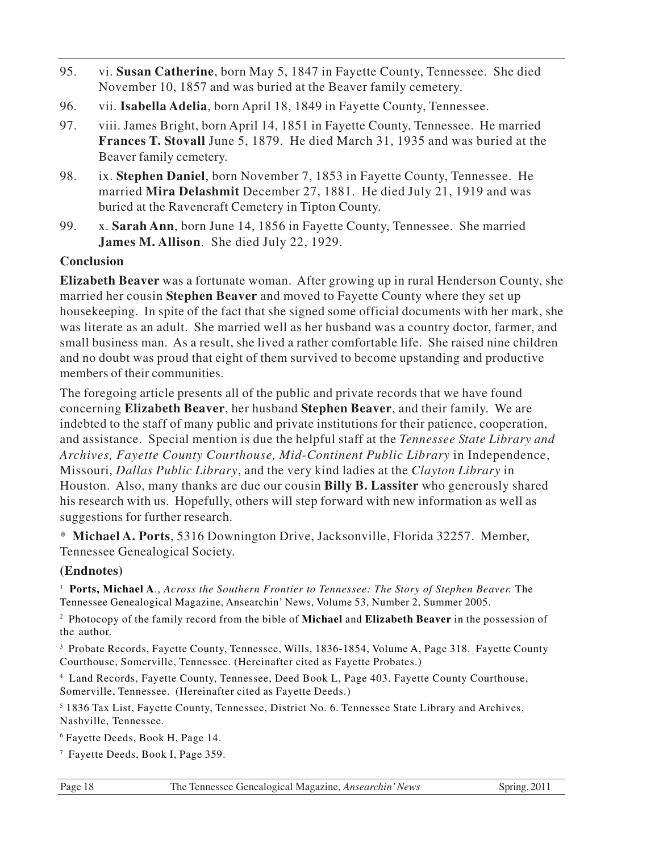- 95. vi. **Susan Catherine**, born May 5, 1847 in Fayette County, Tennessee. She died November 10, 1857 and was buried at the Beaver family cemetery.
- 96. vii. **Isabella Adelia**, born April 18, 1849 in Fayette County, Tennessee.
- 97. viii. James Bright, born April 14, 1851 in Fayette County, Tennessee. He married **Frances T. Stovall** June 5, 1879. He died March 31, 1935 and was buried at the Beaver family cemetery.
- 98. ix. **Stephen Daniel**, born November 7, 1853 in Fayette County, Tennessee. He married **Mira Delashmit** December 27, 1881. He died July 21, 1919 and was buried at the Ravencraft Cemetery in Tipton County.
- 99. x. **Sarah Ann**, born June 14, 1856 in Fayette County, Tennessee. She married **James M. Allison**. She died July 22, 1929.

#### **Conclusion**

**Elizabeth Beaver** was a fortunate woman. After growing up in rural Henderson County, she married her cousin **Stephen Beaver** and moved to Fayette County where they set up housekeeping. In spite of the fact that she signed some official documents with her mark, she was literate as an adult. She married well as her husband was a country doctor, farmer, and small business man. As a result, she lived a rather comfortable life. She raised nine children and no doubt was proud that eight of them survived to become upstanding and productive members of their communities.

The foregoing article presents all of the public and private records that we have found concerning **Elizabeth Beaver**, her husband **Stephen Beaver**, and their family. We are indebted to the staff of many public and private institutions for their patience, cooperation, and assistance. Special mention is due the helpful staff at the *Tennessee State Library and Archives, Fayette County Courthouse, Mid-Continent Public Library* in Independence, Missouri, *Dallas Public Library*, and the very kind ladies at the *Clayton Library* in Houston. Also, many thanks are due our cousin **Billy B. Lassiter** who generously shared his research with us. Hopefully, others will step forward with new information as well as suggestions for further research.

\* **Michael A. Ports**, 5316 Downington Drive, Jacksonville, Florida 32257. Member, Tennessee Genealogical Society.

#### **(Endnotes)**

<sup>1</sup> Ports, Michael A., *Across the Southern Frontier to Tennessee: The Story of Stephen Beaver. The* Tennessee Genealogical Magazine, Ansearchin' News, Volume 53, Number 2, Summer 2005.

2 Photocopy of the family record from the bible of **Michael** and **Elizabeth Beaver** in the possession of the author.

<sup>3</sup> Probate Records, Fayette County, Tennessee, Wills, 1836-1854, Volume A, Page 318. Fayette County Courthouse, Somerville, Tennessee. (Hereinafter cited as Fayette Probates.)

4 Land Records, Fayette County, Tennessee, Deed Book L, Page 403. Fayette County Courthouse, Somerville, Tennessee. (Hereinafter cited as Fayette Deeds.)

5 1836 Tax List, Fayette County, Tennessee, District No. 6. Tennessee State Library and Archives, Nashville, Tennessee.

6 Fayette Deeds, Book H, Page 14.

7 Fayette Deeds, Book I, Page 359.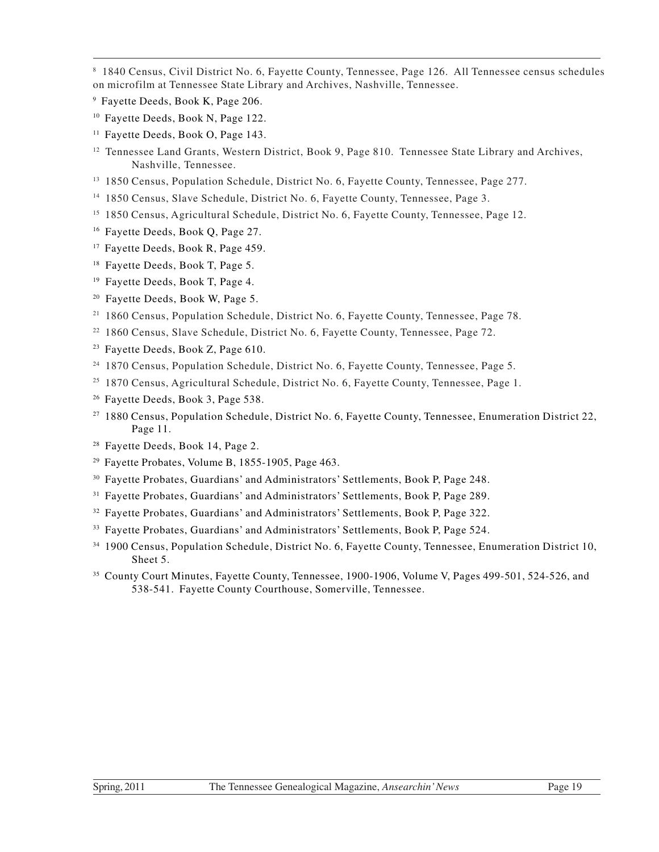- <sup>10</sup> Fayette Deeds, Book N, Page 122.
- <sup>11</sup> Fayette Deeds, Book O, Page 143.
- <sup>12</sup> Tennessee Land Grants, Western District, Book 9, Page 810. Tennessee State Library and Archives, Nashville, Tennessee.
- <sup>13</sup> 1850 Census, Population Schedule, District No. 6, Fayette County, Tennessee, Page 277.
- <sup>14</sup> 1850 Census, Slave Schedule, District No. 6, Fayette County, Tennessee, Page 3.
- <sup>15</sup> 1850 Census, Agricultural Schedule, District No. 6, Fayette County, Tennessee, Page 12.
- <sup>16</sup> Fayette Deeds, Book Q, Page 27.
- <sup>17</sup> Fayette Deeds, Book R, Page 459.
- <sup>18</sup> Fayette Deeds, Book T, Page 5.
- <sup>19</sup> Fayette Deeds, Book T, Page 4.
- <sup>20</sup> Fayette Deeds, Book W, Page 5.
- <sup>21</sup> 1860 Census, Population Schedule, District No. 6, Fayette County, Tennessee, Page 78.
- <sup>22</sup> 1860 Census, Slave Schedule, District No. 6, Fayette County, Tennessee, Page 72.
- <sup>23</sup> Fayette Deeds, Book Z, Page 610.
- <sup>24</sup> 1870 Census, Population Schedule, District No. 6, Fayette County, Tennessee, Page 5.
- <sup>25</sup> 1870 Census, Agricultural Schedule, District No. 6, Fayette County, Tennessee, Page 1.
- <sup>26</sup> Fayette Deeds, Book 3, Page 538.
- <sup>27</sup> 1880 Census, Population Schedule, District No. 6, Fayette County, Tennessee, Enumeration District 22, Page 11.
- <sup>28</sup> Fayette Deeds, Book 14, Page 2.
- $29$  Fayette Probates, Volume B, 1855-1905, Page 463.
- <sup>30</sup> Fayette Probates, Guardians' and Administrators' Settlements, Book P, Page 248.
- <sup>31</sup> Fayette Probates, Guardians' and Administrators' Settlements, Book P, Page 289.
- <sup>32</sup> Fayette Probates, Guardians' and Administrators' Settlements, Book P, Page 322.
- <sup>33</sup> Fayette Probates, Guardians' and Administrators' Settlements, Book P, Page 524.
- <sup>34</sup> 1900 Census, Population Schedule, District No. 6, Fayette County, Tennessee, Enumeration District 10, Sheet 5.
- <sup>35</sup> County Court Minutes, Fayette County, Tennessee, 1900-1906, Volume V, Pages 499-501, 524-526, and 538-541. Fayette County Courthouse, Somerville, Tennessee.

<sup>8</sup> 1840 Census, Civil District No. 6, Fayette County, Tennessee, Page 126. All Tennessee census schedules on microfilm at Tennessee State Library and Archives, Nashville, Tennessee.

<sup>9</sup> Fayette Deeds, Book K, Page 206.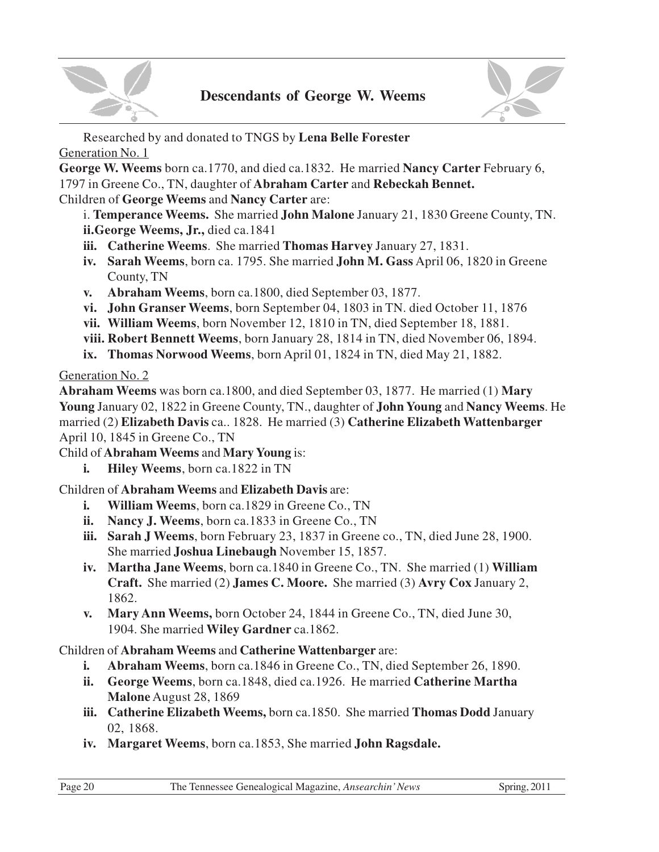



Researched by and donated to TNGS by **Lena Belle Forester** Generation No. 1

**George W. Weems** born ca.1770, and died ca.1832. He married **Nancy Carter** February 6, 1797 in Greene Co., TN, daughter of **Abraham Carter** and **Rebeckah Bennet.** Children of **George Weems** and **Nancy Carter** are:

i. **Temperance Weems.** She married **John Malone** January 21, 1830 Greene County, TN. **ii.George Weems, Jr.,** died ca.1841

- **iii. Catherine Weems**. She married **Thomas Harvey** January 27, 1831.
- **iv. Sarah Weems**, born ca. 1795. She married **John M. Gass** April 06, 1820 in Greene County, TN
- **v. Abraham Weems**, born ca.1800, died September 03, 1877.
- **vi. John Granser Weems**, born September 04, 1803 in TN. died October 11, 1876
- **vii. William Weems**, born November 12, 1810 in TN, died September 18, 1881.
- **viii. Robert Bennett Weems**, born January 28, 1814 in TN, died November 06, 1894.
- **ix. Thomas Norwood Weems**, born April 01, 1824 in TN, died May 21, 1882.

Generation No. 2

**Abraham Weems** was born ca.1800, and died September 03, 1877. He married (1) **Mary Young** January 02, 1822 in Greene County, TN., daughter of **John Young** and **Nancy Weems**. He married (2) **Elizabeth Davis** ca.. 1828. He married (3) **Catherine Elizabeth Wattenbarger** April 10, 1845 in Greene Co., TN

Child of **Abraham Weems** and **Mary Young** is:

**i. Hiley Weems**, born ca.1822 in TN

Children of **Abraham Weems** and **Elizabeth Davis** are:

- **i. William Weems**, born ca.1829 in Greene Co., TN
- **ii. Nancy J. Weems**, born ca.1833 in Greene Co., TN
- **iii. Sarah J Weems**, born February 23, 1837 in Greene co., TN, died June 28, 1900. She married **Joshua Linebaugh** November 15, 1857.
- **iv. Martha Jane Weems**, born ca.1840 in Greene Co., TN. She married (1) **William Craft.** She married (2) **James C. Moore.** She married (3) **Avry Cox** January 2, 1862.
- **v. Mary Ann Weems,** born October 24, 1844 in Greene Co., TN, died June 30, 1904. She married **Wiley Gardner** ca.1862.

Children of **Abraham Weems** and **Catherine Wattenbarger** are:

- **i. Abraham Weems**, born ca.1846 in Greene Co., TN, died September 26, 1890.
- **ii. George Weems**, born ca.1848, died ca.1926. He married **Catherine Martha Malone** August 28, 1869
- **iii. Catherine Elizabeth Weems,** born ca.1850. She married **Thomas Dodd** January 02, 1868.
- **iv. Margaret Weems**, born ca.1853, She married **John Ragsdale.**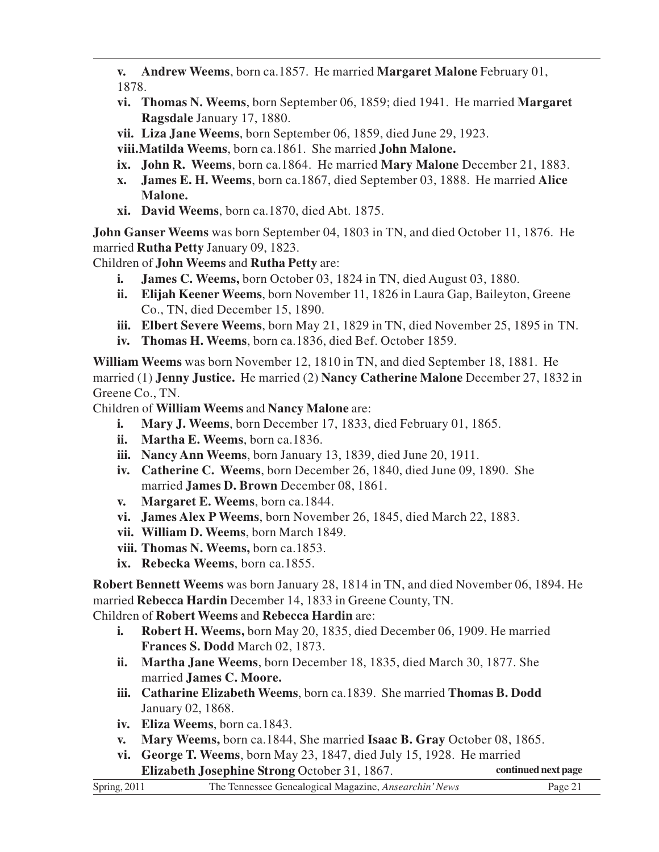- **v. Andrew Weems**, born ca.1857. He married **Margaret Malone** February 01, 1878.
- **vi. Thomas N. Weems**, born September 06, 1859; died 1941. He married **Margaret Ragsdale** January 17, 1880.
- **vii. Liza Jane Weems**, born September 06, 1859, died June 29, 1923.
- **viii.Matilda Weems**, born ca.1861. She married **John Malone.**
- **ix. John R. Weems**, born ca.1864. He married **Mary Malone** December 21, 1883.
- **x. James E. H. Weems**, born ca.1867, died September 03, 1888. He married **Alice Malone.**
- **xi. David Weems**, born ca.1870, died Abt. 1875.

**John Ganser Weems** was born September 04, 1803 in TN, and died October 11, 1876. He married **Rutha Petty** January 09, 1823.

Children of **John Weems** and **Rutha Petty** are:

- **i. James C. Weems,** born October 03, 1824 in TN, died August 03, 1880.
- **ii. Elijah Keener Weems**, born November 11, 1826 in Laura Gap, Baileyton, Greene Co., TN, died December 15, 1890.
- **iii. Elbert Severe Weems**, born May 21, 1829 in TN, died November 25, 1895 in TN.
- **iv. Thomas H. Weems**, born ca.1836, died Bef. October 1859.

**William Weems** was born November 12, 1810 in TN, and died September 18, 1881. He married (1) **Jenny Justice.** He married (2) **Nancy Catherine Malone** December 27, 1832 in Greene Co., TN.

Children of **William Weems** and **Nancy Malone** are:

- **i. Mary J. Weems**, born December 17, 1833, died February 01, 1865.
- **ii. Martha E. Weems**, born ca.1836.
- **iii. Nancy Ann Weems**, born January 13, 1839, died June 20, 1911.
- **iv. Catherine C. Weems**, born December 26, 1840, died June 09, 1890. She married **James D. Brown** December 08, 1861.
- **v. Margaret E. Weems**, born ca.1844.
- **vi. James Alex P Weems**, born November 26, 1845, died March 22, 1883.
- **vii. William D. Weems**, born March 1849.
- **viii. Thomas N. Weems,** born ca.1853.
- **ix. Rebecka Weems**, born ca.1855.

**Robert Bennett Weems** was born January 28, 1814 in TN, and died November 06, 1894. He married **Rebecca Hardin** December 14, 1833 in Greene County, TN. Children of **Robert Weems** and **Rebecca Hardin** are:

- **i. Robert H. Weems,** born May 20, 1835, died December 06, 1909. He married **Frances S. Dodd** March 02, 1873.
- **ii. Martha Jane Weems**, born December 18, 1835, died March 30, 1877. She married **James C. Moore.**
- **iii. Catharine Elizabeth Weems**, born ca.1839. She married **Thomas B. Dodd** January 02, 1868.
- **iv. Eliza Weems**, born ca.1843.
- **v. Mary Weems,** born ca.1844, She married **Isaac B. Gray** October 08, 1865.
- **vi. George T. Weems**, born May 23, 1847, died July 15, 1928. He married **Elizabeth Josephine Strong** October 31, 1867. **continued next page**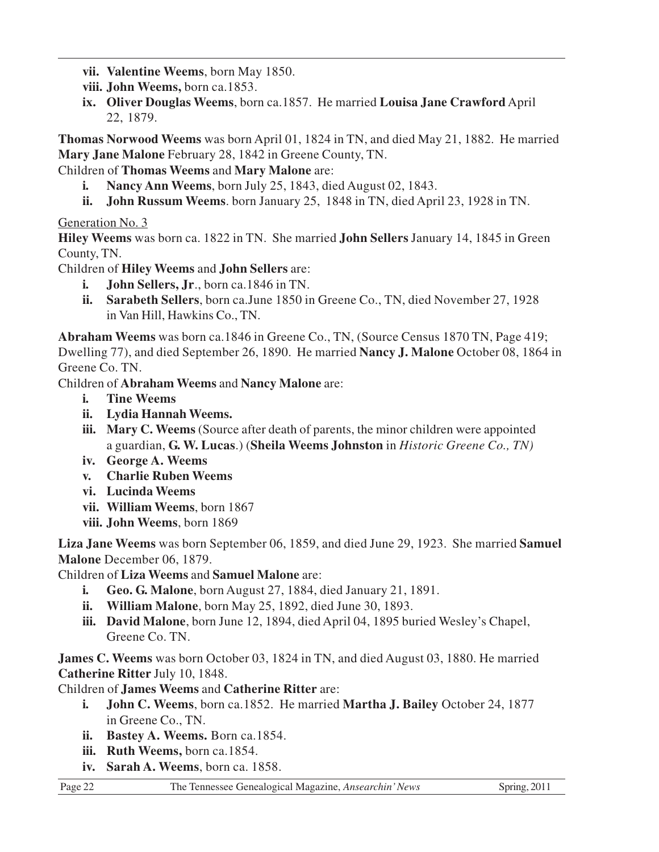- **vii. Valentine Weems**, born May 1850.
- **viii. John Weems,** born ca.1853.
- **ix. Oliver Douglas Weems**, born ca.1857. He married **Louisa Jane Crawford** April 22, 1879.

**Thomas Norwood Weems** was born April 01, 1824 in TN, and died May 21, 1882. He married **Mary Jane Malone** February 28, 1842 in Greene County, TN.

Children of **Thomas Weems** and **Mary Malone** are:

- **i. Nancy Ann Weems**, born July 25, 1843, died August 02, 1843.
- **ii. John Russum Weems**. born January 25, 1848 in TN, died April 23, 1928 in TN.

#### Generation No. 3

**Hiley Weems** was born ca. 1822 in TN. She married **John Sellers** January 14, 1845 in Green County, TN.

Children of **Hiley Weems** and **John Sellers** are:

- **i. John Sellers, Jr**., born ca.1846 in TN.
- **ii. Sarabeth Sellers**, born ca.June 1850 in Greene Co., TN, died November 27, 1928 in Van Hill, Hawkins Co., TN.

**Abraham Weems** was born ca.1846 in Greene Co., TN, (Source Census 1870 TN, Page 419; Dwelling 77), and died September 26, 1890. He married **Nancy J. Malone** October 08, 1864 in Greene Co. TN.

Children of **Abraham Weems** and **Nancy Malone** are:

- **i. Tine Weems**
- **ii. Lydia Hannah Weems.**
- **iii. Mary C. Weems** (Source after death of parents, the minor children were appointed a guardian, **G. W. Lucas**.) (**Sheila Weems Johnston** in *Historic Greene Co., TN)*
- **iv. George A. Weems**
- **v. Charlie Ruben Weems**
- **vi. Lucinda Weems**
- **vii. William Weems**, born 1867
- **viii. John Weems**, born 1869

**Liza Jane Weems** was born September 06, 1859, and died June 29, 1923. She married **Samuel Malone** December 06, 1879.

Children of **Liza Weems** and **Samuel Malone** are:

- **i. Geo. G. Malone**, born August 27, 1884, died January 21, 1891.
- **ii. William Malone**, born May 25, 1892, died June 30, 1893.
- **iii. David Malone**, born June 12, 1894, died April 04, 1895 buried Wesley's Chapel, Greene Co. TN.

**James C. Weems** was born October 03, 1824 in TN, and died August 03, 1880. He married **Catherine Ritter** July 10, 1848.

Children of **James Weems** and **Catherine Ritter** are:

- **i. John C. Weems**, born ca.1852. He married **Martha J. Bailey** October 24, 1877 in Greene Co., TN.
- **ii. Bastey A. Weems.** Born ca.1854.
- **iii. Ruth Weems,** born ca.1854.
- **iv. Sarah A. Weems**, born ca. 1858.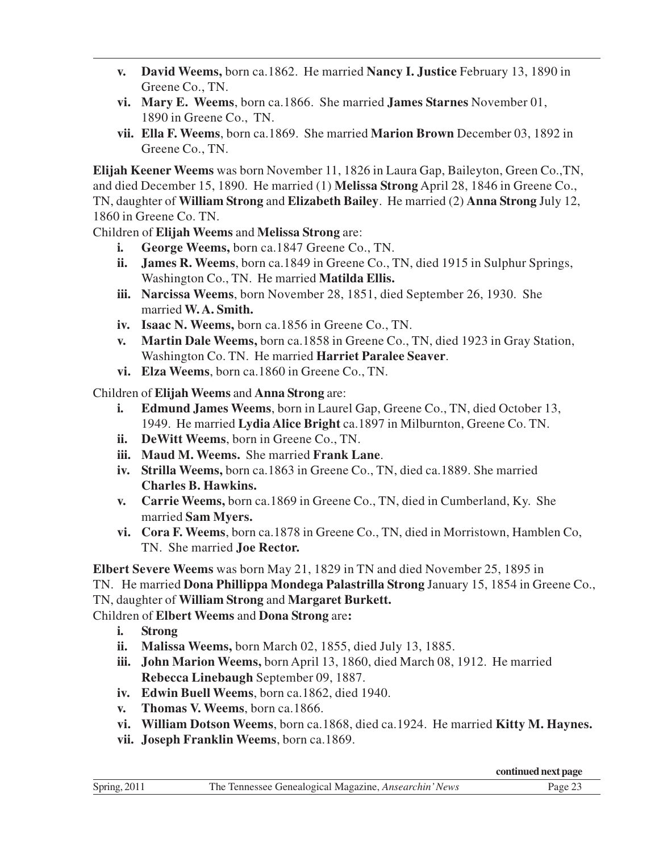- **v. David Weems,** born ca.1862. He married **Nancy I. Justice** February 13, 1890 in Greene Co., TN.
- **vi. Mary E. Weems**, born ca.1866. She married **James Starnes** November 01, 1890 in Greene Co., TN.
- **vii. Ella F. Weems**, born ca.1869. She married **Marion Brown** December 03, 1892 in Greene Co., TN.

**Elijah Keener Weems** was born November 11, 1826 in Laura Gap, Baileyton, Green Co.,TN, and died December 15, 1890. He married (1) **Melissa Strong** April 28, 1846 in Greene Co., TN, daughter of **William Strong** and **Elizabeth Bailey**. He married (2) **Anna Strong** July 12, 1860 in Greene Co. TN.

Children of **Elijah Weems** and **Melissa Strong** are:

- **i. George Weems,** born ca.1847 Greene Co., TN.
- **ii. James R. Weems**, born ca.1849 in Greene Co., TN, died 1915 in Sulphur Springs, Washington Co., TN. He married **Matilda Ellis.**
- **iii. Narcissa Weems**, born November 28, 1851, died September 26, 1930. She married **W. A. Smith.**
- **iv. Isaac N. Weems,** born ca.1856 in Greene Co., TN.
- **v. Martin Dale Weems,** born ca.1858 in Greene Co., TN, died 1923 in Gray Station, Washington Co. TN. He married **Harriet Paralee Seaver**.
- **vi. Elza Weems**, born ca.1860 in Greene Co., TN.

Children of **Elijah Weems** and **Anna Strong** are:

- **i. Edmund James Weems**, born in Laurel Gap, Greene Co., TN, died October 13, 1949. He married **Lydia Alice Bright** ca.1897 in Milburnton, Greene Co. TN.
- **ii. DeWitt Weems**, born in Greene Co., TN.
- **iii. Maud M. Weems.** She married **Frank Lane**.
- **iv. Strilla Weems,** born ca.1863 in Greene Co., TN, died ca.1889. She married **Charles B. Hawkins.**
- **v. Carrie Weems,** born ca.1869 in Greene Co., TN, died in Cumberland, Ky. She married **Sam Myers.**
- **vi. Cora F. Weems**, born ca.1878 in Greene Co., TN, died in Morristown, Hamblen Co, TN. She married **Joe Rector.**

**Elbert Severe Weems** was born May 21, 1829 in TN and died November 25, 1895 in TN. He married **Dona Phillippa Mondega Palastrilla Strong** January 15, 1854 in Greene Co., TN, daughter of **William Strong** and **Margaret Burkett.** Children of **Elbert Weems** and **Dona Strong** are**:**

- **i. Strong**
- **ii. Malissa Weems,** born March 02, 1855, died July 13, 1885.
- **iii. John Marion Weems,** born April 13, 1860, died March 08, 1912. He married **Rebecca Linebaugh** September 09, 1887.
- **iv. Edwin Buell Weems**, born ca.1862, died 1940.
- **v. Thomas V. Weems**, born ca.1866.
- **vi. William Dotson Weems**, born ca.1868, died ca.1924. He married **Kitty M. Haynes.**
- **vii. Joseph Franklin Weems**, born ca.1869.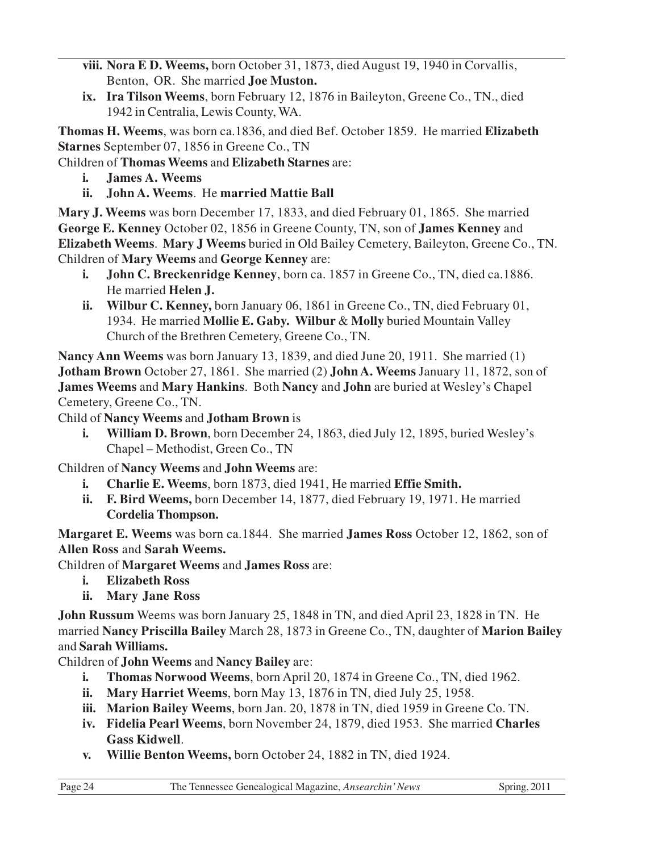**viii. Nora E D. Weems,** born October 31, 1873, died August 19, 1940 in Corvallis, Benton, OR. She married **Joe Muston.**

**ix. Ira Tilson Weems**, born February 12, 1876 in Baileyton, Greene Co., TN., died 1942 in Centralia, Lewis County, WA.

**Thomas H. Weems**, was born ca.1836, and died Bef. October 1859. He married **Elizabeth Starnes** September 07, 1856 in Greene Co., TN

Children of **Thomas Weems** and **Elizabeth Starnes** are:

- **i. James A. Weems**
- **ii. John A. Weems**. He **married Mattie Ball**

**Mary J. Weems** was born December 17, 1833, and died February 01, 1865. She married **George E. Kenney** October 02, 1856 in Greene County, TN, son of **James Kenney** and **Elizabeth Weems**. **Mary J Weems** buried in Old Bailey Cemetery, Baileyton, Greene Co., TN. Children of **Mary Weems** and **George Kenney** are:

- **i. John C. Breckenridge Kenney**, born ca. 1857 in Greene Co., TN, died ca.1886. He married **Helen J.**
- **ii. Wilbur C. Kenney,** born January 06, 1861 in Greene Co., TN, died February 01, 1934. He married **Mollie E. Gaby. Wilbur** & **Molly** buried Mountain Valley Church of the Brethren Cemetery, Greene Co., TN.

**Nancy Ann Weems** was born January 13, 1839, and died June 20, 1911. She married (1) **Jotham Brown** October 27, 1861. She married (2) **John A. Weems** January 11, 1872, son of **James Weems** and **Mary Hankins**. Both **Nancy** and **John** are buried at Wesley's Chapel Cemetery, Greene Co., TN.

Child of **Nancy Weems** and **Jotham Brown** is

**i. William D. Brown**, born December 24, 1863, died July 12, 1895, buried Wesley's Chapel – Methodist, Green Co., TN

Children of **Nancy Weems** and **John Weems** are:

- **i. Charlie E. Weems**, born 1873, died 1941, He married **Effie Smith.**
- **ii. F. Bird Weems,** born December 14, 1877, died February 19, 1971. He married **Cordelia Thompson.**

**Margaret E. Weems** was born ca.1844. She married **James Ross** October 12, 1862, son of **Allen Ross** and **Sarah Weems.**

Children of **Margaret Weems** and **James Ross** are:

- **i. Elizabeth Ross**
- **ii. Mary Jane Ross**

**John Russum** Weems was born January 25, 1848 in TN, and died April 23, 1828 in TN. He married **Nancy Priscilla Bailey** March 28, 1873 in Greene Co., TN, daughter of **Marion Bailey** and **Sarah Williams.**

Children of **John Weems** and **Nancy Bailey** are:

- **i. Thomas Norwood Weems**, born April 20, 1874 in Greene Co., TN, died 1962.
- **ii. Mary Harriet Weems**, born May 13, 1876 in TN, died July 25, 1958.
- **iii. Marion Bailey Weems**, born Jan. 20, 1878 in TN, died 1959 in Greene Co. TN.
- **iv. Fidelia Pearl Weems**, born November 24, 1879, died 1953. She married **Charles Gass Kidwell**.
- **v. Willie Benton Weems,** born October 24, 1882 in TN, died 1924.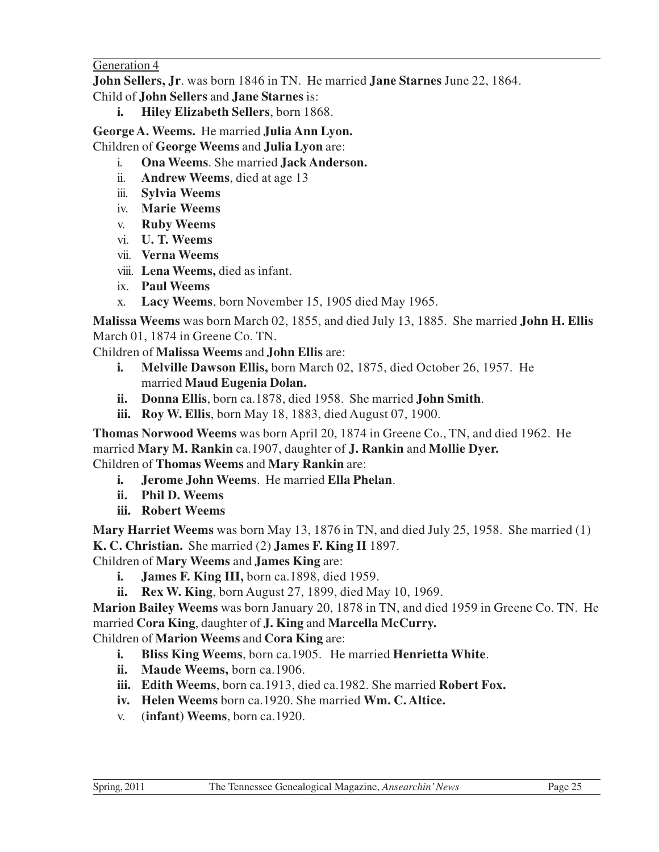Generation 4

**John Sellers, Jr**. was born 1846 in TN. He married **Jane Starnes** June 22, 1864.

Child of **John Sellers** and **Jane Starnes** is:

**i. Hiley Elizabeth Sellers**, born 1868.

**George A. Weems.** He married **Julia Ann Lyon.**

Children of **George Weems** and **Julia Lyon** are:

- i. **Ona Weems**. She married **Jack Anderson.**
- ii. **Andrew Weems**, died at age 13
- iii. **Sylvia Weems**
- iv. **Marie Weems**
- v. **Ruby Weems**
- vi. **U. T. Weems**
- vii. **Verna Weems**
- viii. **Lena Weems,** died as infant.
- ix. **Paul Weems**
- x. **Lacy Weems**, born November 15, 1905 died May 1965.

**Malissa Weems** was born March 02, 1855, and died July 13, 1885. She married **John H. Ellis** March 01, 1874 in Greene Co. TN.

- Children of **Malissa Weems** and **John Ellis** are:
	- **i. Melville Dawson Ellis,** born March 02, 1875, died October 26, 1957. He married **Maud Eugenia Dolan.**
	- **ii. Donna Ellis**, born ca.1878, died 1958. She married **John Smith**.
	- **iii. Roy W. Ellis**, born May 18, 1883, died August 07, 1900.

**Thomas Norwood Weems** was born April 20, 1874 in Greene Co., TN, and died 1962. He married **Mary M. Rankin** ca.1907, daughter of **J. Rankin** and **Mollie Dyer.** Children of **Thomas Weems** and **Mary Rankin** are:

- **i. Jerome John Weems**. He married **Ella Phelan**.
- **ii. Phil D. Weems**
- **iii. Robert Weems**

**Mary Harriet Weems** was born May 13, 1876 in TN, and died July 25, 1958. She married (1) **K. C. Christian.** She married (2) **James F. King II** 1897.

Children of **Mary Weems** and **James King** are:

- **i. James F. King III,** born ca.1898, died 1959.
- **ii. Rex W. King**, born August 27, 1899, died May 10, 1969.

**Marion Bailey Weems** was born January 20, 1878 in TN, and died 1959 in Greene Co. TN. He married **Cora King**, daughter of **J. King** and **Marcella McCurry.**

Children of **Marion Weems** and **Cora King** are:

- **i. Bliss King Weems**, born ca.1905. He married **Henrietta White**.
- **ii. Maude Weems,** born ca.1906.
- **iii. Edith Weems**, born ca.1913, died ca.1982. She married **Robert Fox.**
- **iv. Helen Weems** born ca.1920. She married **Wm. C. Altice.**
- v. (**infant) Weems**, born ca.1920.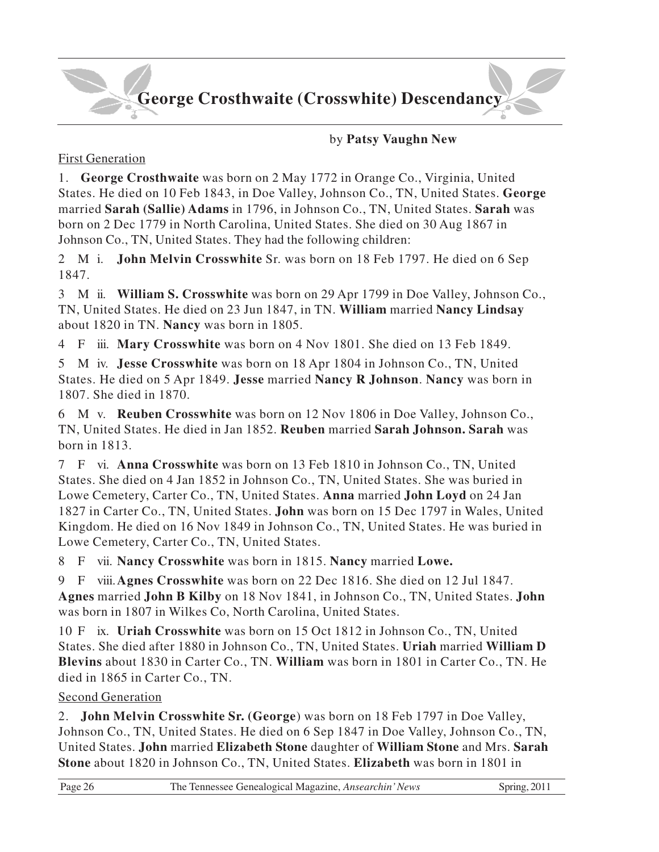# **George Crosthwaite (Crosswhite) Descendancy**

#### by **Patsy Vaughn New**

#### First Generation

1. **George Crosthwaite** was born on 2 May 1772 in Orange Co., Virginia, United States. He died on 10 Feb 1843, in Doe Valley, Johnson Co., TN, United States. **George** married **Sarah (Sallie) Adams** in 1796, in Johnson Co., TN, United States. **Sarah** was born on 2 Dec 1779 in North Carolina, United States. She died on 30 Aug 1867 in Johnson Co., TN, United States. They had the following children:

2 M i. **John Melvin Crosswhite** Sr. was born on 18 Feb 1797. He died on 6 Sep 1847.

3 M ii. **William S. Crosswhite** was born on 29 Apr 1799 in Doe Valley, Johnson Co., TN, United States. He died on 23 Jun 1847, in TN. **William** married **Nancy Lindsay** about 1820 in TN. **Nancy** was born in 1805.

4 F iii. **Mary Crosswhite** was born on 4 Nov 1801. She died on 13 Feb 1849.

5 M iv. **Jesse Crosswhite** was born on 18 Apr 1804 in Johnson Co., TN, United States. He died on 5 Apr 1849. **Jesse** married **Nancy R Johnson**. **Nancy** was born in 1807. She died in 1870.

6 M v. **Reuben Crosswhite** was born on 12 Nov 1806 in Doe Valley, Johnson Co., TN, United States. He died in Jan 1852. **Reuben** married **Sarah Johnson. Sarah** was born in 1813.

7 F vi. **Anna Crosswhite** was born on 13 Feb 1810 in Johnson Co., TN, United States. She died on 4 Jan 1852 in Johnson Co., TN, United States. She was buried in Lowe Cemetery, Carter Co., TN, United States. **Anna** married **John Loyd** on 24 Jan 1827 in Carter Co., TN, United States. **John** was born on 15 Dec 1797 in Wales, United Kingdom. He died on 16 Nov 1849 in Johnson Co., TN, United States. He was buried in Lowe Cemetery, Carter Co., TN, United States.

8 F vii. **Nancy Crosswhite** was born in 1815. **Nancy** married **Lowe.**

9 F viii.**Agnes Crosswhite** was born on 22 Dec 1816. She died on 12 Jul 1847. **Agnes** married **John B Kilby** on 18 Nov 1841, in Johnson Co., TN, United States. **John** was born in 1807 in Wilkes Co, North Carolina, United States.

10 F ix. **Uriah Crosswhite** was born on 15 Oct 1812 in Johnson Co., TN, United States. She died after 1880 in Johnson Co., TN, United States. **Uriah** married **William D Blevins** about 1830 in Carter Co., TN. **William** was born in 1801 in Carter Co., TN. He died in 1865 in Carter Co., TN.

#### Second Generation

2. **John Melvin Crosswhite Sr. (George**) was born on 18 Feb 1797 in Doe Valley, Johnson Co., TN, United States. He died on 6 Sep 1847 in Doe Valley, Johnson Co., TN, United States. **John** married **Elizabeth Stone** daughter of **William Stone** and Mrs. **Sarah Stone** about 1820 in Johnson Co., TN, United States. **Elizabeth** was born in 1801 in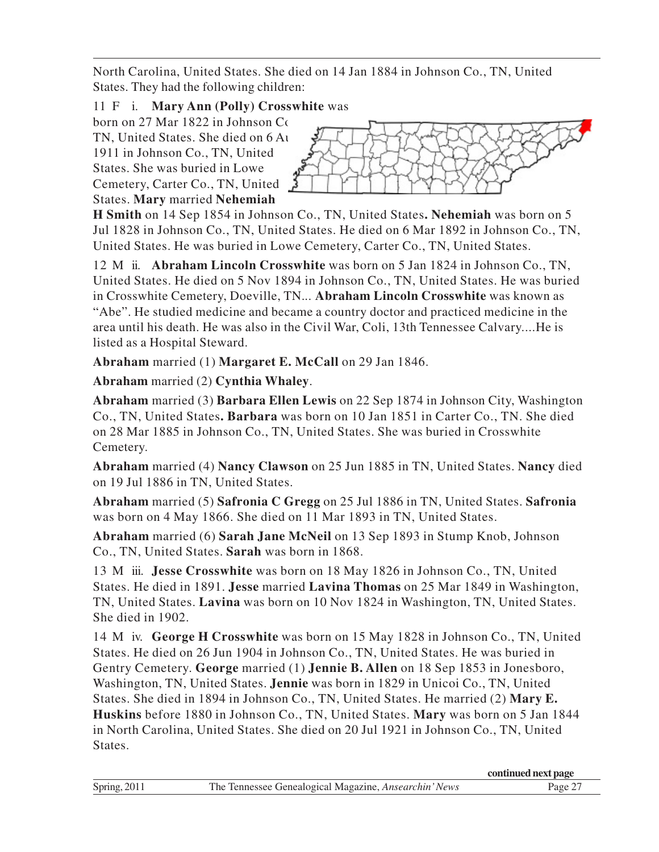North Carolina, United States. She died on 14 Jan 1884 in Johnson Co., TN, United States. They had the following children:

### 11 F i. **Mary Ann (Polly) Crosswhite** was

born on 27 Mar 1822 in Johnson Co. TN, United States. She died on 6 Aug 1911 in Johnson Co., TN, United States. She was buried in Lowe Cemetery, Carter Co., TN, United States. **Mary** married **Nehemiah**



**H Smith** on 14 Sep 1854 in Johnson Co., TN, United States**. Nehemiah** was born on 5 Jul 1828 in Johnson Co., TN, United States. He died on 6 Mar 1892 in Johnson Co., TN, United States. He was buried in Lowe Cemetery, Carter Co., TN, United States.

12 M ii. **Abraham Lincoln Crosswhite** was born on 5 Jan 1824 in Johnson Co., TN, United States. He died on 5 Nov 1894 in Johnson Co., TN, United States. He was buried in Crosswhite Cemetery, Doeville, TN.*..* **Abraham Lincoln Crosswhite** was known as "Abe". He studied medicine and became a country doctor and practiced medicine in the area until his death. He was also in the Civil War, Coli, 13th Tennessee Calvary....He is listed as a Hospital Steward.

**Abraham** married (1) **Margaret E. McCall** on 29 Jan 1846.

**Abraham** married (2) **Cynthia Whaley**.

**Abraham** married (3) **Barbara Ellen Lewis** on 22 Sep 1874 in Johnson City, Washington Co., TN, United States**. Barbara** was born on 10 Jan 1851 in Carter Co., TN. She died on 28 Mar 1885 in Johnson Co., TN, United States. She was buried in Crosswhite Cemetery.

**Abraham** married (4) **Nancy Clawson** on 25 Jun 1885 in TN, United States. **Nancy** died on 19 Jul 1886 in TN, United States.

**Abraham** married (5) **Safronia C Gregg** on 25 Jul 1886 in TN, United States. **Safronia** was born on 4 May 1866. She died on 11 Mar 1893 in TN, United States.

**Abraham** married (6) **Sarah Jane McNeil** on 13 Sep 1893 in Stump Knob, Johnson Co., TN, United States. **Sarah** was born in 1868.

13 M iii. **Jesse Crosswhite** was born on 18 May 1826 in Johnson Co., TN, United States. He died in 1891. **Jesse** married **Lavina Thomas** on 25 Mar 1849 in Washington, TN, United States. **Lavina** was born on 10 Nov 1824 in Washington, TN, United States. She died in 1902.

14 M iv. **George H Crosswhite** was born on 15 May 1828 in Johnson Co., TN, United States. He died on 26 Jun 1904 in Johnson Co., TN, United States. He was buried in Gentry Cemetery. **George** married (1) **Jennie B. Allen** on 18 Sep 1853 in Jonesboro, Washington, TN, United States. **Jennie** was born in 1829 in Unicoi Co., TN, United States. She died in 1894 in Johnson Co., TN, United States. He married (2) **Mary E. Huskins** before 1880 in Johnson Co., TN, United States. **Mary** was born on 5 Jan 1844 in North Carolina, United States. She died on 20 Jul 1921 in Johnson Co., TN, United States.

|              |                                                       | continued next page |
|--------------|-------------------------------------------------------|---------------------|
| Spring, 2011 | The Tennessee Genealogical Magazine, Ansearchin' News | Page 2′             |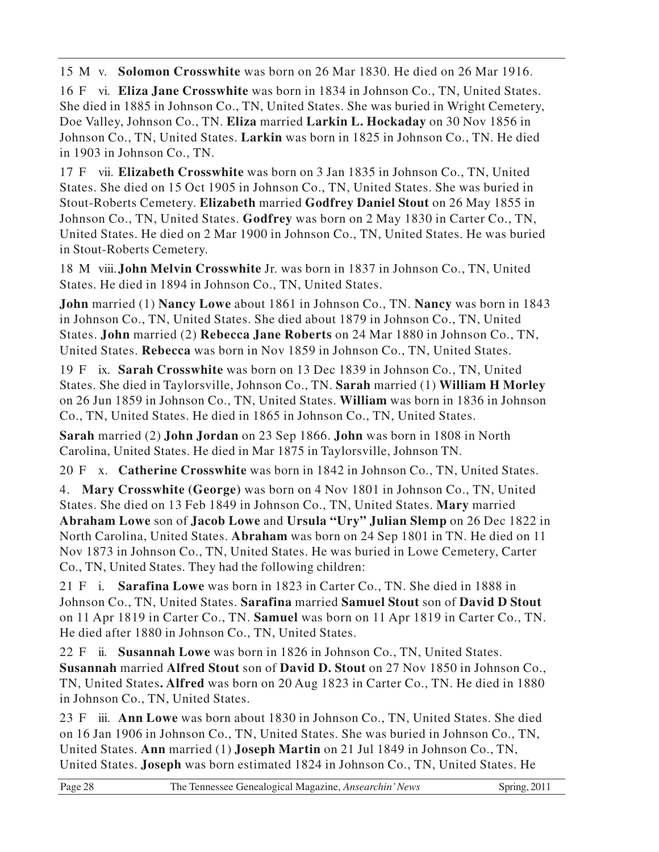15 M v. **Solomon Crosswhite** was born on 26 Mar 1830. He died on 26 Mar 1916.

16 F vi. **Eliza Jane Crosswhite** was born in 1834 in Johnson Co., TN, United States. She died in 1885 in Johnson Co., TN, United States. She was buried in Wright Cemetery, Doe Valley, Johnson Co., TN. **Eliza** married **Larkin L. Hockaday** on 30 Nov 1856 in Johnson Co., TN, United States. **Larkin** was born in 1825 in Johnson Co., TN. He died in 1903 in Johnson Co., TN.

17 F vii. **Elizabeth Crosswhite** was born on 3 Jan 1835 in Johnson Co., TN, United States. She died on 15 Oct 1905 in Johnson Co., TN, United States. She was buried in Stout-Roberts Cemetery. **Elizabeth** married **Godfrey Daniel Stout** on 26 May 1855 in Johnson Co., TN, United States. **Godfrey** was born on 2 May 1830 in Carter Co., TN, United States. He died on 2 Mar 1900 in Johnson Co., TN, United States. He was buried in Stout-Roberts Cemetery.

18 M viii.**John Melvin Crosswhite** Jr. was born in 1837 in Johnson Co., TN, United States. He died in 1894 in Johnson Co., TN, United States.

**John** married (1) **Nancy Lowe** about 1861 in Johnson Co., TN. **Nancy** was born in 1843 in Johnson Co., TN, United States. She died about 1879 in Johnson Co., TN, United States. **John** married (2) **Rebecca Jane Roberts** on 24 Mar 1880 in Johnson Co., TN, United States. **Rebecca** was born in Nov 1859 in Johnson Co., TN, United States.

19 F ix. **Sarah Crosswhite** was born on 13 Dec 1839 in Johnson Co., TN, United States. She died in Taylorsville, Johnson Co., TN. **Sarah** married (1) **William H Morley** on 26 Jun 1859 in Johnson Co., TN, United States. **William** was born in 1836 in Johnson Co., TN, United States. He died in 1865 in Johnson Co., TN, United States.

**Sarah** married (2) **John Jordan** on 23 Sep 1866. **John** was born in 1808 in North Carolina, United States. He died in Mar 1875 in Taylorsville, Johnson TN.

20 F x. **Catherine Crosswhite** was born in 1842 in Johnson Co., TN, United States.

4. **Mary Crosswhite (George)** was born on 4 Nov 1801 in Johnson Co., TN, United States. She died on 13 Feb 1849 in Johnson Co., TN, United States. **Mary** married **Abraham Lowe** son of **Jacob Lowe** and **Ursula "Ury" Julian Slemp** on 26 Dec 1822 in North Carolina, United States. **Abraham** was born on 24 Sep 1801 in TN. He died on 11 Nov 1873 in Johnson Co., TN, United States. He was buried in Lowe Cemetery, Carter Co., TN, United States. They had the following children:

21 F i. **Sarafina Lowe** was born in 1823 in Carter Co., TN. She died in 1888 in Johnson Co., TN, United States. **Sarafina** married **Samuel Stout** son of **David D Stout** on 11 Apr 1819 in Carter Co., TN. **Samuel** was born on 11 Apr 1819 in Carter Co., TN. He died after 1880 in Johnson Co., TN, United States.

22 F ii. **Susannah Lowe** was born in 1826 in Johnson Co., TN, United States. **Susannah** married **Alfred Stout** son of **David D. Stout** on 27 Nov 1850 in Johnson Co., TN, United States**. Alfred** was born on 20 Aug 1823 in Carter Co., TN. He died in 1880 in Johnson Co., TN, United States.

23 F iii. **Ann Lowe** was born about 1830 in Johnson Co., TN, United States. She died on 16 Jan 1906 in Johnson Co., TN, United States. She was buried in Johnson Co., TN, United States. **Ann** married (1) **Joseph Martin** on 21 Jul 1849 in Johnson Co., TN, United States. **Joseph** was born estimated 1824 in Johnson Co., TN, United States. He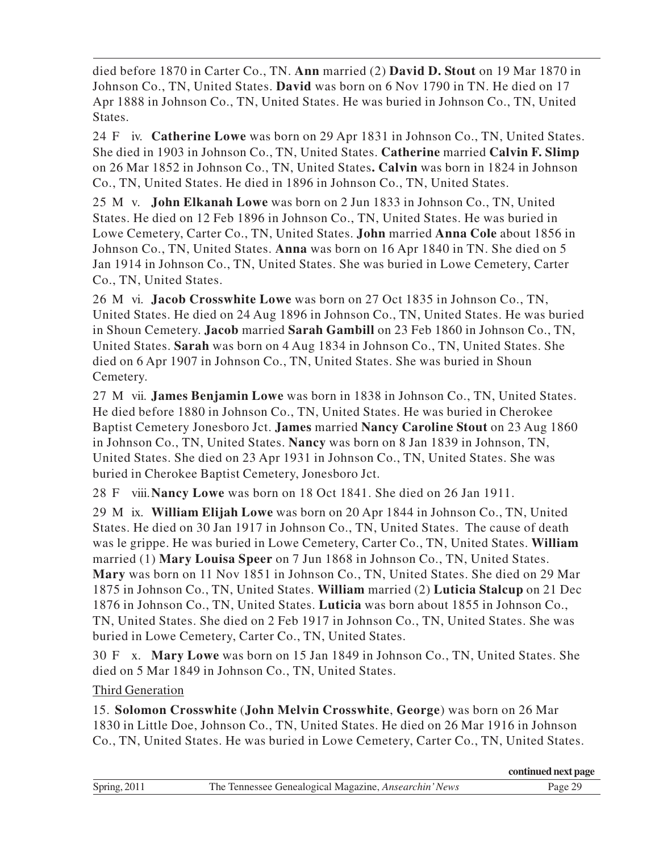died before 1870 in Carter Co., TN. **Ann** married (2) **David D. Stout** on 19 Mar 1870 in Johnson Co., TN, United States. **David** was born on 6 Nov 1790 in TN. He died on 17 Apr 1888 in Johnson Co., TN, United States. He was buried in Johnson Co., TN, United States.

24 F iv. **Catherine Lowe** was born on 29 Apr 1831 in Johnson Co., TN, United States. She died in 1903 in Johnson Co., TN, United States. **Catherine** married **Calvin F. Slimp** on 26 Mar 1852 in Johnson Co., TN, United States**. Calvin** was born in 1824 in Johnson Co., TN, United States. He died in 1896 in Johnson Co., TN, United States.

25 M v. **John Elkanah Lowe** was born on 2 Jun 1833 in Johnson Co., TN, United States. He died on 12 Feb 1896 in Johnson Co., TN, United States. He was buried in Lowe Cemetery, Carter Co., TN, United States. **John** married **Anna Cole** about 1856 in Johnson Co., TN, United States. **Anna** was born on 16 Apr 1840 in TN. She died on 5 Jan 1914 in Johnson Co., TN, United States. She was buried in Lowe Cemetery, Carter Co., TN, United States.

26 M vi. **Jacob Crosswhite Lowe** was born on 27 Oct 1835 in Johnson Co., TN, United States. He died on 24 Aug 1896 in Johnson Co., TN, United States. He was buried in Shoun Cemetery. **Jacob** married **Sarah Gambill** on 23 Feb 1860 in Johnson Co., TN, United States. **Sarah** was born on 4 Aug 1834 in Johnson Co., TN, United States. She died on 6 Apr 1907 in Johnson Co., TN, United States. She was buried in Shoun Cemetery.

27 M vii. **James Benjamin Lowe** was born in 1838 in Johnson Co., TN, United States. He died before 1880 in Johnson Co., TN, United States. He was buried in Cherokee Baptist Cemetery Jonesboro Jct. **James** married **Nancy Caroline Stout** on 23 Aug 1860 in Johnson Co., TN, United States. **Nancy** was born on 8 Jan 1839 in Johnson, TN, United States. She died on 23 Apr 1931 in Johnson Co., TN, United States. She was buried in Cherokee Baptist Cemetery, Jonesboro Jct.

28 F viii.**Nancy Lowe** was born on 18 Oct 1841. She died on 26 Jan 1911.

29 M ix. **William Elijah Lowe** was born on 20 Apr 1844 in Johnson Co., TN, United States. He died on 30 Jan 1917 in Johnson Co., TN, United States. The cause of death was le grippe. He was buried in Lowe Cemetery, Carter Co., TN, United States. **William** married (1) **Mary Louisa Speer** on 7 Jun 1868 in Johnson Co., TN, United States. **Mary** was born on 11 Nov 1851 in Johnson Co., TN, United States. She died on 29 Mar 1875 in Johnson Co., TN, United States. **William** married (2) **Luticia Stalcup** on 21 Dec 1876 in Johnson Co., TN, United States. **Luticia** was born about 1855 in Johnson Co., TN, United States. She died on 2 Feb 1917 in Johnson Co., TN, United States. She was buried in Lowe Cemetery, Carter Co., TN, United States.

30 F x. **Mary Lowe** was born on 15 Jan 1849 in Johnson Co., TN, United States. She died on 5 Mar 1849 in Johnson Co., TN, United States.

#### Third Generation

15. **Solomon Crosswhite** (**John Melvin Crosswhite**, **George**) was born on 26 Mar 1830 in Little Doe, Johnson Co., TN, United States. He died on 26 Mar 1916 in Johnson Co., TN, United States. He was buried in Lowe Cemetery, Carter Co., TN, United States.

|              |                                                              | continued next page |
|--------------|--------------------------------------------------------------|---------------------|
| Spring, 2011 | The Tennessee Genealogical Magazine, <i>Ansearchin' News</i> | Page 29             |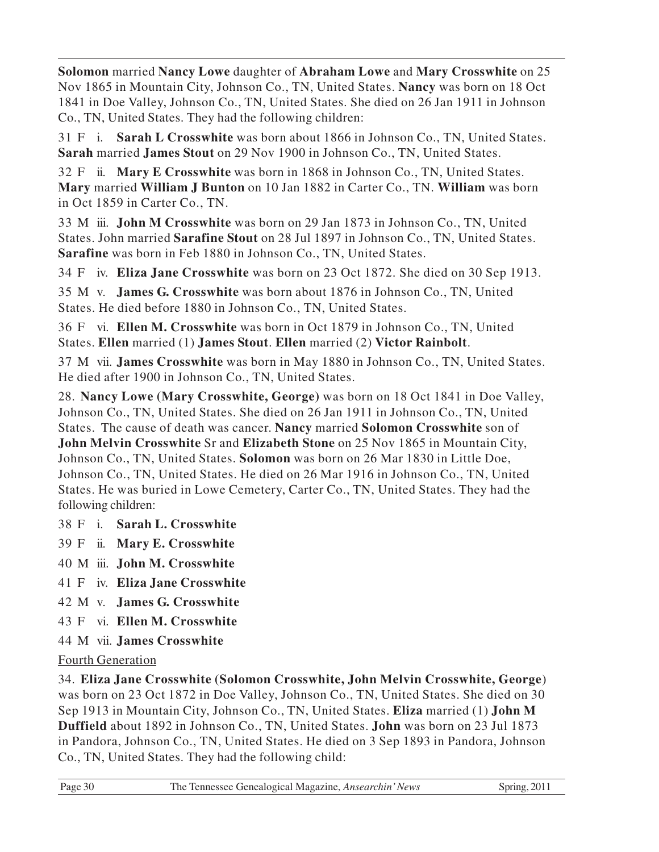**Solomon** married **Nancy Lowe** daughter of **Abraham Lowe** and **Mary Crosswhite** on 25 Nov 1865 in Mountain City, Johnson Co., TN, United States. **Nancy** was born on 18 Oct 1841 in Doe Valley, Johnson Co., TN, United States. She died on 26 Jan 1911 in Johnson Co., TN, United States. They had the following children:

31 F i. **Sarah L Crosswhite** was born about 1866 in Johnson Co., TN, United States. **Sarah** married **James Stout** on 29 Nov 1900 in Johnson Co., TN, United States.

32 F ii. **Mary E Crosswhite** was born in 1868 in Johnson Co., TN, United States. **Mary** married **William J Bunton** on 10 Jan 1882 in Carter Co., TN. **William** was born in Oct 1859 in Carter Co., TN.

33 M iii. **John M Crosswhite** was born on 29 Jan 1873 in Johnson Co., TN, United States. John married **Sarafine Stout** on 28 Jul 1897 in Johnson Co., TN, United States. **Sarafine** was born in Feb 1880 in Johnson Co., TN, United States.

34 F iv. **Eliza Jane Crosswhite** was born on 23 Oct 1872. She died on 30 Sep 1913.

35 M v. **James G. Crosswhite** was born about 1876 in Johnson Co., TN, United States. He died before 1880 in Johnson Co., TN, United States.

36 F vi. **Ellen M. Crosswhite** was born in Oct 1879 in Johnson Co., TN, United States. **Ellen** married (1) **James Stout**. **Ellen** married (2) **Victor Rainbolt**.

37 M vii. **James Crosswhite** was born in May 1880 in Johnson Co., TN, United States. He died after 1900 in Johnson Co., TN, United States.

28. **Nancy Lowe (Mary Crosswhite, George)** was born on 18 Oct 1841 in Doe Valley, Johnson Co., TN, United States. She died on 26 Jan 1911 in Johnson Co., TN, United States. The cause of death was cancer. **Nancy** married **Solomon Crosswhite** son of **John Melvin Crosswhite** Sr and **Elizabeth Stone** on 25 Nov 1865 in Mountain City, Johnson Co., TN, United States. **Solomon** was born on 26 Mar 1830 in Little Doe, Johnson Co., TN, United States. He died on 26 Mar 1916 in Johnson Co., TN, United States. He was buried in Lowe Cemetery, Carter Co., TN, United States. They had the following children:

#### 38 F i. **Sarah L. Crosswhite**

- 39 F ii. **Mary E. Crosswhite**
- 40 M iii. **John M. Crosswhite**
- 41 F iv. **Eliza Jane Crosswhite**
- 42 M v. **James G. Crosswhite**
- 43 F vi. **Ellen M. Crosswhite**
- 44 M vii. **James Crosswhite**

#### Fourth Generation

34. **Eliza Jane Crosswhite (Solomon Crosswhite, John Melvin Crosswhite, George**) was born on 23 Oct 1872 in Doe Valley, Johnson Co., TN, United States. She died on 30 Sep 1913 in Mountain City, Johnson Co., TN, United States. **Eliza** married (1) **John M Duffield** about 1892 in Johnson Co., TN, United States. **John** was born on 23 Jul 1873 in Pandora, Johnson Co., TN, United States. He died on 3 Sep 1893 in Pandora, Johnson Co., TN, United States. They had the following child: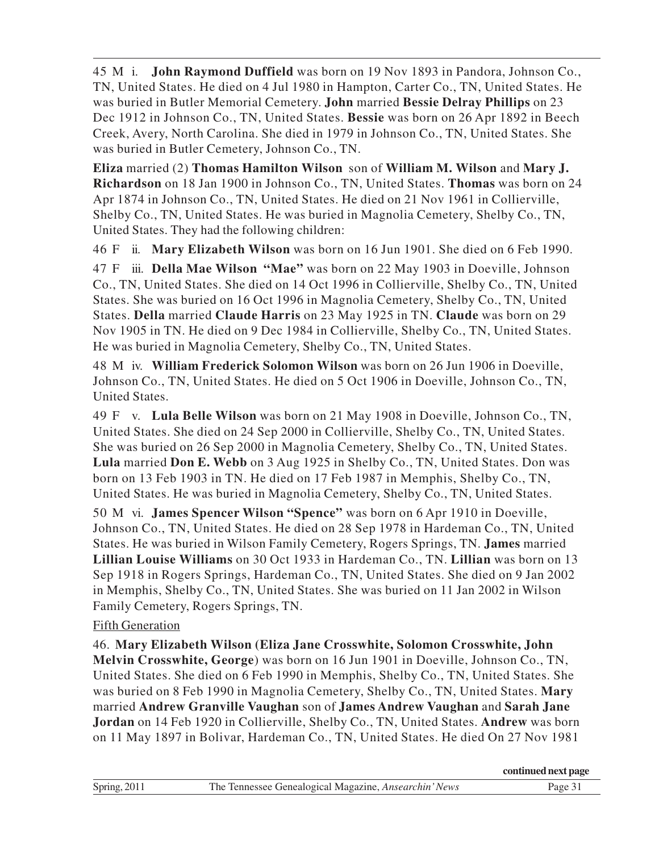45 M i. **John Raymond Duffield** was born on 19 Nov 1893 in Pandora, Johnson Co., TN, United States. He died on 4 Jul 1980 in Hampton, Carter Co., TN, United States. He was buried in Butler Memorial Cemetery. **John** married **Bessie Delray Phillips** on 23 Dec 1912 in Johnson Co., TN, United States. **Bessie** was born on 26 Apr 1892 in Beech Creek, Avery, North Carolina. She died in 1979 in Johnson Co., TN, United States. She was buried in Butler Cemetery, Johnson Co., TN.

**Eliza** married (2) **Thomas Hamilton Wilson** son of **William M. Wilson** and **Mary J. Richardson** on 18 Jan 1900 in Johnson Co., TN, United States. **Thomas** was born on 24 Apr 1874 in Johnson Co., TN, United States. He died on 21 Nov 1961 in Collierville, Shelby Co., TN, United States. He was buried in Magnolia Cemetery, Shelby Co., TN, United States. They had the following children:

46 F ii. **Mary Elizabeth Wilson** was born on 16 Jun 1901. She died on 6 Feb 1990.

47 F iii. **Della Mae Wilson "Mae"** was born on 22 May 1903 in Doeville, Johnson Co., TN, United States. She died on 14 Oct 1996 in Collierville, Shelby Co., TN, United States. She was buried on 16 Oct 1996 in Magnolia Cemetery, Shelby Co., TN, United States. **Della** married **Claude Harris** on 23 May 1925 in TN. **Claude** was born on 29 Nov 1905 in TN. He died on 9 Dec 1984 in Collierville, Shelby Co., TN, United States. He was buried in Magnolia Cemetery, Shelby Co., TN, United States.

48 M iv. **William Frederick Solomon Wilson** was born on 26 Jun 1906 in Doeville, Johnson Co., TN, United States. He died on 5 Oct 1906 in Doeville, Johnson Co., TN, United States.

49 F v. **Lula Belle Wilson** was born on 21 May 1908 in Doeville, Johnson Co., TN, United States. She died on 24 Sep 2000 in Collierville, Shelby Co., TN, United States. She was buried on 26 Sep 2000 in Magnolia Cemetery, Shelby Co., TN, United States. **Lula** married **Don E. Webb** on 3 Aug 1925 in Shelby Co., TN, United States. Don was born on 13 Feb 1903 in TN. He died on 17 Feb 1987 in Memphis, Shelby Co., TN, United States. He was buried in Magnolia Cemetery, Shelby Co., TN, United States.

50 M vi. **James Spencer Wilson "Spence"** was born on 6 Apr 1910 in Doeville, Johnson Co., TN, United States. He died on 28 Sep 1978 in Hardeman Co., TN, United States. He was buried in Wilson Family Cemetery, Rogers Springs, TN. **James** married **Lillian Louise Williams** on 30 Oct 1933 in Hardeman Co., TN. **Lillian** was born on 13 Sep 1918 in Rogers Springs, Hardeman Co., TN, United States. She died on 9 Jan 2002 in Memphis, Shelby Co., TN, United States. She was buried on 11 Jan 2002 in Wilson Family Cemetery, Rogers Springs, TN.

#### Fifth Generation

46. **Mary Elizabeth Wilson (Eliza Jane Crosswhite, Solomon Crosswhite, John**

**Melvin Crosswhite, George**) was born on 16 Jun 1901 in Doeville, Johnson Co., TN, United States. She died on 6 Feb 1990 in Memphis, Shelby Co., TN, United States. She was buried on 8 Feb 1990 in Magnolia Cemetery, Shelby Co., TN, United States. **Mary** married **Andrew Granville Vaughan** son of **James Andrew Vaughan** and **Sarah Jane Jordan** on 14 Feb 1920 in Collierville, Shelby Co., TN, United States. **Andrew** was born on 11 May 1897 in Bolivar, Hardeman Co., TN, United States. He died On 27 Nov 1981

|              |                                                       | continued next page |
|--------------|-------------------------------------------------------|---------------------|
| Spring, 2011 | The Tennessee Genealogical Magazine, Ansearchin' News | Page 31             |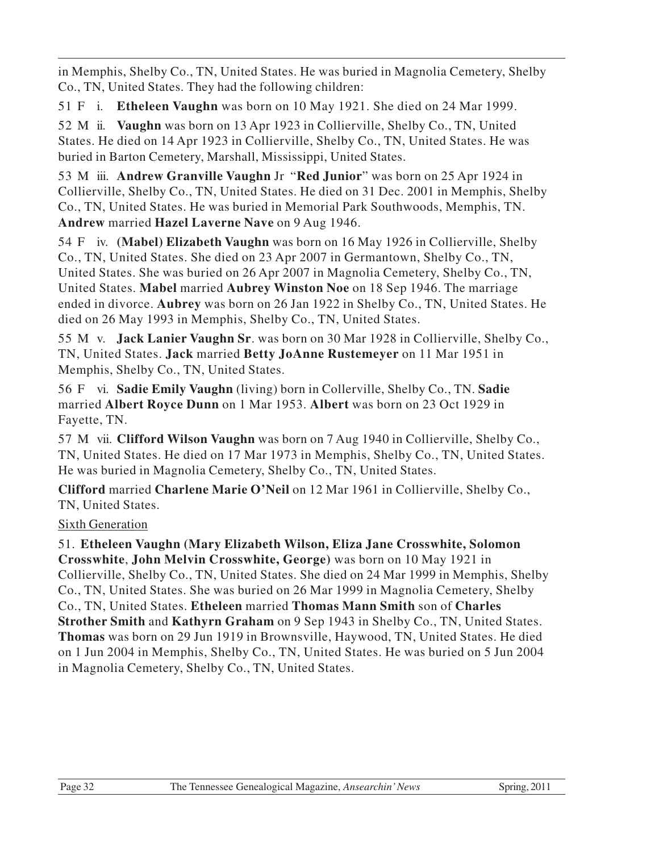in Memphis, Shelby Co., TN, United States. He was buried in Magnolia Cemetery, Shelby Co., TN, United States. They had the following children:

51 F i. **Etheleen Vaughn** was born on 10 May 1921. She died on 24 Mar 1999.

52 M ii. **Vaughn** was born on 13 Apr 1923 in Collierville, Shelby Co., TN, United States. He died on 14 Apr 1923 in Collierville, Shelby Co., TN, United States. He was buried in Barton Cemetery, Marshall, Mississippi, United States.

53 M iii. **Andrew Granville Vaughn** Jr "**Red Junior**" was born on 25 Apr 1924 in Collierville, Shelby Co., TN, United States. He died on 31 Dec. 2001 in Memphis, Shelby Co., TN, United States. He was buried in Memorial Park Southwoods, Memphis, TN. **Andrew** married **Hazel Laverne Nave** on 9 Aug 1946.

54 F iv. **(Mabel) Elizabeth Vaughn** was born on 16 May 1926 in Collierville, Shelby Co., TN, United States. She died on 23 Apr 2007 in Germantown, Shelby Co., TN, United States. She was buried on 26 Apr 2007 in Magnolia Cemetery, Shelby Co., TN, United States. **Mabel** married **Aubrey Winston Noe** on 18 Sep 1946. The marriage ended in divorce. **Aubrey** was born on 26 Jan 1922 in Shelby Co., TN, United States. He died on 26 May 1993 in Memphis, Shelby Co., TN, United States.

55 M v. **Jack Lanier Vaughn Sr**. was born on 30 Mar 1928 in Collierville, Shelby Co., TN, United States. **Jack** married **Betty JoAnne Rustemeyer** on 11 Mar 1951 in Memphis, Shelby Co., TN, United States.

56 F vi. **Sadie Emily Vaughn** (living) born in Collerville, Shelby Co., TN. **Sadie** married **Albert Royce Dunn** on 1 Mar 1953. **Albert** was born on 23 Oct 1929 in Fayette, TN.

57 M vii. **Clifford Wilson Vaughn** was born on 7 Aug 1940 in Collierville, Shelby Co., TN, United States. He died on 17 Mar 1973 in Memphis, Shelby Co., TN, United States. He was buried in Magnolia Cemetery, Shelby Co., TN, United States.

**Clifford** married **Charlene Marie O'Neil** on 12 Mar 1961 in Collierville, Shelby Co., TN, United States.

#### Sixth Generation

51. **Etheleen Vaughn (Mary Elizabeth Wilson, Eliza Jane Crosswhite, Solomon Crosswhite**, **John Melvin Crosswhite, George)** was born on 10 May 1921 in Collierville, Shelby Co., TN, United States. She died on 24 Mar 1999 in Memphis, Shelby Co., TN, United States. She was buried on 26 Mar 1999 in Magnolia Cemetery, Shelby Co., TN, United States. **Etheleen** married **Thomas Mann Smith** son of **Charles Strother Smith** and **Kathyrn Graham** on 9 Sep 1943 in Shelby Co., TN, United States. **Thomas** was born on 29 Jun 1919 in Brownsville, Haywood, TN, United States. He died on 1 Jun 2004 in Memphis, Shelby Co., TN, United States. He was buried on 5 Jun 2004 in Magnolia Cemetery, Shelby Co., TN, United States.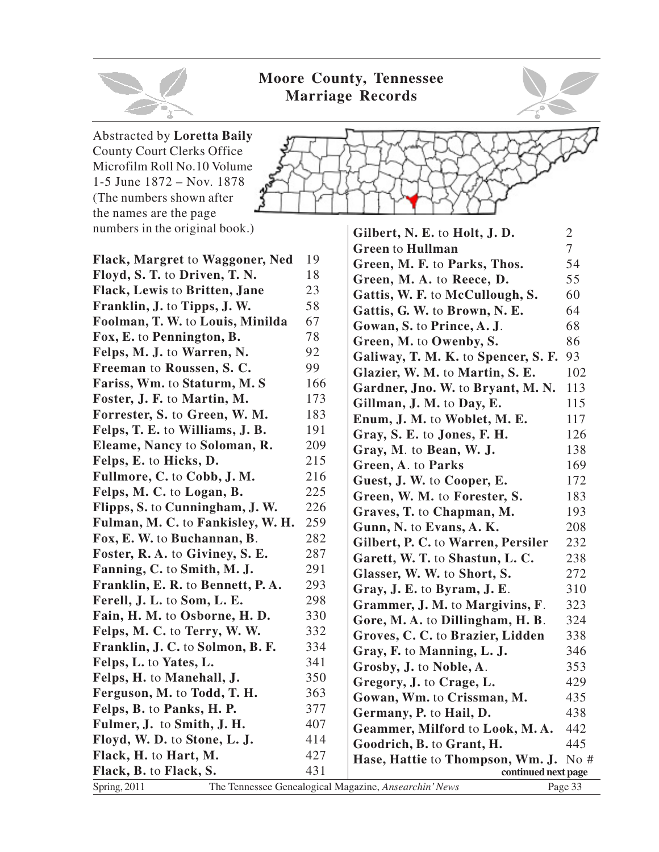

Abstracted by **Loretta Baily** County Court Clerks Office

1-5 June 1872 – Nov. 1878 (The numbers shown after the names are the page

numbers in the original book.)



**Flack, Margret** to **Waggoner, Ned** 19 **Floyd, S. T.** to **Driven, T. N.** 18 **Flack, Lewis** to **Britten, Jane** 23 **Franklin, J.** to **Tipps, J. W.** 58 **Foolman, T. W.** to **Louis, Minilda** 67 **Fox, E.** to **Pennington, B.** 78 **Felps, M. J.** to **Warren, N.** 92 **Freeman** to **Roussen**, **S. C.** 99 **Fariss, Wm.** to **Staturm, M. S** 166 **Foster, J. F.** to **Martin, M.** 173 **Forrester, S. to Green, W. M.** 183 **Felps, T. E.** to **Williams, J. B.** 191 **Eleame, Nancy to Soloman, R.** 209 **Felps, E.** to **Hicks, D.** 215 **Fullmore, C.** to **Cobb, J. M.** 216 **Felps, M. C.** to **Logan, B.** 225 **Flipps, S.** to **Cunningham, J. W.** 226 **Fulman, M. C.** to **Fankisley, W. H.** 259 **Fox, E. W.** to **Buchannan, B**. 282 **Foster, R. A.** to **Giviney, S. E.** 287 **Fanning, C.** to **Smith, M. J.** 291 **Franklin, E. R.** to **Bennett, P. A.** 293 **Ferell, J. L.** to **Som, L. E.** 298 **Fain, H. M. to Osborne, H. D.** 330 **Felps, M. C.** to **Terry, W. W.** 332 **Franklin, J. C.** to **Solmon, B. F.** 334 **Felps, L.** to **Yates, L.** 341 **Felps, H.** to **Manehall, J.** 350 **Ferguson, M.** to **Todd, T. H.** 363 **Felps, B.** to **Panks, H. P.** 377 **Fulmer, J. to Smith, J. H.** 407 **Floyd, W. D.** to **Stone, L. J.** 414 **Flack, H.** to **Hart, M.** 427 **Flack, B.** to **Flack, S.** 431



| Gilbert, N. E. to Holt, J. D.       | $\overline{2}$ |
|-------------------------------------|----------------|
| <b>Green to Hullman</b>             | 7              |
| Green, M. F. to Parks, Thos.        | 54             |
| Green, M. A. to Reece, D.           | 55             |
| Gattis, W. F. to McCullough, S.     | 60             |
| Gattis, G. W. to Brown, N. E.       | 64             |
| Gowan, S. to Prince, A. J.          | 68             |
| Green, M. to Owenby, S.             | 86             |
| Galiway, T. M. K. to Spencer, S. F. | 93             |
| Glazier, W. M. to Martin, S. E.     | 102            |
| Gardner, Jno. W. to Bryant, M. N.   | 113            |
| Gillman, J. M. to Day, E.           | 115            |
| Enum, J. M. to Woblet, M. E.        | 117            |
| Gray, S. E. to Jones, F. H.         | 126            |
| Gray, M. to Bean, W. J.             | 138            |
| Green, A. to Parks                  | 169            |
| Guest, J. W. to Cooper, E.          | 172            |
| Green, W. M. to Forester, S.        | 183            |
| Graves, T. to Chapman, M.           | 193            |
| Gunn, N. to Evans, A. K.            | 208            |
| Gilbert, P. C. to Warren, Persiler  | 232            |
| Garett, W. T. to Shastun, L. C.     | 238            |
| Glasser, W. W. to Short, S.         | 272            |
| Gray, J. E. to Byram, J. E.         | 310            |
| Grammer, J. M. to Margivins, F.     | 323            |
| Gore, M. A. to Dillingham, H. B.    | 324            |
| Groves, C. C. to Brazier, Lidden    | 338            |
| Gray, F. to Manning, L. J.          | 346            |
| Grosby, J. to Noble, A.             | 353            |
| Gregory, J. to Crage, L.            | 429            |
| Gowan, Wm. to Crissman, M.          | 435            |
| Germany, P. to Hail, D.             | 438            |
| Geammer, Milford to Look, M.A.      | 442            |
| Goodrich, B. to Grant, H.           | 445            |
| Hase, Hattie to Thompson, Wm. J.    | No #           |
| continued next page                 |                |

Spring, 2011 The Tennessee Genealogical Magazine, *Ansearchin' News* Page 33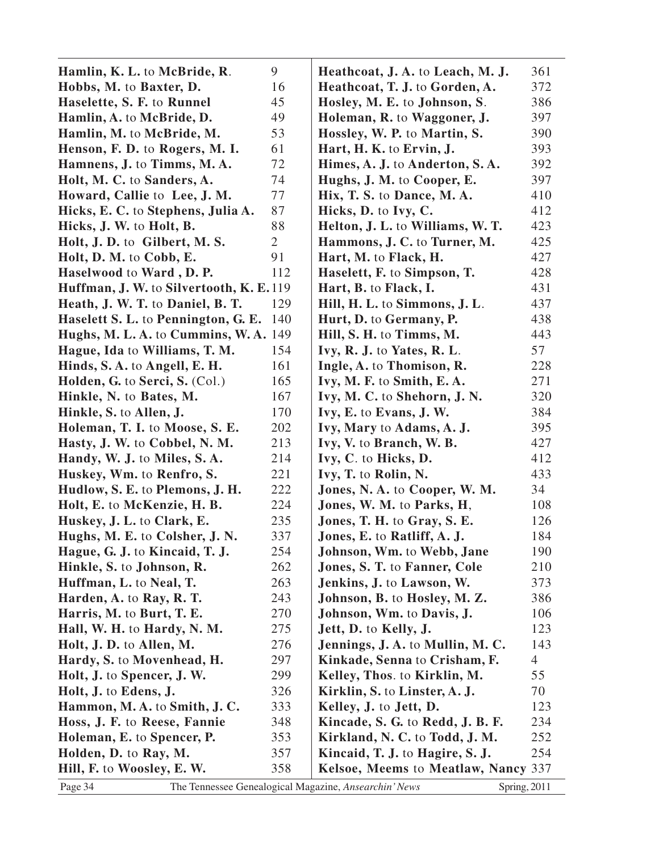| Hamlin, K. L. to McBride, R.             | 9              | Heathcoat, J. A. to Leach, M. J.                                      | 361            |
|------------------------------------------|----------------|-----------------------------------------------------------------------|----------------|
| Hobbs, M. to Baxter, D.                  | 16             | Heathcoat, T. J. to Gorden, A.                                        | 372            |
| Haselette, S. F. to Runnel               | 45             | Hosley, M. E. to Johnson, S.                                          | 386            |
| Hamlin, A. to McBride, D.                | 49             | Holeman, R. to Waggoner, J.                                           | 397            |
| Hamlin, M. to McBride, M.                | 53             | Hossley, W. P. to Martin, S.                                          | 390            |
| Henson, F. D. to Rogers, M. I.           | 61             | Hart, H. K. to Ervin, J.                                              | 393            |
| Hamnens, J. to Timms, M.A.               | 72             | Himes, A. J. to Anderton, S. A.                                       | 392            |
| Holt, M. C. to Sanders, A.               | 74             | Hughs, J. M. to Cooper, E.                                            | 397            |
| Howard, Callie to Lee, J. M.             | 77             | Hix, T. S. to Dance, M. A.                                            | 410            |
| Hicks, E. C. to Stephens, Julia A.       | 87             | Hicks, D. to Ivy, C.                                                  | 412            |
| Hicks, J. W. to Holt, B.                 | 88             | Helton, J. L. to Williams, W. T.                                      | 423            |
| Holt, J. D. to Gilbert, M. S.            | $\overline{2}$ | Hammons, J. C. to Turner, M.                                          | 425            |
| Holt, D. M. to Cobb, E.                  | 91             | Hart, M. to Flack, H.                                                 | 427            |
| Haselwood to Ward, D.P.                  | 112            | Haselett, F. to Simpson, T.                                           | 428            |
| Huffman, J. W. to Silvertooth, K. E. 119 |                | Hart, B. to Flack, I.                                                 | 431            |
| Heath, J. W. T. to Daniel, B. T.         | 129            | Hill, H. L. to Simmons, J. L.                                         | 437            |
| Haselett S. L. to Pennington, G. E.      | 140            | Hurt, D. to Germany, P.                                               | 438            |
| Hughs, M. L. A. to Cummins, W. A. 149    |                | Hill, S. H. to Timms, M.                                              | 443            |
| Hague, Ida to Williams, T. M.            | 154            | Ivy, R. J. to Yates, R. L.                                            | 57             |
| Hinds, S.A. to Angell, E.H.              | 161            | Ingle, A. to Thomison, R.                                             | 228            |
| Holden, G. to Serci, S. (Col.)           | 165            | Ivy, M. F. to Smith, E. A.                                            | 271            |
| Hinkle, N. to Bates, M.                  | 167            | Ivy, M. C. to Shehorn, J. N.                                          | 320            |
| Hinkle, S. to Allen, J.                  | 170            | Ivy, E. to Evans, J. W.                                               | 384            |
| Holeman, T. I. to Moose, S. E.           | 202            | Ivy, Mary to Adams, A. J.                                             | 395            |
| Hasty, J. W. to Cobbel, N. M.            | 213            | Ivy, V. to Branch, W. B.                                              | 427            |
| Handy, W. J. to Miles, S. A.             | 214            | Ivy, C. to Hicks, D.                                                  | 412            |
| Huskey, Wm. to Renfro, S.                | 221            | Ivy, T. to Rolin, N.                                                  | 433            |
| Hudlow, S. E. to Plemons, J. H.          | 222            | Jones, N. A. to Cooper, W. M.                                         | 34             |
| Holt, E. to McKenzie, H. B.              | 224            | Jones, W. M. to Parks, H.                                             | 108            |
| Huskey, J. L. to Clark, E.               | 235            | Jones, T. H. to Gray, S. E.                                           | 126            |
| Hughs, M. E. to Colsher, J. N.           | 337            | Jones, E. to Ratliff, A. J.                                           | 184            |
| Hague, G. J. to Kincaid, T. J.           | 254            | <b>Johnson, Wm. to Webb, Jane</b>                                     | 190            |
| Hinkle, S. to Johnson, R.                | 262            | Jones, S. T. to Fanner, Cole                                          | 210            |
| Huffman, L. to Neal, T.                  | 263            | Jenkins, J. to Lawson, W.                                             | 373            |
| Harden, A. to Ray, R. T.                 | 243            | Johnson, B. to Hosley, M. Z.                                          | 386            |
| Harris, M. to Burt, T. E.                | 270            | Johnson, Wm. to Davis, J.                                             | 106            |
| Hall, W. H. to Hardy, N. M.              | 275            | Jett, D. to Kelly, J.                                                 | 123            |
| Holt, J. D. to Allen, M.                 | 276            | <b>Jennings, J. A. to Mullin, M. C.</b>                               | 143            |
| Hardy, S. to Movenhead, H.               | 297            | Kinkade, Senna to Crisham, F.                                         | $\overline{4}$ |
| Holt, J. to Spencer, J. W.               | 299            | Kelley, Thos. to Kirklin, M.                                          | 55             |
| Holt, J. to Edens, J.                    | 326            | Kirklin, S. to Linster, A. J.                                         | 70             |
| Hammon, M.A. to Smith, J.C.              | 333            | Kelley, J. to Jett, D.                                                | 123            |
| Hoss, J. F. to Reese, Fannie             | 348            | <b>Kincade, S. G. to Redd, J. B. F.</b>                               | 234            |
| Holeman, E. to Spencer, P.               | 353            | Kirkland, N. C. to Todd, J. M.                                        | 252            |
| Holden, D. to Ray, M.                    | 357            | <b>Kincaid, T. J. to Hagire, S. J.</b>                                | 254            |
| Hill, F. to Woosley, E. W.               | 358            | Kelsoe, Meems to Meatlaw, Nancy 337                                   |                |
| Page 34                                  |                | The Tennessee Genealogical Magazine, Ansearchin' News<br>Spring, 2011 |                |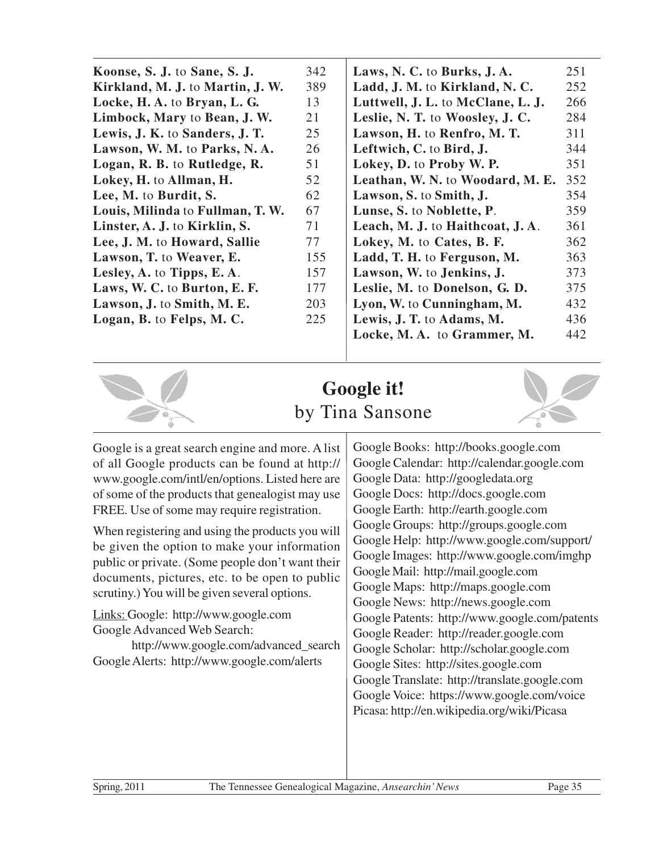|                                  | 342 | Laws, N. C. to Burks, J. A.       | 251 |
|----------------------------------|-----|-----------------------------------|-----|
| Koonse, S. J. to Sane, S. J.     |     |                                   |     |
| Kirkland, M. J. to Martin, J. W. | 389 | Ladd, J. M. to Kirkland, N. C.    | 252 |
| Locke, H. A. to Bryan, L. G.     | 13  | Luttwell, J. L. to McClane, L. J. | 266 |
| Limbock, Mary to Bean, J. W.     | 21  | Leslie, N. T. to Woosley, J. C.   | 284 |
| Lewis, J. K. to Sanders, J. T.   | 25  | Lawson, H. to Renfro, M. T.       | 311 |
| Lawson, W. M. to Parks, N. A.    | 26  | Leftwich, C. to Bird, J.          | 344 |
| Logan, R. B. to Rutledge, R.     | 51  | Lokey, D. to Proby W. P.          | 351 |
| Lokey, H. to Allman, H.          | 52  | Leathan, W. N. to Woodard, M. E.  | 352 |
| Lee, M. to Burdit, S.            | 62  | Lawson, S. to Smith, J.           | 354 |
| Louis, Milinda to Fullman, T. W. | 67  | Lunse, S. to Noblette, P.         | 359 |
| Linster, A. J. to Kirklin, S.    | 71  | Leach, M. J. to Haithcoat, J. A.  | 361 |
| Lee, J. M. to Howard, Sallie     | 77  | Lokey, M. to Cates, B. F.         | 362 |
| Lawson, T. to Weaver, E.         | 155 | Ladd, T. H. to Ferguson, M.       | 363 |
| Lesley, A. to Tipps, E. A.       | 157 | Lawson, W. to Jenkins, J.         | 373 |
| Laws, W. C. to Burton, E. F.     | 177 | Leslie, M. to Donelson, G. D.     | 375 |
| Lawson, J. to Smith, M. E.       | 203 | Lyon, W. to Cunningham, M.        | 432 |
| Logan, B. to Felps, M. C.        | 225 | Lewis, J. T. to Adams, M.         | 436 |
|                                  |     | Locke, M.A. to Grammer, M.        | 442 |
|                                  |     |                                   |     |



# **Google it!** by Tina Sansone

Google is a great search engine and more. A list of all Google products can be found at http:// www.google.com/intl/en/options. Listed here are of some of the products that genealogist may use FREE. Use of some may require registration.

When registering and using the products you will be given the option to make your information public or private. (Some people don't want their documents, pictures, etc. to be open to public scrutiny.) You will be given several options.

Links: Google: http://www.google.com Google Advanced Web Search:

http://www.google.com/advanced\_search Google Alerts: http://www.google.com/alerts

Google Books: http://books.google.com Google Calendar: http://calendar.google.com Google Data: http://googledata.org Google Docs: http://docs.google.com Google Earth: http://earth.google.com Google Groups: http://groups.google.com Google Help: http://www.google.com/support/ Google Images: http://www.google.com/imghp Google Mail: http://mail.google.com Google Maps: http://maps.google.com Google News: http://news.google.com Google Patents: http://www.google.com/patents Google Reader: http://reader.google.com Google Scholar: http://scholar.google.com Google Sites: http://sites.google.com Google Translate: http://translate.google.com Google Voice: https://www.google.com/voice Picasa: http://en.wikipedia.org/wiki/Picasa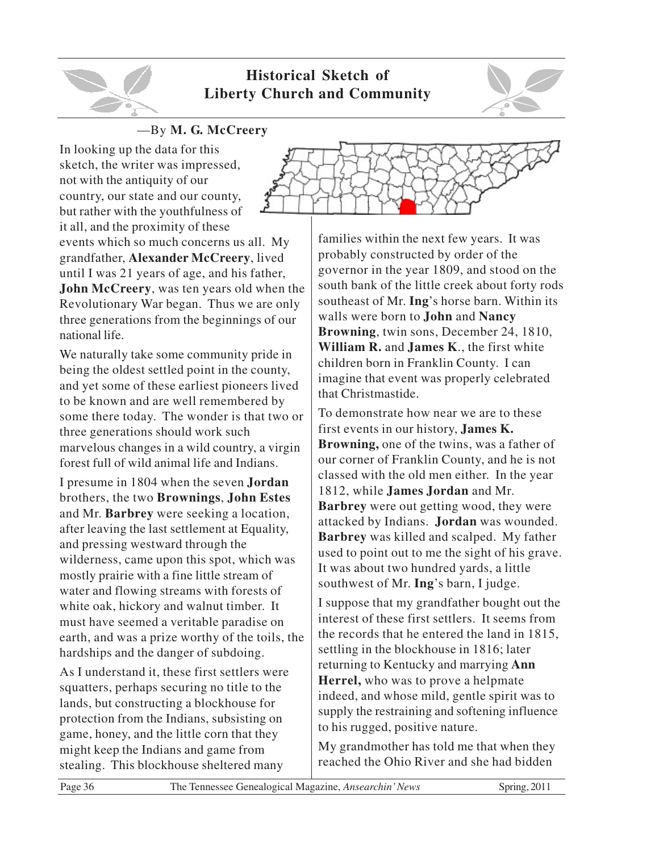

#### **Historical Sketch of Liberty Church and Community**



#### —By **M. G. McCreery**

In looking up the data for this sketch, the writer was impressed, not with the antiquity of our country, our state and our county, but rather with the youthfulness of it all, and the proximity of these

events which so much concerns us all. My grandfather, **Alexander McCreery**, lived until I was 21 years of age, and his father, **John McCreery**, was ten years old when the Revolutionary War began. Thus we are only three generations from the beginnings of our national life.

We naturally take some community pride in being the oldest settled point in the county, and yet some of these earliest pioneers lived to be known and are well remembered by some there today. The wonder is that two or three generations should work such marvelous changes in a wild country, a virgin forest full of wild animal life and Indians.

I presume in 1804 when the seven **Jordan** brothers, the two **Brownings**, **John Estes** and Mr. **Barbrey** were seeking a location, after leaving the last settlement at Equality, and pressing westward through the wilderness, came upon this spot, which was mostly prairie with a fine little stream of water and flowing streams with forests of white oak, hickory and walnut timber. It must have seemed a veritable paradise on earth, and was a prize worthy of the toils, the hardships and the danger of subdoing.

As I understand it, these first settlers were squatters, perhaps securing no title to the lands, but constructing a blockhouse for protection from the Indians, subsisting on game, honey, and the little corn that they might keep the Indians and game from stealing. This blockhouse sheltered many



families within the next few years. It was probably constructed by order of the governor in the year 1809, and stood on the south bank of the little creek about forty rods southeast of Mr. **Ing**'s horse barn. Within its walls were born to **John** and **Nancy Browning**, twin sons, December 24, 1810, **William R.** and **James K**., the first white children born in Franklin County. I can imagine that event was properly celebrated that Christmastide.

To demonstrate how near we are to these first events in our history, **James K. Browning,** one of the twins, was a father of our corner of Franklin County, and he is not classed with the old men either. In the year 1812, while **James Jordan** and Mr. **Barbrey** were out getting wood, they were attacked by Indians. **Jordan** was wounded. **Barbrey** was killed and scalped. My father used to point out to me the sight of his grave. It was about two hundred yards, a little southwest of Mr. **Ing**'s barn, I judge.

I suppose that my grandfather bought out the interest of these first settlers. It seems from the records that he entered the land in 1815, settling in the blockhouse in 1816; later returning to Kentucky and marrying **Ann Herrel,** who was to prove a helpmate indeed, and whose mild, gentle spirit was to supply the restraining and softening influence to his rugged, positive nature.

My grandmother has told me that when they reached the Ohio River and she had bidden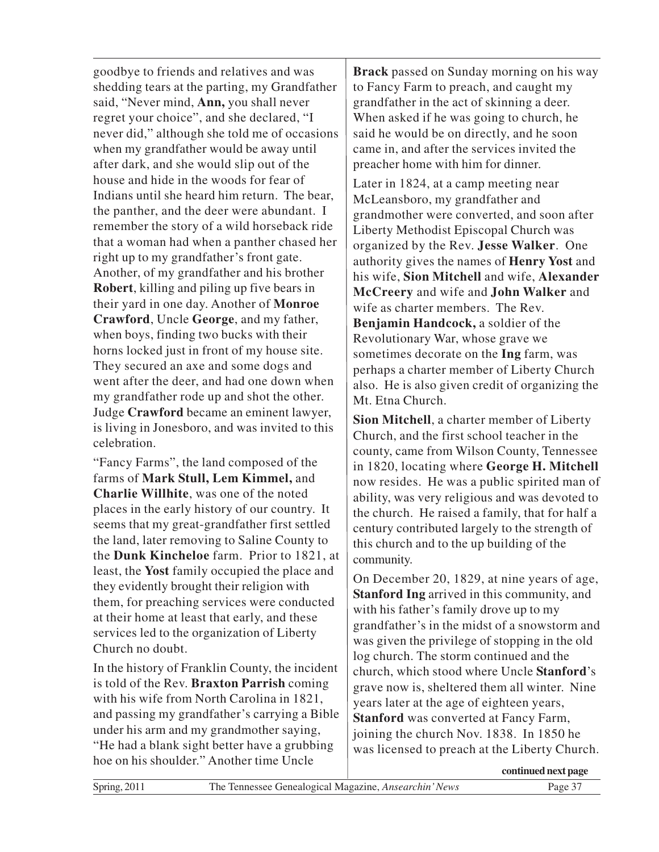goodbye to friends and relatives and was shedding tears at the parting, my Grandfather said, "Never mind, **Ann,** you shall never regret your choice", and she declared, "I never did," although she told me of occasions when my grandfather would be away until after dark, and she would slip out of the house and hide in the woods for fear of Indians until she heard him return. The bear, the panther, and the deer were abundant. I remember the story of a wild horseback ride that a woman had when a panther chased her right up to my grandfather's front gate. Another, of my grandfather and his brother **Robert**, killing and piling up five bears in their yard in one day. Another of **Monroe Crawford**, Uncle **George**, and my father, when boys, finding two bucks with their horns locked just in front of my house site. They secured an axe and some dogs and went after the deer, and had one down when my grandfather rode up and shot the other. Judge **Crawford** became an eminent lawyer, is living in Jonesboro, and was invited to this celebration.

"Fancy Farms", the land composed of the farms of **Mark Stull, Lem Kimmel,** and **Charlie Willhite**, was one of the noted places in the early history of our country. It seems that my great-grandfather first settled the land, later removing to Saline County to the **Dunk Kincheloe** farm. Prior to 1821, at least, the **Yost** family occupied the place and they evidently brought their religion with them, for preaching services were conducted at their home at least that early, and these services led to the organization of Liberty Church no doubt.

In the history of Franklin County, the incident is told of the Rev. **Braxton Parrish** coming with his wife from North Carolina in 1821, and passing my grandfather's carrying a Bible under his arm and my grandmother saying, "He had a blank sight better have a grubbing hoe on his shoulder." Another time Uncle

**Brack** passed on Sunday morning on his way to Fancy Farm to preach, and caught my grandfather in the act of skinning a deer. When asked if he was going to church, he said he would be on directly, and he soon came in, and after the services invited the preacher home with him for dinner.

Later in 1824, at a camp meeting near McLeansboro, my grandfather and grandmother were converted, and soon after Liberty Methodist Episcopal Church was organized by the Rev. **Jesse Walker**. One authority gives the names of **Henry Yost** and his wife, **Sion Mitchell** and wife, **Alexander McCreery** and wife and **John Walker** and wife as charter members. The Rev. **Benjamin Handcock,** a soldier of the Revolutionary War, whose grave we sometimes decorate on the **Ing** farm, was perhaps a charter member of Liberty Church also. He is also given credit of organizing the Mt. Etna Church.

**Sion Mitchell**, a charter member of Liberty Church, and the first school teacher in the county, came from Wilson County, Tennessee in 1820, locating where **George H. Mitchell** now resides. He was a public spirited man of ability, was very religious and was devoted to the church. He raised a family, that for half a century contributed largely to the strength of this church and to the up building of the community.

On December 20, 1829, at nine years of age, **Stanford Ing** arrived in this community, and with his father's family drove up to my grandfather's in the midst of a snowstorm and was given the privilege of stopping in the old log church. The storm continued and the church, which stood where Uncle **Stanford**'s grave now is, sheltered them all winter. Nine years later at the age of eighteen years, **Stanford** was converted at Fancy Farm, joining the church Nov. 1838. In 1850 he was licensed to preach at the Liberty Church.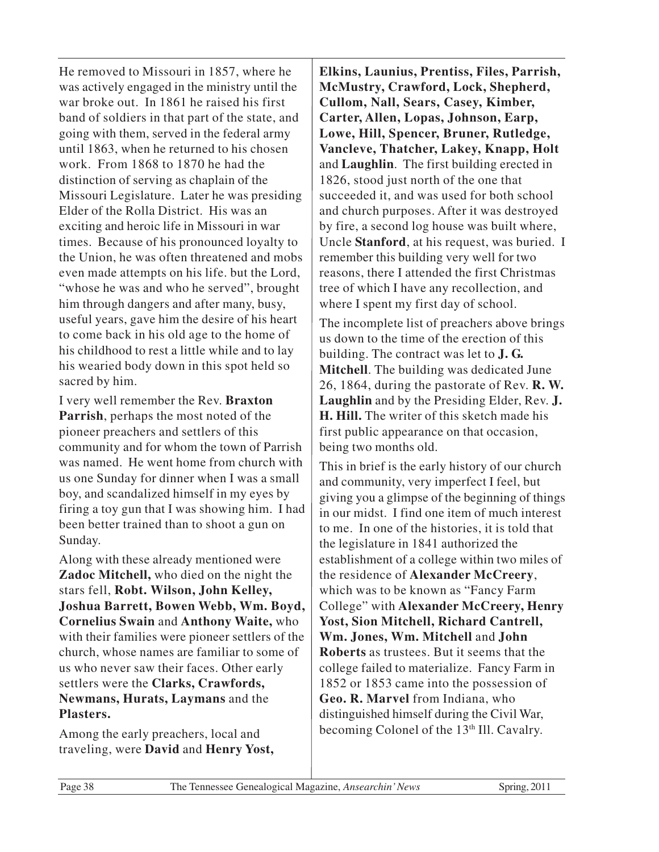He removed to Missouri in 1857, where he was actively engaged in the ministry until the war broke out. In 1861 he raised his first band of soldiers in that part of the state, and going with them, served in the federal army until 1863, when he returned to his chosen work. From 1868 to 1870 he had the distinction of serving as chaplain of the Missouri Legislature. Later he was presiding Elder of the Rolla District. His was an exciting and heroic life in Missouri in war times. Because of his pronounced loyalty to the Union, he was often threatened and mobs even made attempts on his life. but the Lord, "whose he was and who he served", brought him through dangers and after many, busy, useful years, gave him the desire of his heart to come back in his old age to the home of his childhood to rest a little while and to lay his wearied body down in this spot held so sacred by him.

I very well remember the Rev. **Braxton Parrish**, perhaps the most noted of the pioneer preachers and settlers of this community and for whom the town of Parrish was named. He went home from church with us one Sunday for dinner when I was a small boy, and scandalized himself in my eyes by firing a toy gun that I was showing him. I had been better trained than to shoot a gun on Sunday.

Along with these already mentioned were **Zadoc Mitchell,** who died on the night the stars fell, **Robt. Wilson, John Kelley, Joshua Barrett, Bowen Webb, Wm. Boyd, Cornelius Swain** and **Anthony Waite,** who with their families were pioneer settlers of the church, whose names are familiar to some of us who never saw their faces. Other early settlers were the **Clarks, Crawfords, Newmans, Hurats, Laymans** and the **Plasters.**

Among the early preachers, local and traveling, were **David** and **Henry Yost,**

**Elkins, Launius, Prentiss, Files, Parrish, McMustry, Crawford, Lock, Shepherd, Cullom, Nall, Sears, Casey, Kimber, Carter, Allen, Lopas, Johnson, Earp, Lowe, Hill, Spencer, Bruner, Rutledge, Vancleve, Thatcher, Lakey, Knapp, Holt** and **Laughlin**. The first building erected in 1826, stood just north of the one that succeeded it, and was used for both school and church purposes. After it was destroyed by fire, a second log house was built where, Uncle **Stanford**, at his request, was buried. I remember this building very well for two reasons, there I attended the first Christmas tree of which I have any recollection, and where I spent my first day of school.

The incomplete list of preachers above brings us down to the time of the erection of this building. The contract was let to **J. G. Mitchell**. The building was dedicated June 26, 1864, during the pastorate of Rev. **R. W. Laughlin** and by the Presiding Elder, Rev. **J. H. Hill.** The writer of this sketch made his first public appearance on that occasion, being two months old.

This in brief is the early history of our church and community, very imperfect I feel, but giving you a glimpse of the beginning of things in our midst. I find one item of much interest to me. In one of the histories, it is told that the legislature in 1841 authorized the establishment of a college within two miles of the residence of **Alexander McCreery**, which was to be known as "Fancy Farm College" with **Alexander McCreery, Henry Yost, Sion Mitchell, Richard Cantrell, Wm. Jones, Wm. Mitchell** and **John Roberts** as trustees. But it seems that the college failed to materialize. Fancy Farm in 1852 or 1853 came into the possession of **Geo. R. Marvel** from Indiana, who distinguished himself during the Civil War, becoming Colonel of the 13<sup>th</sup> Ill. Cavalry.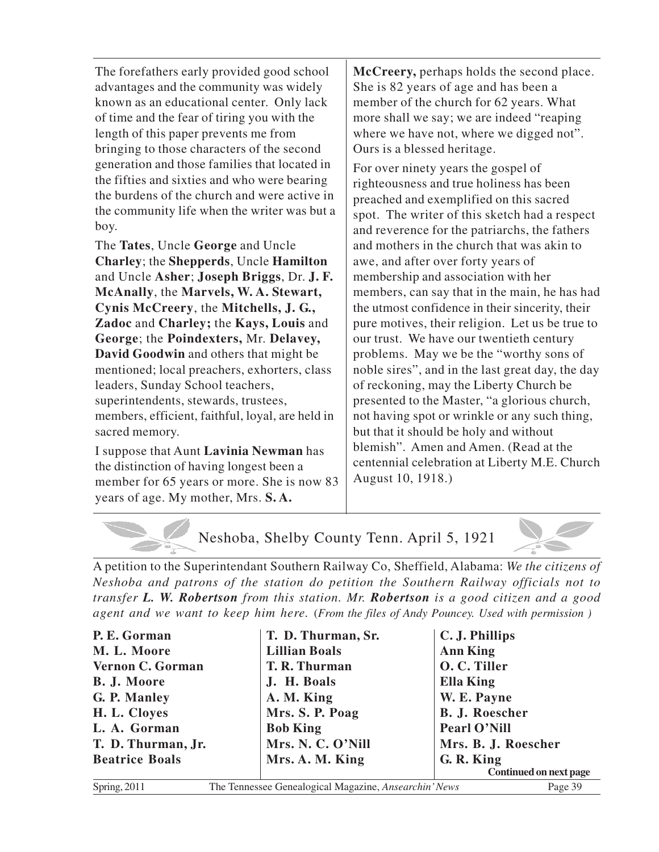The forefathers early provided good school advantages and the community was widely known as an educational center. Only lack of time and the fear of tiring you with the length of this paper prevents me from bringing to those characters of the second generation and those families that located in the fifties and sixties and who were bearing the burdens of the church and were active in the community life when the writer was but a boy.

The **Tates**, Uncle **George** and Uncle **Charley**; the **Shepperds**, Uncle **Hamilton** and Uncle **Asher**; **Joseph Briggs**, Dr. **J. F. McAnally**, the **Marvels, W. A. Stewart, Cynis McCreery**, the **Mitchells, J. G., Zadoc** and **Charley;** the **Kays, Louis** and **George**; the **Poindexters,** Mr. **Delavey, David Goodwin** and others that might be mentioned; local preachers, exhorters, class leaders, Sunday School teachers, superintendents, stewards, trustees, members, efficient, faithful, loyal, are held in sacred memory.

I suppose that Aunt **Lavinia Newman** has the distinction of having longest been a member for 65 years or more. She is now 83 years of age. My mother, Mrs. **S. A.**

**McCreery,** perhaps holds the second place. She is 82 years of age and has been a member of the church for 62 years. What more shall we say; we are indeed "reaping where we have not, where we digged not". Ours is a blessed heritage.

For over ninety years the gospel of righteousness and true holiness has been preached and exemplified on this sacred spot. The writer of this sketch had a respect and reverence for the patriarchs, the fathers and mothers in the church that was akin to awe, and after over forty years of membership and association with her members, can say that in the main, he has had the utmost confidence in their sincerity, their pure motives, their religion. Let us be true to our trust. We have our twentieth century problems. May we be the "worthy sons of noble sires", and in the last great day, the day of reckoning, may the Liberty Church be presented to the Master, "a glorious church, not having spot or wrinkle or any such thing, but that it should be holy and without blemish". Amen and Amen. (Read at the centennial celebration at Liberty M.E. Church August 10, 1918.)

Neshoba, Shelby County Tenn. April 5, 1921

A petition to the Superintendant Southern Railway Co, Sheffield, Alabama: *We the citizens of Neshoba and patrons of the station do petition the Southern Railway officials not to transfer L. W. Robertson from this station. Mr. Robertson is a good citizen and a good agent and we want to keep him here.* (*From the files of Andy Pouncey. Used with permission )*

| P. E. Gorman          | T. D. Thurman, Sr.                                    | C. J. Phillips         |
|-----------------------|-------------------------------------------------------|------------------------|
| M. L. Moore           | <b>Lillian Boals</b>                                  | <b>Ann King</b>        |
| Vernon C. Gorman      | T. R. Thurman                                         | O. C. Tiller           |
| B. J. Moore           | J. H. Boals                                           | <b>Ella King</b>       |
| G. P. Manley          | A. M. King                                            | W. E. Payne            |
| H. L. Cloyes          | Mrs. S. P. Poag                                       | <b>B. J. Roescher</b>  |
| L. A. Gorman          | <b>Bob King</b>                                       | Pearl O'Nill           |
| T. D. Thurman, Jr.    | Mrs. N. C. O'Nill                                     | Mrs. B. J. Roescher    |
| <b>Beatrice Boals</b> | Mrs. A. M. King                                       | G. R. King             |
|                       |                                                       | Continued on next page |
| Spring, 2011          | The Tennessee Genealogical Magazine, Ansearchin' News | Page 39                |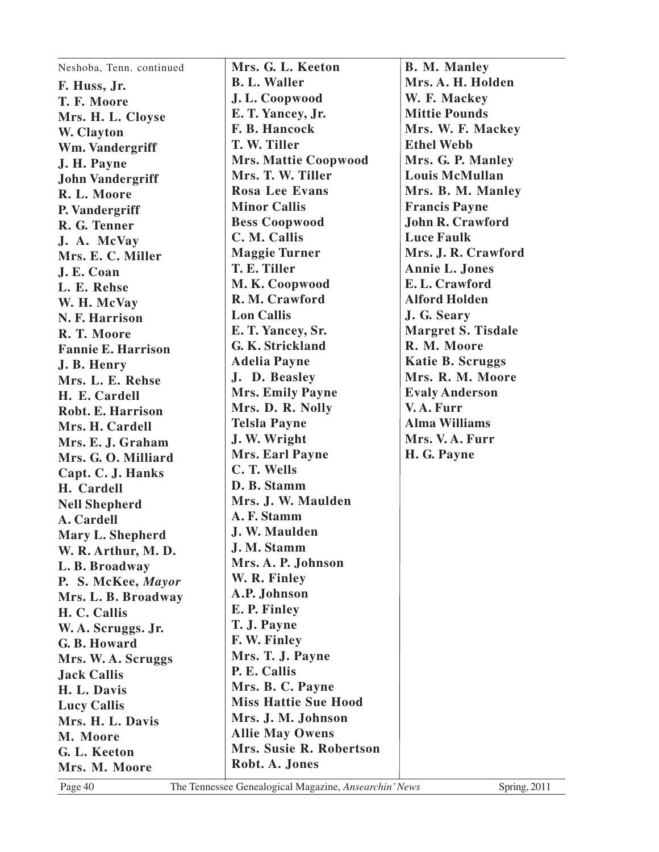| Neshoba, Tenn. continued  | Mrs. G. L. Keeton                         | <b>B. M. Manley</b>       |
|---------------------------|-------------------------------------------|---------------------------|
| F. Huss, Jr.              | <b>B. L. Waller</b>                       | Mrs. A. H. Holden         |
| T. F. Moore               | J.L. Coopwood                             | W. F. Mackey              |
| Mrs. H. L. Cloyse         | E. T. Yancey, Jr.                         | <b>Mittie Pounds</b>      |
| W. Clayton                | F. B. Hancock                             | Mrs. W. F. Mackey         |
| Wm. Vandergriff           | T. W. Tiller                              | <b>Ethel Webb</b>         |
| J. H. Payne               | <b>Mrs. Mattie Coopwood</b>               | Mrs. G. P. Manley         |
| <b>John Vandergriff</b>   | Mrs. T. W. Tiller                         | <b>Louis McMullan</b>     |
| R. L. Moore               | <b>Rosa Lee Evans</b>                     | Mrs. B. M. Manley         |
| P. Vandergriff            | <b>Minor Callis</b>                       | <b>Francis Payne</b>      |
| R. G. Tenner              | <b>Bess Coopwood</b>                      | <b>John R. Crawford</b>   |
| J. A. McVay               | C. M. Callis                              | <b>Luce Faulk</b>         |
| Mrs. E. C. Miller         | <b>Maggie Turner</b>                      | Mrs. J. R. Crawford       |
| J. E. Coan                | T. E. Tiller                              | <b>Annie L. Jones</b>     |
| L. E. Rehse               | M.K. Coopwood                             | E. L. Crawford            |
| W. H. McVay               | R. M. Crawford                            | <b>Alford Holden</b>      |
| N. F. Harrison            | <b>Lon Callis</b>                         | J. G. Seary               |
| R. T. Moore               | E. T. Yancey, Sr.                         | <b>Margret S. Tisdale</b> |
| <b>Fannie E. Harrison</b> | G. K. Strickland                          | R. M. Moore               |
| J. B. Henry               | <b>Adelia Payne</b>                       | <b>Katie B. Scruggs</b>   |
| Mrs. L. E. Rehse          | J. D. Beasley                             | Mrs. R. M. Moore          |
| H. E. Cardell             | <b>Mrs. Emily Payne</b>                   | <b>Evaly Anderson</b>     |
| Robt. E. Harrison         | Mrs. D. R. Nolly                          | V.A. Furr                 |
| Mrs. H. Cardell           | <b>Telsla Payne</b>                       | <b>Alma Williams</b>      |
| Mrs. E. J. Graham         | J. W. Wright                              | Mrs. V.A. Furr            |
| Mrs. G. O. Milliard       | <b>Mrs. Earl Payne</b>                    | H. G. Payne               |
| Capt. C. J. Hanks         | C. T. Wells                               |                           |
| H. Cardell                | D. B. Stamm                               |                           |
| <b>Nell Shepherd</b>      | Mrs. J. W. Maulden                        |                           |
| A. Cardell                | A. F. Stamm                               |                           |
| Mary L. Shepherd          | J. W. Maulden                             |                           |
| W. R. Arthur, M. D.       | J. M. Stamm                               |                           |
| L. B. Broadway            | Mrs. A. P. Johnson                        |                           |
| P. S. McKee, Mayor        | W. R. Finley                              |                           |
| Mrs. L. B. Broadway       | A.P. Johnson                              |                           |
| H. C. Callis              | E. P. Finley                              |                           |
| W. A. Scruggs. Jr.        | T. J. Payne                               |                           |
| G. B. Howard              | F. W. Finley                              |                           |
| Mrs. W. A. Scruggs        | Mrs. T. J. Payne                          |                           |
| <b>Jack Callis</b>        | P. E. Callis                              |                           |
| H. L. Davis               | Mrs. B. C. Payne                          |                           |
| <b>Lucy Callis</b>        | <b>Miss Hattie Sue Hood</b>               |                           |
| Mrs. H. L. Davis          | Mrs. J. M. Johnson                        |                           |
| M. Moore                  | <b>Allie May Owens</b>                    |                           |
| G. L. Keeton              | Mrs. Susie R. Robertson<br>Robt. A. Jones |                           |
| Mrs. M. Moore             |                                           |                           |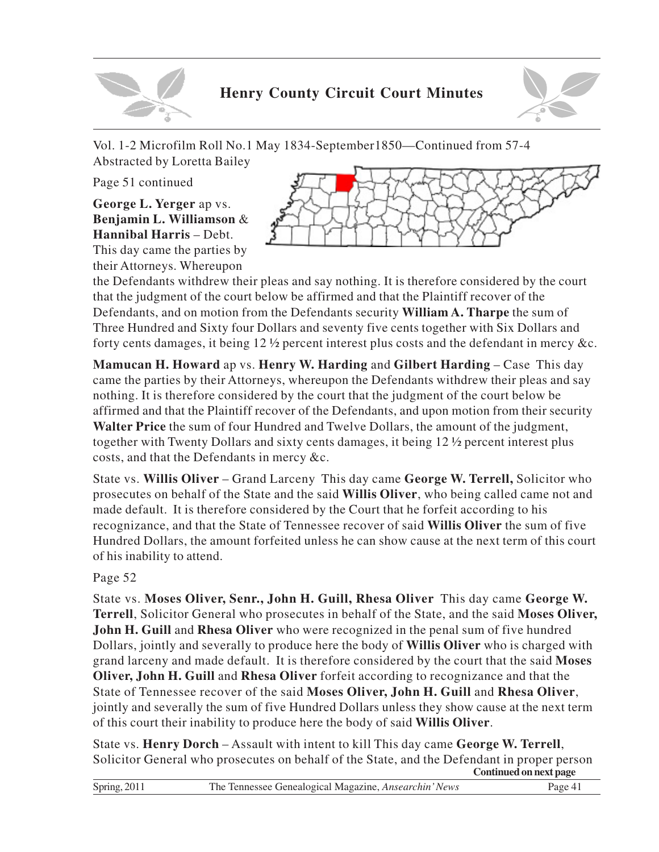

# **Henry County Circuit Court Minutes**



Vol. 1-2 Microfilm Roll No.1 May 1834-September1850—Continued from 57-4 Abstracted by Loretta Bailey

Page 51 continued

**George L. Yerger** ap vs. **Benjamin L. Williamson** & **Hannibal Harris** – Debt. This day came the parties by their Attorneys. Whereupon



the Defendants withdrew their pleas and say nothing. It is therefore considered by the court that the judgment of the court below be affirmed and that the Plaintiff recover of the Defendants, and on motion from the Defendants security **William A. Tharpe** the sum of Three Hundred and Sixty four Dollars and seventy five cents together with Six Dollars and forty cents damages, it being 12 ½ percent interest plus costs and the defendant in mercy &c.

**Mamucan H. Howard** ap vs. **Henry W. Harding** and **Gilbert Harding** – Case This day came the parties by their Attorneys, whereupon the Defendants withdrew their pleas and say nothing. It is therefore considered by the court that the judgment of the court below be affirmed and that the Plaintiff recover of the Defendants, and upon motion from their security **Walter Price** the sum of four Hundred and Twelve Dollars, the amount of the judgment, together with Twenty Dollars and sixty cents damages, it being 12 ½ percent interest plus costs, and that the Defendants in mercy &c.

State vs. **Willis Oliver** – Grand Larceny This day came **George W. Terrell,** Solicitor who prosecutes on behalf of the State and the said **Willis Oliver**, who being called came not and made default. It is therefore considered by the Court that he forfeit according to his recognizance, and that the State of Tennessee recover of said **Willis Oliver** the sum of five Hundred Dollars, the amount forfeited unless he can show cause at the next term of this court of his inability to attend.

Page 52

State vs. **Moses Oliver, Senr., John H. Guill, Rhesa Oliver** This day came **George W. Terrell**, Solicitor General who prosecutes in behalf of the State, and the said **Moses Oliver, John H. Guill** and **Rhesa Oliver** who were recognized in the penal sum of five hundred Dollars, jointly and severally to produce here the body of **Willis Oliver** who is charged with grand larceny and made default. It is therefore considered by the court that the said **Moses Oliver, John H. Guill** and **Rhesa Oliver** forfeit according to recognizance and that the State of Tennessee recover of the said **Moses Oliver, John H. Guill** and **Rhesa Oliver**, jointly and severally the sum of five Hundred Dollars unless they show cause at the next term of this court their inability to produce here the body of said **Willis Oliver**.

State vs. **Henry Dorch** – Assault with intent to kill This day came **George W. Terrell**, Solicitor General who prosecutes on behalf of the State, and the Defendant in proper person **Continued on next page**

| $\sim$ $\sim$ $\sim$ $\sim$ $\sim$ $\sim$ | The<br>: Tennessee Genealogical Magazine. <i>Ansearci</i><br><b>News</b><br>.<br>. |  |
|-------------------------------------------|------------------------------------------------------------------------------------|--|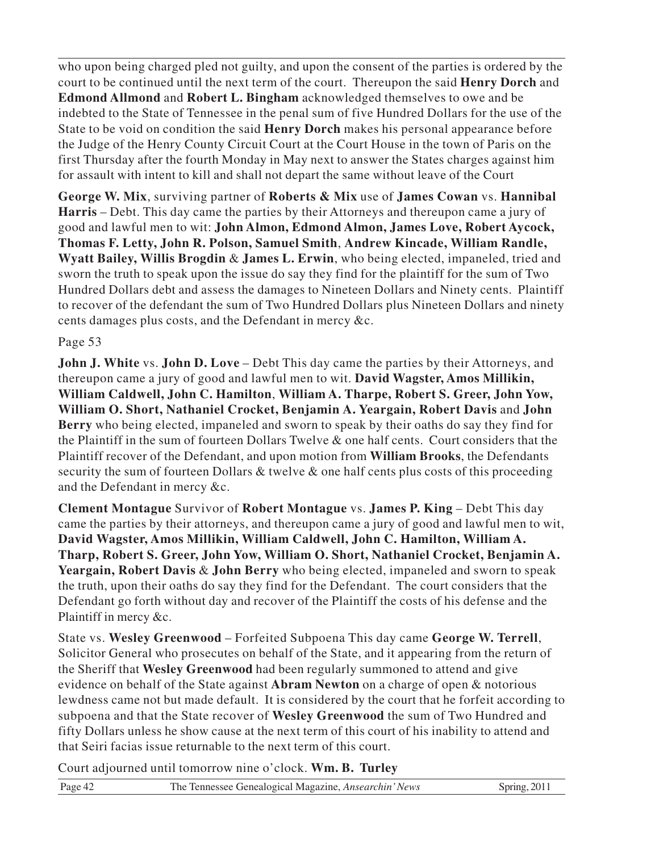who upon being charged pled not guilty, and upon the consent of the parties is ordered by the court to be continued until the next term of the court. Thereupon the said **Henry Dorch** and **Edmond Allmond** and **Robert L. Bingham** acknowledged themselves to owe and be indebted to the State of Tennessee in the penal sum of five Hundred Dollars for the use of the State to be void on condition the said **Henry Dorch** makes his personal appearance before the Judge of the Henry County Circuit Court at the Court House in the town of Paris on the first Thursday after the fourth Monday in May next to answer the States charges against him for assault with intent to kill and shall not depart the same without leave of the Court

**George W. Mix**, surviving partner of **Roberts & Mix** use of **James Cowan** vs. **Hannibal Harris** – Debt. This day came the parties by their Attorneys and thereupon came a jury of good and lawful men to wit: **John Almon, Edmond Almon, James Love, Robert Aycock, Thomas F. Letty, John R. Polson, Samuel Smith**, **Andrew Kincade, William Randle, Wyatt Bailey, Willis Brogdin** & **James L. Erwin**, who being elected, impaneled, tried and sworn the truth to speak upon the issue do say they find for the plaintiff for the sum of Two Hundred Dollars debt and assess the damages to Nineteen Dollars and Ninety cents. Plaintiff to recover of the defendant the sum of Two Hundred Dollars plus Nineteen Dollars and ninety cents damages plus costs, and the Defendant in mercy &c.

#### Page 53

**John J. White** vs. **John D. Love** – Debt This day came the parties by their Attorneys, and thereupon came a jury of good and lawful men to wit. **David Wagster, Amos Millikin, William Caldwell, John C. Hamilton**, **William A. Tharpe, Robert S. Greer, John Yow, William O. Short, Nathaniel Crocket, Benjamin A. Yeargain, Robert Davis** and **John Berry** who being elected, impaneled and sworn to speak by their oaths do say they find for the Plaintiff in the sum of fourteen Dollars Twelve & one half cents. Court considers that the Plaintiff recover of the Defendant, and upon motion from **William Brooks**, the Defendants security the sum of fourteen Dollars & twelve & one half cents plus costs of this proceeding and the Defendant in mercy &c.

**Clement Montague** Survivor of **Robert Montague** vs. **James P. King** – Debt This day came the parties by their attorneys, and thereupon came a jury of good and lawful men to wit, **David Wagster, Amos Millikin, William Caldwell, John C. Hamilton, William A. Tharp, Robert S. Greer, John Yow, William O. Short, Nathaniel Crocket, Benjamin A. Yeargain, Robert Davis** & **John Berry** who being elected, impaneled and sworn to speak the truth, upon their oaths do say they find for the Defendant. The court considers that the Defendant go forth without day and recover of the Plaintiff the costs of his defense and the Plaintiff in mercy &c.

State vs. **Wesley Greenwood** – Forfeited Subpoena This day came **George W. Terrell**, Solicitor General who prosecutes on behalf of the State, and it appearing from the return of the Sheriff that **Wesley Greenwood** had been regularly summoned to attend and give evidence on behalf of the State against **Abram Newton** on a charge of open & notorious lewdness came not but made default. It is considered by the court that he forfeit according to subpoena and that the State recover of **Wesley Greenwood** the sum of Two Hundred and fifty Dollars unless he show cause at the next term of this court of his inability to attend and that Seiri facias issue returnable to the next term of this court.

Court adjourned until tomorrow nine o'clock. **Wm. B. Turley**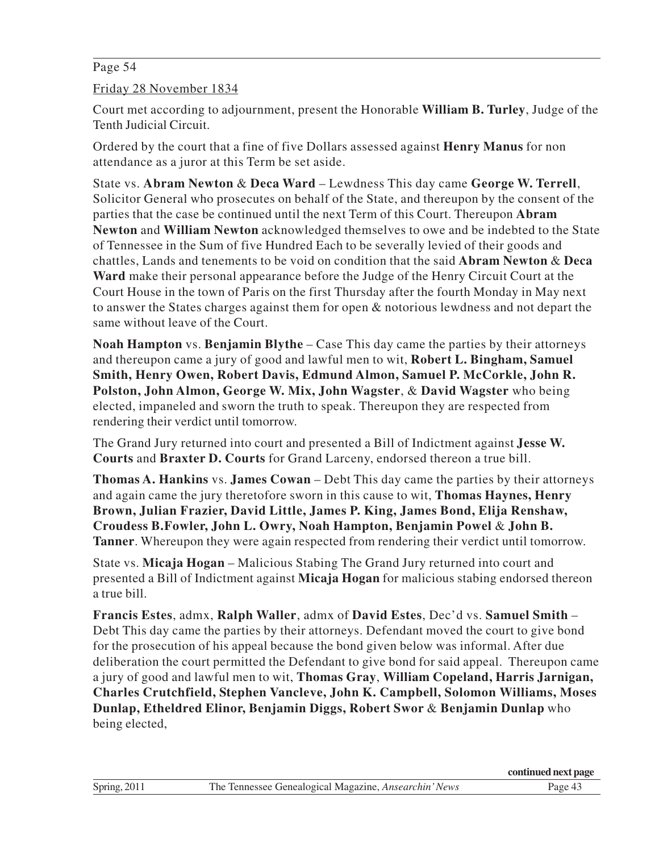#### Page 54

Friday 28 November 1834

Court met according to adjournment, present the Honorable **William B. Turley**, Judge of the Tenth Judicial Circuit.

Ordered by the court that a fine of five Dollars assessed against **Henry Manus** for non attendance as a juror at this Term be set aside.

State vs. **Abram Newton** & **Deca Ward** – Lewdness This day came **George W. Terrell**, Solicitor General who prosecutes on behalf of the State, and thereupon by the consent of the parties that the case be continued until the next Term of this Court. Thereupon **Abram Newton** and **William Newton** acknowledged themselves to owe and be indebted to the State of Tennessee in the Sum of five Hundred Each to be severally levied of their goods and chattles, Lands and tenements to be void on condition that the said **Abram Newton** & **Deca Ward** make their personal appearance before the Judge of the Henry Circuit Court at the Court House in the town of Paris on the first Thursday after the fourth Monday in May next to answer the States charges against them for open & notorious lewdness and not depart the same without leave of the Court.

**Noah Hampton** vs. **Benjamin Blythe** – Case This day came the parties by their attorneys and thereupon came a jury of good and lawful men to wit, **Robert L. Bingham, Samuel Smith, Henry Owen, Robert Davis, Edmund Almon, Samuel P. McCorkle, John R. Polston, John Almon, George W. Mix, John Wagster**, & **David Wagster** who being elected, impaneled and sworn the truth to speak. Thereupon they are respected from rendering their verdict until tomorrow.

The Grand Jury returned into court and presented a Bill of Indictment against **Jesse W. Courts** and **Braxter D. Courts** for Grand Larceny, endorsed thereon a true bill.

**Thomas A. Hankins** vs. **James Cowan** – Debt This day came the parties by their attorneys and again came the jury theretofore sworn in this cause to wit, **Thomas Haynes, Henry Brown, Julian Frazier, David Little, James P. King, James Bond, Elija Renshaw, Croudess B.Fowler, John L. Owry, Noah Hampton, Benjamin Powel** & **John B. Tanner**. Whereupon they were again respected from rendering their verdict until tomorrow.

State vs. **Micaja Hogan** – Malicious Stabing The Grand Jury returned into court and presented a Bill of Indictment against **Micaja Hogan** for malicious stabing endorsed thereon a true bill.

**Francis Estes**, admx, **Ralph Waller**, admx of **David Estes**, Dec'd vs. **Samuel Smith** – Debt This day came the parties by their attorneys. Defendant moved the court to give bond for the prosecution of his appeal because the bond given below was informal. After due deliberation the court permitted the Defendant to give bond for said appeal. Thereupon came a jury of good and lawful men to wit, **Thomas Gray**, **William Copeland, Harris Jarnigan, Charles Crutchfield, Stephen Vancleve, John K. Campbell, Solomon Williams, Moses Dunlap, Etheldred Elinor, Benjamin Diggs, Robert Swor** & **Benjamin Dunlap** who being elected,

|              |                                                              | continued next page |
|--------------|--------------------------------------------------------------|---------------------|
| Spring, 2011 | The Tennessee Genealogical Magazine, <i>Ansearchin' News</i> | Page $45$           |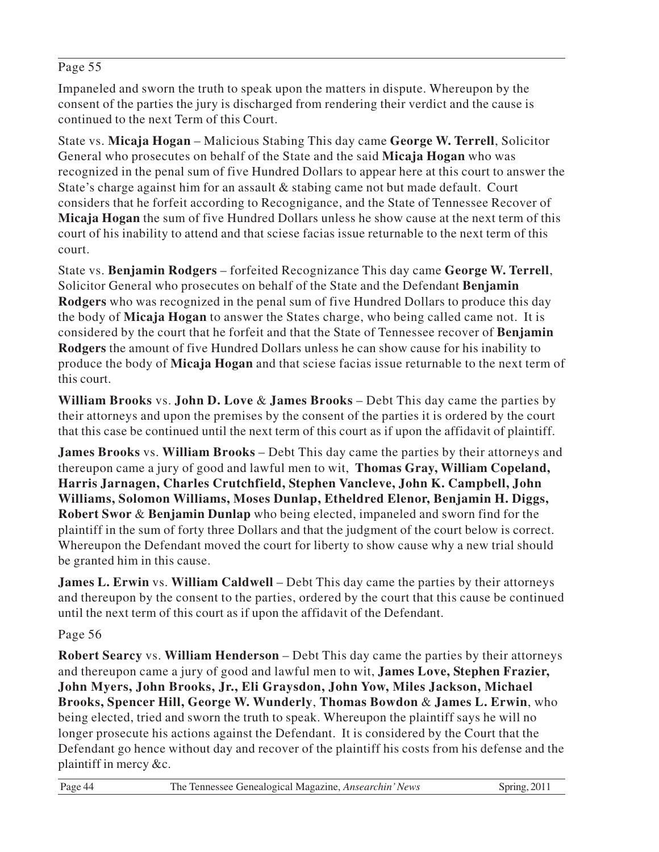#### Page 55

Impaneled and sworn the truth to speak upon the matters in dispute. Whereupon by the consent of the parties the jury is discharged from rendering their verdict and the cause is continued to the next Term of this Court.

State vs. **Micaja Hogan** – Malicious Stabing This day came **George W. Terrell**, Solicitor General who prosecutes on behalf of the State and the said **Micaja Hogan** who was recognized in the penal sum of five Hundred Dollars to appear here at this court to answer the State's charge against him for an assault & stabing came not but made default. Court considers that he forfeit according to Recognigance, and the State of Tennessee Recover of **Micaja Hogan** the sum of five Hundred Dollars unless he show cause at the next term of this court of his inability to attend and that sciese facias issue returnable to the next term of this court.

State vs. **Benjamin Rodgers** – forfeited Recognizance This day came **George W. Terrell**, Solicitor General who prosecutes on behalf of the State and the Defendant **Benjamin Rodgers** who was recognized in the penal sum of five Hundred Dollars to produce this day the body of **Micaja Hogan** to answer the States charge, who being called came not. It is considered by the court that he forfeit and that the State of Tennessee recover of **Benjamin Rodgers** the amount of five Hundred Dollars unless he can show cause for his inability to produce the body of **Micaja Hogan** and that sciese facias issue returnable to the next term of this court.

**William Brooks** vs. **John D. Love** & **James Brooks** – Debt This day came the parties by their attorneys and upon the premises by the consent of the parties it is ordered by the court that this case be continued until the next term of this court as if upon the affidavit of plaintiff.

**James Brooks** vs. **William Brooks** – Debt This day came the parties by their attorneys and thereupon came a jury of good and lawful men to wit, **Thomas Gray, William Copeland, Harris Jarnagen, Charles Crutchfield, Stephen Vancleve, John K. Campbell, John Williams, Solomon Williams, Moses Dunlap, Etheldred Elenor, Benjamin H. Diggs, Robert Swor** & **Benjamin Dunlap** who being elected, impaneled and sworn find for the plaintiff in the sum of forty three Dollars and that the judgment of the court below is correct. Whereupon the Defendant moved the court for liberty to show cause why a new trial should be granted him in this cause.

**James L. Erwin** vs. **William Caldwell** – Debt This day came the parties by their attorneys and thereupon by the consent to the parties, ordered by the court that this cause be continued until the next term of this court as if upon the affidavit of the Defendant.

#### Page 56

**Robert Searcy** vs. **William Henderson** – Debt This day came the parties by their attorneys and thereupon came a jury of good and lawful men to wit, **James Love, Stephen Frazier, John Myers, John Brooks, Jr., Eli Graysdon, John Yow, Miles Jackson, Michael Brooks, Spencer Hill, George W. Wunderly**, **Thomas Bowdon** & **James L. Erwin**, who being elected, tried and sworn the truth to speak. Whereupon the plaintiff says he will no longer prosecute his actions against the Defendant. It is considered by the Court that the Defendant go hence without day and recover of the plaintiff his costs from his defense and the plaintiff in mercy &c.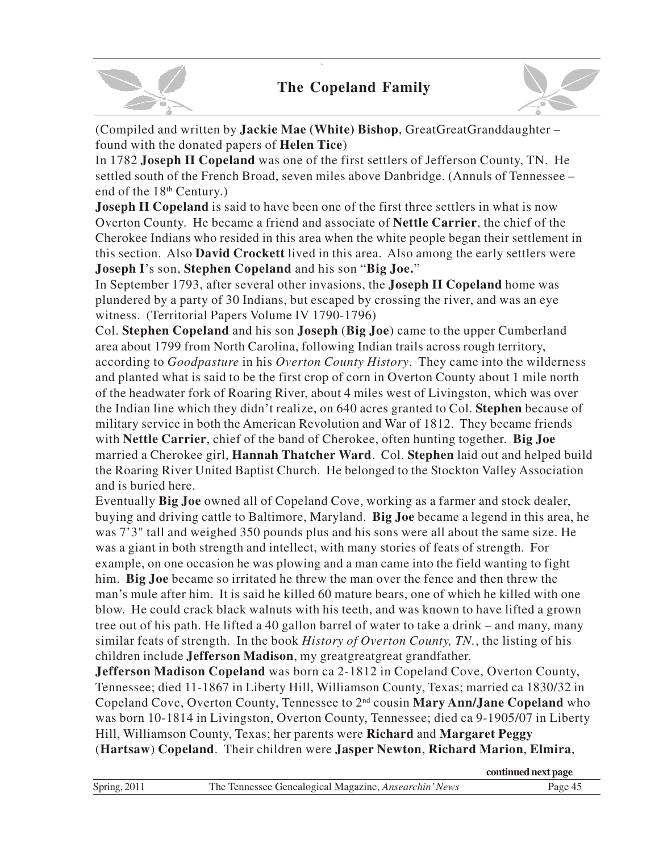

(Compiled and written by **Jackie Mae (White) Bishop**, GreatGreatGranddaughter – found with the donated papers of **Helen Tice**)

In 1782 **Joseph II Copeland** was one of the first settlers of Jefferson County, TN. He settled south of the French Broad, seven miles above Danbridge. (Annuls of Tennessee – end of the 18<sup>th</sup> Century.)

**Joseph II Copeland** is said to have been one of the first three settlers in what is now Overton County. He became a friend and associate of **Nettle Carrier**, the chief of the Cherokee Indians who resided in this area when the white people began their settlement in this section. Also **David Crockett** lived in this area. Also among the early settlers were **Joseph I**'s son, **Stephen Copeland** and his son "**Big Joe.**"

In September 1793, after several other invasions, the **Joseph II Copeland** home was plundered by a party of 30 Indians, but escaped by crossing the river, and was an eye witness. (Territorial Papers Volume IV 1790-1796)

Col. **Stephen Copeland** and his son **Joseph** (**Big Joe**) came to the upper Cumberland area about 1799 from North Carolina, following Indian trails across rough territory, according to *Goodpasture* in his *Overton County History*. They came into the wilderness and planted what is said to be the first crop of corn in Overton County about 1 mile north of the headwater fork of Roaring River, about 4 miles west of Livingston, which was over the Indian line which they didn't realize, on 640 acres granted to Col. **Stephen** because of military service in both the American Revolution and War of 1812. They became friends with **Nettle Carrier**, chief of the band of Cherokee, often hunting together. **Big Joe** married a Cherokee girl, **Hannah Thatcher Ward**. Col. **Stephen** laid out and helped build the Roaring River United Baptist Church. He belonged to the Stockton Valley Association and is buried here.

Eventually **Big Joe** owned all of Copeland Cove, working as a farmer and stock dealer, buying and driving cattle to Baltimore, Maryland. **Big Joe** became a legend in this area, he was 7'3" tall and weighed 350 pounds plus and his sons were all about the same size. He was a giant in both strength and intellect, with many stories of feats of strength. For example, on one occasion he was plowing and a man came into the field wanting to fight him. **Big Joe** became so irritated he threw the man over the fence and then threw the man's mule after him. It is said he killed 60 mature bears, one of which he killed with one blow. He could crack black walnuts with his teeth, and was known to have lifted a grown tree out of his path. He lifted a 40 gallon barrel of water to take a drink – and many, many similar feats of strength. In the book *History of Overton County, TN.*, the listing of his children include **Jefferson Madison**, my greatgreatgreat grandfather.

**Jefferson Madison Copeland** was born ca 2-1812 in Copeland Cove, Overton County, Tennessee; died 11-1867 in Liberty Hill, Williamson County, Texas; married ca 1830/32 in Copeland Cove, Overton County, Tennessee to 2nd cousin **Mary Ann/Jane Copeland** who was born 10-1814 in Livingston, Overton County, Tennessee; died ca 9-1905/07 in Liberty Hill, Williamson County, Texas; her parents were **Richard** and **Margaret Peggy** (**Hartsaw**) **Copeland**. Their children were **Jasper Newton**, **Richard Marion**, **Elmira**,

|              |                                                       | continued next page |
|--------------|-------------------------------------------------------|---------------------|
| Spring, 2011 | The Tennessee Genealogical Magazine, Ansearchin' News | Page 45             |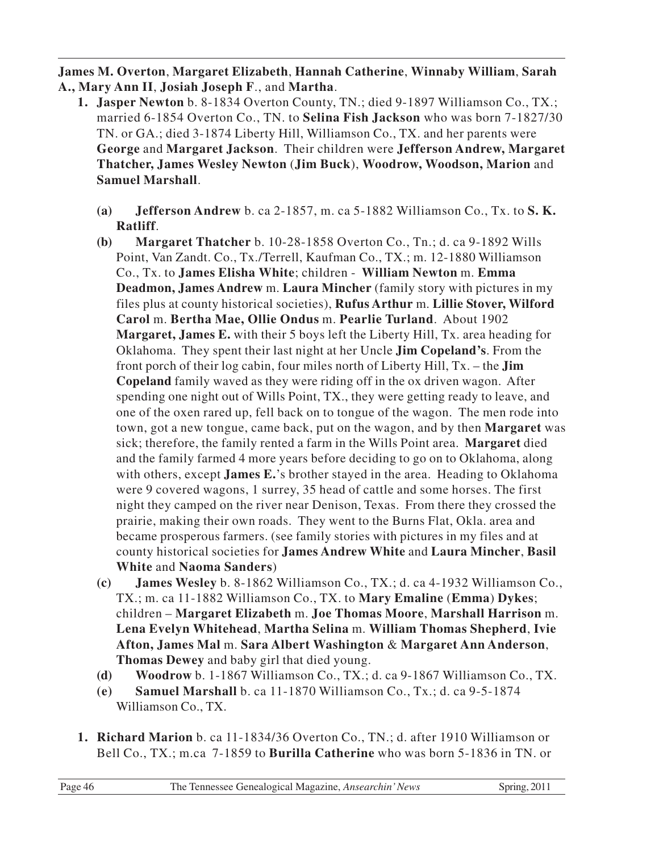**James M. Overton**, **Margaret Elizabeth**, **Hannah Catherine**, **Winnaby William**, **Sarah A., Mary Ann II**, **Josiah Joseph F**., and **Martha**.

- **1. Jasper Newton** b. 8-1834 Overton County, TN.; died 9-1897 Williamson Co., TX.; married 6-1854 Overton Co., TN. to **Selina Fish Jackson** who was born 7-1827/30 TN. or GA.; died 3-1874 Liberty Hill, Williamson Co., TX. and her parents were **George** and **Margaret Jackson**. Their children were **Jefferson Andrew, Margaret Thatcher, James Wesley Newton** (**Jim Buck**), **Woodrow, Woodson, Marion** and **Samuel Marshall**.
	- **(a) Jefferson Andrew** b. ca 2-1857, m. ca 5-1882 Williamson Co., Tx. to **S. K. Ratliff**.
	- **(b) Margaret Thatcher** b. 10-28-1858 Overton Co., Tn.; d. ca 9-1892 Wills Point, Van Zandt. Co., Tx./Terrell, Kaufman Co., TX.; m. 12-1880 Williamson Co., Tx. to **James Elisha White**; children - **William Newton** m. **Emma Deadmon, James Andrew** m. **Laura Mincher** (family story with pictures in my files plus at county historical societies), **Rufus Arthur** m. **Lillie Stover, Wilford Carol** m. **Bertha Mae, Ollie Ondus** m. **Pearlie Turland**. About 1902 **Margaret, James E.** with their 5 boys left the Liberty Hill, Tx. area heading for Oklahoma. They spent their last night at her Uncle **Jim Copeland's**. From the front porch of their log cabin, four miles north of Liberty Hill, Tx. – the **Jim Copeland** family waved as they were riding off in the ox driven wagon. After spending one night out of Wills Point, TX., they were getting ready to leave, and one of the oxen rared up, fell back on to tongue of the wagon. The men rode into town, got a new tongue, came back, put on the wagon, and by then **Margaret** was sick; therefore, the family rented a farm in the Wills Point area. **Margaret** died and the family farmed 4 more years before deciding to go on to Oklahoma, along with others, except **James E.**'s brother stayed in the area. Heading to Oklahoma were 9 covered wagons, 1 surrey, 35 head of cattle and some horses. The first night they camped on the river near Denison, Texas. From there they crossed the prairie, making their own roads. They went to the Burns Flat, Okla. area and became prosperous farmers. (see family stories with pictures in my files and at county historical societies for **James Andrew White** and **Laura Mincher**, **Basil White** and **Naoma Sanders**)
	- **(c) James Wesley** b. 8-1862 Williamson Co., TX.; d. ca 4-1932 Williamson Co., TX.; m. ca 11-1882 Williamson Co., TX. to **Mary Emaline** (**Emma**) **Dykes**; children – **Margaret Elizabeth** m. **Joe Thomas Moore**, **Marshall Harrison** m. **Lena Evelyn Whitehead**, **Martha Selina** m. **William Thomas Shepherd**, **Ivie Afton, James Mal** m. **Sara Albert Washington** & **Margaret Ann Anderson**, **Thomas Dewey** and baby girl that died young.
	- **(d) Woodrow** b. 1-1867 Williamson Co., TX.; d. ca 9-1867 Williamson Co., TX.
	- **(e) Samuel Marshall** b. ca 11-1870 Williamson Co., Tx.; d. ca 9-5-1874 Williamson Co., TX.
- **1. Richard Marion** b. ca 11-1834/36 Overton Co., TN.; d. after 1910 Williamson or Bell Co., TX.; m.ca 7-1859 to **Burilla Catherine** who was born 5-1836 in TN. or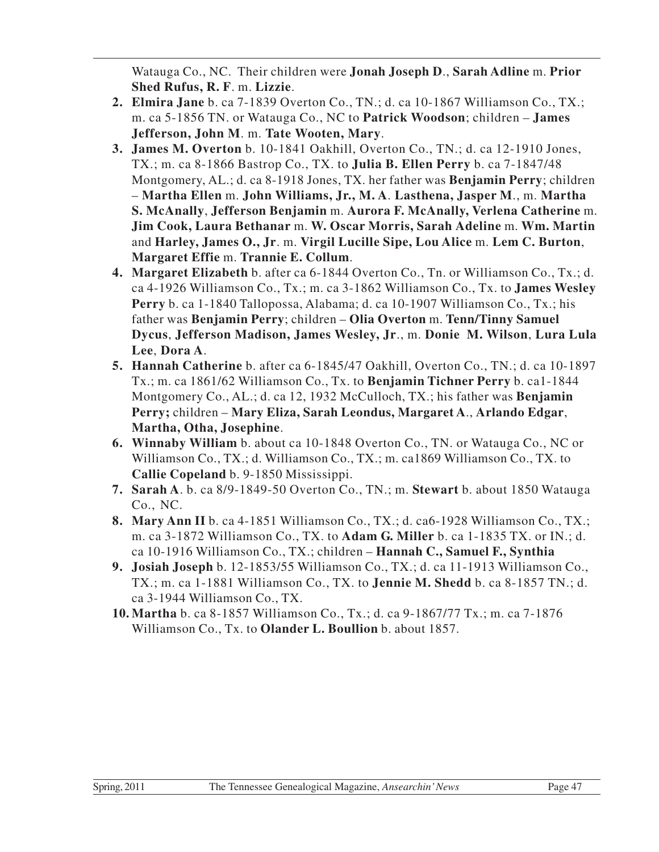Watauga Co., NC. Their children were **Jonah Joseph D**., **Sarah Adline** m. **Prior Shed Rufus, R. F**. m. **Lizzie**.

- **2. Elmira Jane** b. ca 7-1839 Overton Co., TN.; d. ca 10-1867 Williamson Co., TX.; m. ca 5-1856 TN. or Watauga Co., NC to **Patrick Woodson**; children – **James Jefferson, John M**. m. **Tate Wooten, Mary**.
- **3. James M. Overton** b. 10-1841 Oakhill, Overton Co., TN.; d. ca 12-1910 Jones, TX.; m. ca 8-1866 Bastrop Co., TX. to **Julia B. Ellen Perry** b. ca 7-1847/48 Montgomery, AL.; d. ca 8-1918 Jones, TX. her father was **Benjamin Perry**; children – **Martha Ellen** m. **John Williams, Jr., M. A**. **Lasthena, Jasper M**., m. **Martha S. McAnally**, **Jefferson Benjamin** m. **Aurora F. McAnally, Verlena Catherine** m. **Jim Cook, Laura Bethanar** m. **W. Oscar Morris, Sarah Adeline** m. **Wm. Martin** and **Harley, James O., Jr**. m. **Virgil Lucille Sipe, Lou Alice** m. **Lem C. Burton**, **Margaret Effie** m. **Trannie E. Collum**.
- **4. Margaret Elizabeth** b. after ca 6-1844 Overton Co., Tn. or Williamson Co., Tx.; d. ca 4-1926 Williamson Co., Tx.; m. ca 3-1862 Williamson Co., Tx. to **James Wesley Perry** b. ca 1-1840 Tallopossa, Alabama; d. ca 10-1907 Williamson Co., Tx.; his father was **Benjamin Perry**; children – **Olia Overton** m. **Tenn/Tinny Samuel Dycus**, **Jefferson Madison, James Wesley, Jr**., m. **Donie M. Wilson**, **Lura Lula Lee**, **Dora A**.
- **5. Hannah Catherine** b. after ca 6-1845/47 Oakhill, Overton Co., TN.; d. ca 10-1897 Tx.; m. ca 1861/62 Williamson Co., Tx. to **Benjamin Tichner Perry** b. ca1-1844 Montgomery Co., AL.; d. ca 12, 1932 McCulloch, TX.; his father was **Benjamin Perry;** children – **Mary Eliza, Sarah Leondus, Margaret A**., **Arlando Edgar**, **Martha, Otha, Josephine**.
- **6. Winnaby William** b. about ca 10-1848 Overton Co., TN. or Watauga Co., NC or Williamson Co., TX.; d. Williamson Co., TX.; m. ca1869 Williamson Co., TX. to **Callie Copeland** b. 9-1850 Mississippi.
- **7. Sarah A**. b. ca 8/9-1849-50 Overton Co., TN.; m. **Stewart** b. about 1850 Watauga Co., NC.
- **8. Mary Ann II** b. ca 4-1851 Williamson Co., TX.; d. ca6-1928 Williamson Co., TX.; m. ca 3-1872 Williamson Co., TX. to **Adam G. Miller** b. ca 1-1835 TX. or IN.; d. ca 10-1916 Williamson Co., TX.; children – **Hannah C., Samuel F., Synthia**
- **9. Josiah Joseph** b. 12-1853/55 Williamson Co., TX.; d. ca 11-1913 Williamson Co., TX.; m. ca 1-1881 Williamson Co., TX. to **Jennie M. Shedd** b. ca 8-1857 TN.; d. ca 3-1944 Williamson Co., TX.
- **10. Martha** b. ca 8-1857 Williamson Co., Tx.; d. ca 9-1867/77 Tx.; m. ca 7-1876 Williamson Co., Tx. to **Olander L. Boullion** b. about 1857.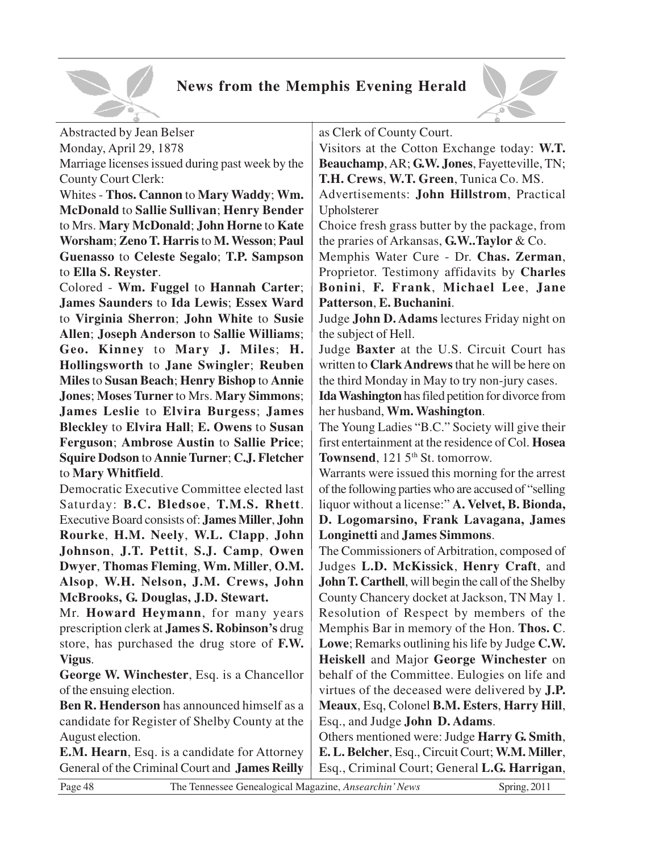

#### **News from the Memphis Evening Herald**



Abstracted by Jean Belser Monday, April 29, 1878

Marriage licenses issued during past week by the County Court Clerk:

Whites - **Thos. Cannon** to **Mary Waddy**; **Wm. McDonald** to **Sallie Sullivan**; **Henry Bender** to Mrs. **Mary McDonald**; **John Horne** to **Kate Worsham**; **Zeno T. Harris** to **M. Wesson**; **Paul Guenasso** to **Celeste Segalo**; **T.P. Sampson** to **Ella S. Reyster**.

Colored - **Wm. Fuggel** to **Hannah Carter**; **James Saunders** to **Ida Lewis**; **Essex Ward** to **Virginia Sherron**; **John White** to **Susie Allen**; **Joseph Anderson** to **Sallie Williams**; **Geo. Kinney** to **Mary J. Miles**; **H. Hollingsworth** to **Jane Swingler**; **Reuben Miles** to **Susan Beach**; **Henry Bishop** to **Annie Jones**; **Moses Turner** to Mrs. **Mary Simmons**; **James Leslie** to **Elvira Burgess**; **James Bleckley** to **Elvira Hall**; **E. Owens** to **Susan Ferguson**; **Ambrose Austin** to **Sallie Price**; **Squire Dodson** to **Annie Turner**; **C.J. Fletcher** to **Mary Whitfield**.

Democratic Executive Committee elected last Saturday: **B.C. Bledsoe**, **T.M.S. Rhett**. Executive Board consists of: **James Miller**, **John Rourke**, **H.M. Neely**, **W.L. Clapp**, **John Johnson**, **J.T. Pettit**, **S.J. Camp**, **Owen Dwyer**, **Thomas Fleming**, **Wm. Miller**, **O.M. Alsop**, **W.H. Nelson, J.M. Crews, John McBrooks, G. Douglas, J.D. Stewart.**

Mr. **Howard Heymann**, for many years prescription clerk at **James S. Robinson's** drug store, has purchased the drug store of **F.W. Vigus**.

**George W. Winchester**, Esq. is a Chancellor of the ensuing election.

**Ben R. Henderson** has announced himself as a candidate for Register of Shelby County at the August election.

**E.M. Hearn**, Esq. is a candidate for Attorney General of the Criminal Court and **James Reilly** as Clerk of County Court.

Visitors at the Cotton Exchange today: **W.T. Beauchamp**, AR; **G.W. Jones**, Fayetteville, TN; **T.H. Crews**, **W.T. Green**, Tunica Co. MS.

Advertisements: **John Hillstrom**, Practical Upholsterer

Choice fresh grass butter by the package, from the praries of Arkansas, **G.W..Taylor** & Co.

Memphis Water Cure - Dr. **Chas. Zerman**, Proprietor. Testimony affidavits by **Charles Bonini**, **F. Frank**, **Michael Lee**, **Jane Patterson**, **E. Buchanini**.

Judge **John D. Adams** lectures Friday night on the subject of Hell.

Judge **Baxter** at the U.S. Circuit Court has written to **Clark Andrews** that he will be here on the third Monday in May to try non-jury cases.

**Ida Washington** has filed petition for divorce from her husband, **Wm. Washington**.

The Young Ladies "B.C." Society will give their first entertainment at the residence of Col. **Hosea Townsend**, 121.5<sup>th</sup> St. tomorrow.

Warrants were issued this morning for the arrest of the following parties who are accused of "selling liquor without a license:" **A. Velvet, B. Bionda, D. Logomarsino, Frank Lavagana, James Longinetti** and **James Simmons**.

The Commissioners of Arbitration, composed of Judges **L.D. McKissick**, **Henry Craft**, and **John T. Carthell**, will begin the call of the Shelby County Chancery docket at Jackson, TN May 1. Resolution of Respect by members of the Memphis Bar in memory of the Hon. **Thos. C**. **Lowe**; Remarks outlining his life by Judge **C.W. Heiskell** and Major **George Winchester** on behalf of the Committee. Eulogies on life and virtues of the deceased were delivered by **J.P. Meaux**, Esq, Colonel **B.M. Esters**, **Harry Hill**, Esq., and Judge **John D. Adams**.

Others mentioned were: Judge **Harry G. Smith**, **E. L. Belcher**, Esq., Circuit Court; **W.M. Miller**, Esq., Criminal Court; General **L.G. Harrigan**,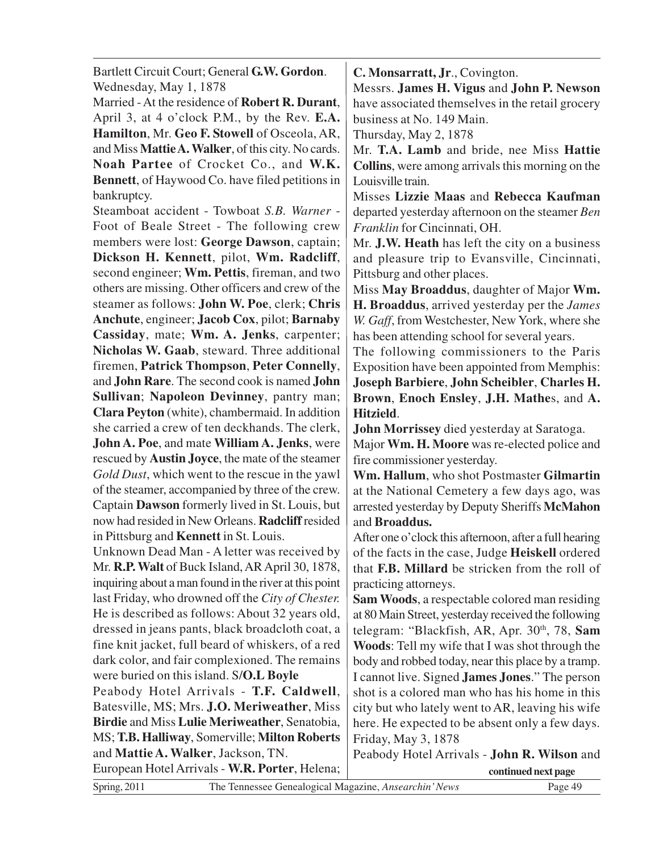| Bartlett Circuit Court; General G.W. Gordon.             | C. Monsarratt, Jr., Covington.                            |  |
|----------------------------------------------------------|-----------------------------------------------------------|--|
| Wednesday, May 1, 1878                                   | Messrs. James H. Vigus and John P. Newson                 |  |
| Married - At the residence of Robert R. Durant,          | have associated themselves in the retail grocery          |  |
| April 3, at 4 o'clock P.M., by the Rev. E.A.             | business at No. 149 Main.                                 |  |
|                                                          |                                                           |  |
| Hamilton, Mr. Geo F. Stowell of Osceola, AR,             | Thursday, May 2, 1878                                     |  |
| and Miss Mattie A. Walker, of this city. No cards.       | Mr. T.A. Lamb and bride, nee Miss Hattie                  |  |
| Noah Partee of Crocket Co., and W.K.                     | <b>Collins</b> , were among arrivals this morning on the  |  |
| <b>Bennett</b> , of Haywood Co. have filed petitions in  | Louisville train.                                         |  |
| bankruptcy.                                              | Misses Lizzie Maas and Rebecca Kaufman                    |  |
| Steamboat accident - Towboat S.B. Warner -               | departed yesterday afternoon on the steamer Ben           |  |
| Foot of Beale Street - The following crew                | Franklin for Cincinnati, OH.                              |  |
| members were lost: George Dawson, captain;               |                                                           |  |
|                                                          | Mr. J.W. Heath has left the city on a business            |  |
| Dickson H. Kennett, pilot, Wm. Radcliff,                 | and pleasure trip to Evansville, Cincinnati,              |  |
| second engineer; Wm. Pettis, fireman, and two            | Pittsburg and other places.                               |  |
| others are missing. Other officers and crew of the       | Miss May Broaddus, daughter of Major Wm.                  |  |
| steamer as follows: John W. Poe, clerk; Chris            | H. Broaddus, arrived yesterday per the James              |  |
| Anchute, engineer; Jacob Cox, pilot; Barnaby             | W. Gaff, from Westchester, New York, where she            |  |
| Cassiday, mate; Wm. A. Jenks, carpenter;                 | has been attending school for several years.              |  |
| Nicholas W. Gaab, steward. Three additional              | The following commissioners to the Paris                  |  |
| firemen, Patrick Thompson, Peter Connelly,               | Exposition have been appointed from Memphis:              |  |
| and John Rare. The second cook is named John             | Joseph Barbiere, John Scheibler, Charles H.               |  |
| Sullivan; Napoleon Devinney, pantry man;                 | Brown, Enoch Ensley, J.H. Mathes, and A.                  |  |
| Clara Peyton (white), chambermaid. In addition           |                                                           |  |
|                                                          | Hitzield.                                                 |  |
| she carried a crew of ten deckhands. The clerk,          | John Morrissey died yesterday at Saratoga.                |  |
| John A. Poe, and mate William A. Jenks, were             | Major Wm. H. Moore was re-elected police and              |  |
| rescued by <b>Austin Joyce</b> , the mate of the steamer | fire commissioner yesterday.                              |  |
| Gold Dust, which went to the rescue in the yawl          | Wm. Hallum, who shot Postmaster Gilmartin                 |  |
| of the steamer, accompanied by three of the crew.        | at the National Cemetery a few days ago, was              |  |
| Captain Dawson formerly lived in St. Louis, but          | arrested yesterday by Deputy Sheriffs McMahon             |  |
| now had resided in New Orleans. Radcliff resided         | and Broaddus.                                             |  |
| in Pittsburg and <b>Kennett</b> in St. Louis.            | After one o'clock this afternoon, after a full hearing    |  |
| Unknown Dead Man - A letter was received by              | of the facts in the case, Judge Heiskell ordered          |  |
| Mr. <b>R.P. Walt</b> of Buck Island, AR April 30, 1878,  | that <b>F.B. Millard</b> be stricken from the roll of     |  |
| inquiring about a man found in the river at this point   | practicing attorneys.                                     |  |
| last Friday, who drowned off the City of Chester.        | <b>Sam Woods</b> , a respectable colored man residing     |  |
| He is described as follows: About 32 years old,          | at 80 Main Street, yesterday received the following       |  |
|                                                          |                                                           |  |
| dressed in jeans pants, black broadcloth coat, a         | telegram: "Blackfish, AR, Apr. 30 <sup>th</sup> , 78, Sam |  |
| fine knit jacket, full beard of whiskers, of a red       | Woods: Tell my wife that I was shot through the           |  |
| dark color, and fair complexioned. The remains           | body and robbed today, near this place by a tramp.        |  |
| were buried on this island. S/O.L Boyle                  | I cannot live. Signed James Jones." The person            |  |
| Peabody Hotel Arrivals - T.F. Caldwell,                  | shot is a colored man who has his home in this            |  |
| Batesville, MS; Mrs. <b>J.O. Meriweather</b> , Miss      | city but who lately went to AR, leaving his wife          |  |
| <b>Birdie and Miss Lulie Meriweather, Senatobia,</b>     | here. He expected to be absent only a few days.           |  |
| MS; T.B. Halliway, Somerville; Milton Roberts            | Friday, May 3, 1878                                       |  |
| and Mattie A. Walker, Jackson, TN.                       | Peabody Hotel Arrivals - John R. Wilson and               |  |
| European Hotel Arrivals - W.R. Porter, Helena;           | continued next page                                       |  |
|                                                          |                                                           |  |

Spring, 2011 The Tennessee Genealogical Magazine, *Ansearchin' News* Page 49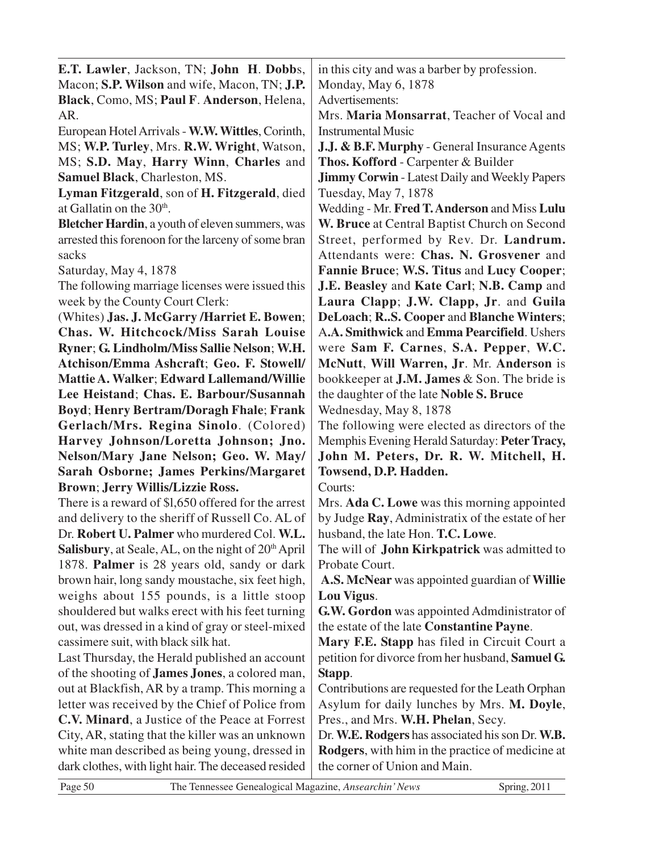| E.T. Lawler, Jackson, TN; John H. Dobbs,                                | in this city and was a barber by profession.             |  |
|-------------------------------------------------------------------------|----------------------------------------------------------|--|
| Macon; S.P. Wilson and wife, Macon, TN; J.P.<br>Monday, May 6, 1878     |                                                          |  |
| Black, Como, MS; Paul F. Anderson, Helena,                              | Advertisements:                                          |  |
| AR.                                                                     | Mrs. Maria Monsarrat, Teacher of Vocal and               |  |
| European Hotel Arrivals - W.W. Wittles, Corinth,                        | <b>Instrumental Music</b>                                |  |
| MS; W.P. Turley, Mrs. R.W. Wright, Watson,                              | J.J. & B.F. Murphy - General Insurance Agents            |  |
| MS; S.D. May, Harry Winn, Charles and                                   | Thos. Kofford - Carpenter & Builder                      |  |
| Samuel Black, Charleston, MS.                                           | <b>Jimmy Corwin - Latest Daily and Weekly Papers</b>     |  |
| Lyman Fitzgerald, son of H. Fitzgerald, died                            | Tuesday, May 7, 1878                                     |  |
| at Gallatin on the 30 <sup>th</sup> .                                   | Wedding - Mr. Fred T. Anderson and Miss Lulu             |  |
| Bletcher Hardin, a youth of eleven summers, was                         | W. Bruce at Central Baptist Church on Second             |  |
| arrested this forenoon for the larceny of some bran                     | Street, performed by Rev. Dr. Landrum.                   |  |
| sacks                                                                   | Attendants were: Chas. N. Grosvener and                  |  |
| Saturday, May 4, 1878                                                   | Fannie Bruce; W.S. Titus and Lucy Cooper;                |  |
| The following marriage licenses were issued this                        | J.E. Beasley and Kate Carl; N.B. Camp and                |  |
| week by the County Court Clerk:                                         | Laura Clapp; J.W. Clapp, Jr. and Guila                   |  |
| (Whites) Jas. J. McGarry /Harriet E. Bowen;                             | DeLoach; R.S. Cooper and Blanche Winters;                |  |
| Chas. W. Hitchcock/Miss Sarah Louise                                    | A.A. Smithwick and Emma Pearcifield. Ushers              |  |
| Ryner; G. Lindholm/Miss Sallie Nelson; W.H.                             | were Sam F. Carnes, S.A. Pepper, W.C.                    |  |
| Atchison/Emma Ashcraft; Geo. F. Stowell/                                | McNutt, Will Warren, Jr. Mr. Anderson is                 |  |
| Mattie A. Walker; Edward Lallemand/Willie                               | bookkeeper at <b>J.M. James</b> & Son. The bride is      |  |
| Lee Heistand; Chas. E. Barbour/Susannah                                 | the daughter of the late Noble S. Bruce                  |  |
| <b>Boyd</b> ; Henry Bertram/Doragh Fhale; Frank                         | Wednesday, May 8, 1878                                   |  |
| Gerlach/Mrs. Regina Sinolo. (Colored)                                   | The following were elected as directors of the           |  |
| Harvey Johnson/Loretta Johnson; Jno.                                    | Memphis Evening Herald Saturday: Peter Tracy,            |  |
| Nelson/Mary Jane Nelson; Geo. W. May/                                   | John M. Peters, Dr. R. W. Mitchell, H.                   |  |
| <b>Sarah Osborne; James Perkins/Margaret</b>                            | Towsend, D.P. Hadden.                                    |  |
| Brown; Jerry Willis/Lizzie Ross.                                        | Courts:                                                  |  |
| There is a reward of \$1,650 offered for the arrest                     | Mrs. Ada C. Lowe was this morning appointed              |  |
| and delivery to the sheriff of Russell Co. AL of                        | by Judge Ray, Administratix of the estate of her         |  |
| Dr. Robert U. Palmer who murdered Col. W.L.                             | husband, the late Hon. T.C. Lowe.                        |  |
| <b>Salisbury</b> , at Seale, AL, on the night of 20 <sup>th</sup> April | The will of <b>John Kirkpatrick</b> was admitted to      |  |
| 1878. Palmer is 28 years old, sandy or dark                             | Probate Court.                                           |  |
| brown hair, long sandy moustache, six feet high,                        | A.S. McNear was appointed guardian of Willie             |  |
| weighs about 155 pounds, is a little stoop                              | Lou Vigus.                                               |  |
| shouldered but walks erect with his feet turning                        | G.W. Gordon was appointed Admdinistrator of              |  |
| out, was dressed in a kind of gray or steel-mixed                       | the estate of the late Constantine Payne.                |  |
| cassimere suit, with black silk hat.                                    | Mary F.E. Stapp has filed in Circuit Court a             |  |
| Last Thursday, the Herald published an account                          | petition for divorce from her husband, Samuel G.         |  |
| of the shooting of <b>James Jones</b> , a colored man,                  | Stapp.                                                   |  |
| out at Blackfish, AR by a tramp. This morning a                         | Contributions are requested for the Leath Orphan         |  |
| letter was received by the Chief of Police from                         | Asylum for daily lunches by Mrs. M. Doyle,               |  |
| C.V. Minard, a Justice of the Peace at Forrest                          | Pres., and Mrs. W.H. Phelan, Secy.                       |  |
| City, AR, stating that the killer was an unknown                        | Dr. W.E. Rodgers has associated his son Dr. W.B.         |  |
| white man described as being young, dressed in                          | <b>Rodgers</b> , with him in the practice of medicine at |  |
| dark clothes, with light hair. The deceased resided                     | the corner of Union and Main.                            |  |
| The Tennessee Genealogical Magazine, Ansearchin' News<br>Page 50        | Spring, 2011                                             |  |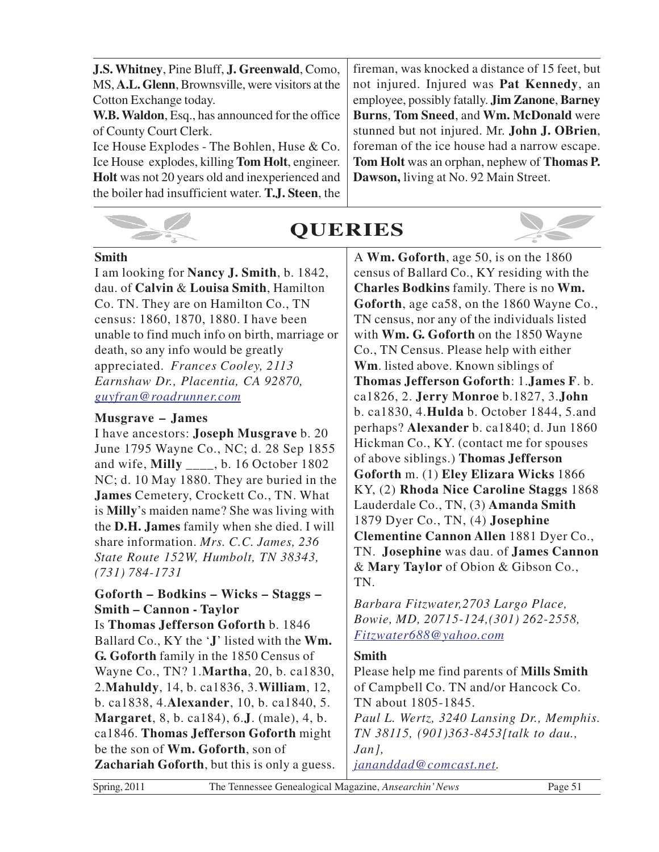| J.S. Whitney, Pine Bluff, J. Greenwald, Como,          | fireman, was knocked a distance of 15 feet, but               |
|--------------------------------------------------------|---------------------------------------------------------------|
| MS, A.L. Glenn, Brownsville, were visitors at the      | not injured. Injured was <b>Pat Kennedy</b> , an              |
| Cotton Exchange today.                                 | employee, possibly fatally. <b>Jim Zanone</b> , <b>Barney</b> |
| <b>W.B. Waldon, Esq., has announced for the office</b> | Burns, Tom Sneed, and Wm. McDonald were                       |
| of County Court Clerk.                                 | stunned but not injured. Mr. John J. OBrien,                  |
| Ice House Explodes - The Bohlen, Huse & Co.            | foreman of the ice house had a narrow escape.                 |
| Ice House explodes, killing Tom Holt, engineer.        | Tom Holt was an orphan, nephew of Thomas P.                   |
| <b>Holt</b> was not 20 years old and inexperienced and | Dawson, living at No. 92 Main Street.                         |
| the boiler had insufficient water. T.J. Steen, the     |                                                               |
|                                                        |                                                               |



# **QUERIES**



I am looking for **Nancy J. Smith**, b. 1842, dau. of **Calvin** & **Louisa Smith**, Hamilton Co. TN. They are on Hamilton Co., TN census: 1860, 1870, 1880. I have been unable to find much info on birth, marriage or death, so any info would be greatly appreciated. *Frances Cooley, 2113 Earnshaw Dr., Placentia, CA 92870, guyfran@roadrunner.com*

#### **Musgrave – James**

I have ancestors: **Joseph Musgrave** b. 20 June 1795 Wayne Co., NC; d. 28 Sep 1855 and wife, **Milly** \_\_\_\_, b. 16 October 1802 NC; d. 10 May 1880. They are buried in the **James** Cemetery, Crockett Co., TN. What is **Milly**'s maiden name? She was living with the **D.H. James** family when she died. I will share information. *Mrs. C.C. James, 236 State Route 152W, Humbolt, TN 38343, (731) 784-1731*

#### **Goforth – Bodkins – Wicks – Staggs – Smith – Cannon - Taylor**

Is **Thomas Jefferson Goforth** b. 1846 Ballard Co., KY the '**J**' listed with the **Wm. G. Goforth** family in the 1850 Census of Wayne Co., TN? 1.**Martha**, 20, b. ca1830, 2.**Mahuldy**, 14, b. ca1836, 3.**William**, 12, b. ca1838, 4.**Alexander**, 10, b. ca1840, 5. **Margaret**, 8, b. ca184), 6.**J**. (male), 4, b. ca1846. **Thomas Jefferson Goforth** might be the son of **Wm. Goforth**, son of **Zachariah Goforth**, but this is only a guess. A **Wm. Goforth**, age 50, is on the 1860 census of Ballard Co., KY residing with the **Charles Bodkins** family. There is no **Wm. Goforth**, age ca58, on the 1860 Wayne Co., TN census, nor any of the individuals listed with **Wm. G. Goforth** on the 1850 Wayne Co., TN Census. Please help with either **Wm**. listed above. Known siblings of **Thomas Jefferson Goforth**: 1.**James F**. b. ca1826, 2. **Jerry Monroe** b.1827, 3.**John** b. ca1830, 4.**Hulda** b. October 1844, 5.and perhaps? **Alexander** b. ca1840; d. Jun 1860 Hickman Co., KY. (contact me for spouses of above siblings.) **Thomas Jefferson Goforth** m. (1) **Eley Elizara Wicks** 1866 KY, (2) **Rhoda Nice Caroline Staggs** 1868 Lauderdale Co., TN, (3) **Amanda Smith** 1879 Dyer Co., TN, (4) **Josephine Clementine Cannon Allen** 1881 Dyer Co., TN. **Josephine** was dau. of **James Cannon** & **Mary Taylor** of Obion & Gibson Co., TN.

*Barbara Fitzwater,2703 Largo Place, Bowie, MD, 20715-124,(301) 262-2558, Fitzwater688@yahoo.com*

#### **Smith**

Please help me find parents of **Mills Smith** of Campbell Co. TN and/or Hancock Co. TN about 1805-1845. *Paul L. Wertz, 3240 Lansing Dr., Memphis. TN 38115, (901)363-8453[talk to dau., Jan], jananddad@comcast.net.*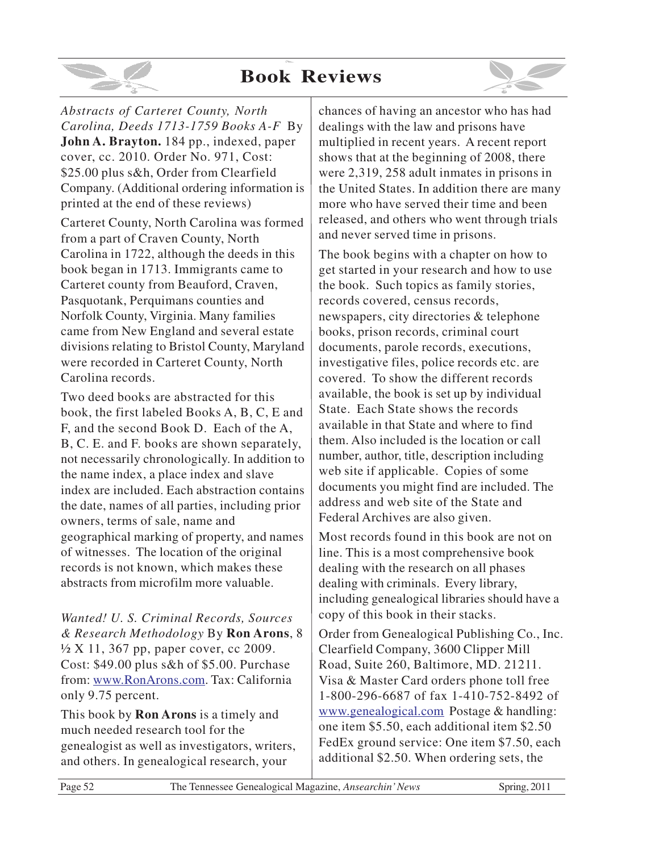# **Book Reviews**



*Abstracts of Carteret County, North Carolina, Deeds 1713-1759 Books A-F* By **John A. Brayton.** 184 pp., indexed, paper cover, cc. 2010. Order No. 971, Cost: \$25.00 plus s&h, Order from Clearfield Company. (Additional ordering information is printed at the end of these reviews)

Carteret County, North Carolina was formed from a part of Craven County, North Carolina in 1722, although the deeds in this book began in 1713. Immigrants came to Carteret county from Beauford, Craven, Pasquotank, Perquimans counties and Norfolk County, Virginia. Many families came from New England and several estate divisions relating to Bristol County, Maryland were recorded in Carteret County, North Carolina records.

Two deed books are abstracted for this book, the first labeled Books A, B, C, E and F, and the second Book D. Each of the A, B, C. E. and F. books are shown separately, not necessarily chronologically. In addition to the name index, a place index and slave index are included. Each abstraction contains the date, names of all parties, including prior owners, terms of sale, name and geographical marking of property, and names of witnesses. The location of the original records is not known, which makes these abstracts from microfilm more valuable.

*Wanted! U. S. Criminal Records, Sources & Research Methodology* By **Ron Arons**, 8 ½ X 11, 367 pp, paper cover, cc 2009. Cost: \$49.00 plus s&h of \$5.00. Purchase from: www.RonArons.com. Tax: California only 9.75 percent.

This book by **Ron Arons** is a timely and much needed research tool for the genealogist as well as investigators, writers, and others. In genealogical research, your

chances of having an ancestor who has had dealings with the law and prisons have multiplied in recent years. A recent report shows that at the beginning of 2008, there were 2,319, 258 adult inmates in prisons in the United States. In addition there are many more who have served their time and been released, and others who went through trials and never served time in prisons.

The book begins with a chapter on how to get started in your research and how to use the book. Such topics as family stories, records covered, census records, newspapers, city directories & telephone books, prison records, criminal court documents, parole records, executions, investigative files, police records etc. are covered. To show the different records available, the book is set up by individual State. Each State shows the records available in that State and where to find them. Also included is the location or call number, author, title, description including web site if applicable. Copies of some documents you might find are included. The address and web site of the State and Federal Archives are also given.

Most records found in this book are not on line. This is a most comprehensive book dealing with the research on all phases dealing with criminals. Every library, including genealogical libraries should have a copy of this book in their stacks.

Order from Genealogical Publishing Co., Inc. Clearfield Company, 3600 Clipper Mill Road, Suite 260, Baltimore, MD. 21211. Visa & Master Card orders phone toll free 1-800-296-6687 of fax 1-410-752-8492 of www.genealogical.com Postage & handling: one item \$5.50, each additional item \$2.50 FedEx ground service: One item \$7.50, each additional \$2.50. When ordering sets, the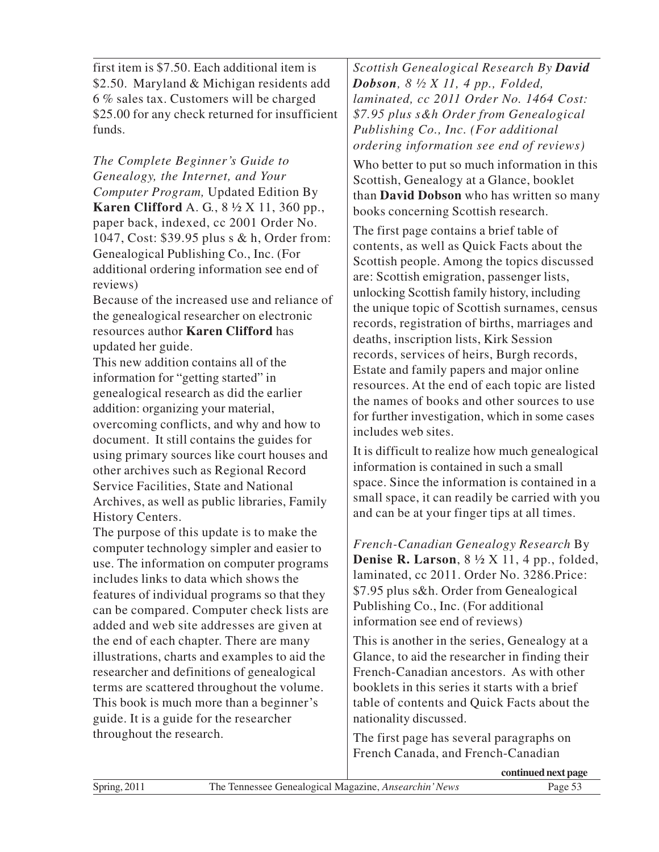first item is \$7.50. Each additional item is \$2.50. Maryland & Michigan residents add 6 % sales tax. Customers will be charged \$25.00 for any check returned for insufficient funds.

*The Complete Beginner's Guide to Genealogy, the Internet, and Your Computer Program,* Updated Edition By **Karen Clifford** A. G., 8 ½ X 11, 360 pp., paper back, indexed, cc 2001 Order No. 1047, Cost: \$39.95 plus s & h, Order from: Genealogical Publishing Co., Inc. (For additional ordering information see end of reviews)

Because of the increased use and reliance of the genealogical researcher on electronic resources author **Karen Clifford** has updated her guide.

This new addition contains all of the information for "getting started" in genealogical research as did the earlier addition: organizing your material, overcoming conflicts, and why and how to document. It still contains the guides for using primary sources like court houses and other archives such as Regional Record Service Facilities, State and National Archives, as well as public libraries, Family History Centers.

The purpose of this update is to make the computer technology simpler and easier to use. The information on computer programs includes links to data which shows the features of individual programs so that they can be compared. Computer check lists are added and web site addresses are given at the end of each chapter. There are many illustrations, charts and examples to aid the researcher and definitions of genealogical terms are scattered throughout the volume. This book is much more than a beginner's guide. It is a guide for the researcher throughout the research.

*Scottish Genealogical Research By David Dobson, 8 ½ X 11, 4 pp., Folded, laminated, cc 2011 Order No. 1464 Cost: \$7.95 plus s&h Order from Genealogical Publishing Co., Inc. (For additional ordering information see end of reviews)*

Who better to put so much information in this Scottish, Genealogy at a Glance, booklet than **David Dobson** who has written so many books concerning Scottish research.

The first page contains a brief table of contents, as well as Quick Facts about the Scottish people. Among the topics discussed are: Scottish emigration, passenger lists, unlocking Scottish family history, including the unique topic of Scottish surnames, census records, registration of births, marriages and deaths, inscription lists, Kirk Session records, services of heirs, Burgh records, Estate and family papers and major online resources. At the end of each topic are listed the names of books and other sources to use for further investigation, which in some cases includes web sites.

It is difficult to realize how much genealogical information is contained in such a small space. Since the information is contained in a small space, it can readily be carried with you and can be at your finger tips at all times.

*French-Canadian Genealogy Research* By **Denise R. Larson**, 8 ½ X 11, 4 pp., folded, laminated, cc 2011. Order No. 3286.Price: \$7.95 plus s&h. Order from Genealogical Publishing Co., Inc. (For additional information see end of reviews)

This is another in the series, Genealogy at a Glance, to aid the researcher in finding their French-Canadian ancestors. As with other booklets in this series it starts with a brief table of contents and Quick Facts about the nationality discussed.

The first page has several paragraphs on French Canada, and French-Canadian

**continued next page**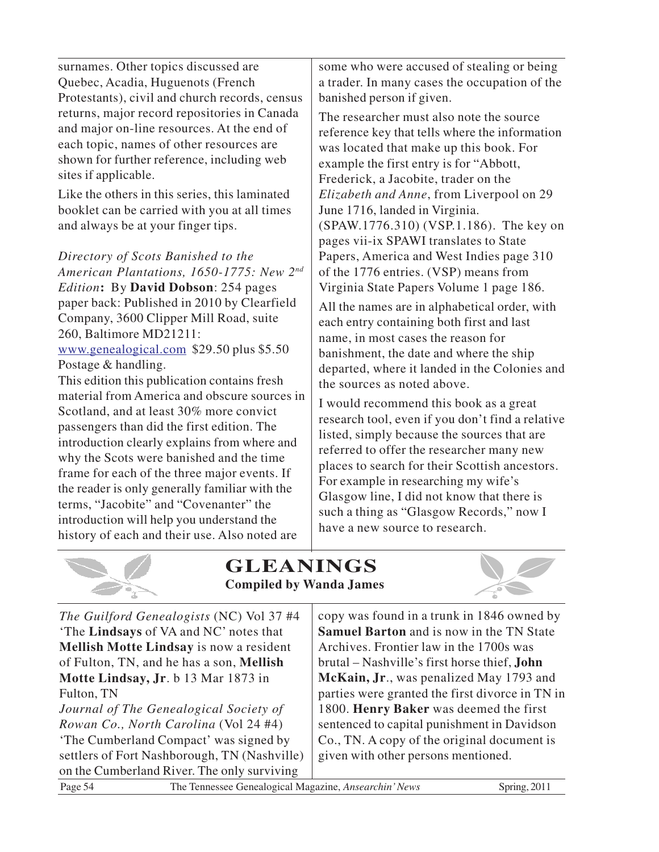surnames. Other topics discussed are Quebec, Acadia, Huguenots (French Protestants), civil and church records, census returns, major record repositories in Canada and major on-line resources. At the end of each topic, names of other resources are shown for further reference, including web sites if applicable.

Like the others in this series, this laminated booklet can be carried with you at all times and always be at your finger tips.

*Directory of Scots Banished to the American Plantations, 1650-1775: New 2nd Edition***:** By **David Dobson**: 254 pages paper back: Published in 2010 by Clearfield Company, 3600 Clipper Mill Road, suite 260, Baltimore MD21211: www.genealogical.com \$29.50 plus \$5.50

Postage & handling. This edition this publication contains fresh material from America and obscure sources in Scotland, and at least 30% more convict passengers than did the first edition. The introduction clearly explains from where and why the Scots were banished and the time frame for each of the three major events. If the reader is only generally familiar with the terms, "Jacobite" and "Covenanter" the introduction will help you understand the history of each and their use. Also noted are

some who were accused of stealing or being a trader. In many cases the occupation of the banished person if given.

The researcher must also note the source reference key that tells where the information was located that make up this book. For example the first entry is for "Abbott, Frederick, a Jacobite, trader on the *Elizabeth and Anne*, from Liverpool on 29 June 1716, landed in Virginia. (SPAW.1776.310) (VSP.1.186). The key on pages vii-ix SPAWI translates to State Papers, America and West Indies page 310 of the 1776 entries. (VSP) means from Virginia State Papers Volume 1 page 186.

All the names are in alphabetical order, with each entry containing both first and last name, in most cases the reason for banishment, the date and where the ship departed, where it landed in the Colonies and the sources as noted above.

I would recommend this book as a great research tool, even if you don't find a relative listed, simply because the sources that are referred to offer the researcher many new places to search for their Scottish ancestors. For example in researching my wife's Glasgow line, I did not know that there is such a thing as "Glasgow Records," now I have a new source to research.



# **GLEANINGS Compiled by Wanda James**



| The Guilford Genealogists (NC) Vol 37 #4       | copy was found in a trunk in 1846 owned by          |
|------------------------------------------------|-----------------------------------------------------|
| 'The <b>Lindsays</b> of VA and NC' notes that  | <b>Samuel Barton</b> and is now in the TN State     |
| <b>Mellish Motte Lindsay</b> is now a resident | Archives. Frontier law in the 1700s was             |
| of Fulton, TN, and he has a son, Mellish       | brutal – Nashville's first horse thief, <b>John</b> |
| Motte Lindsay, Jr. b 13 Mar 1873 in            | McKain, Jr., was penalized May 1793 and             |
| Fulton, TN                                     | parties were granted the first divorce in TN in     |
| Journal of The Genealogical Society of         | 1800. Henry Baker was deemed the first              |
| Rowan Co., North Carolina (Vol 24 #4)          | sentenced to capital punishment in Davidson         |
| 'The Cumberland Compact' was signed by         | Co., TN. A copy of the original document is         |
| settlers of Fort Nashborough, TN (Nashville)   | given with other persons mentioned.                 |
| on the Cumberland River. The only surviving    |                                                     |
|                                                |                                                     |

Page 54 The Tennessee Genealogical Magazine, *Ansearchin' News* Spring, 2011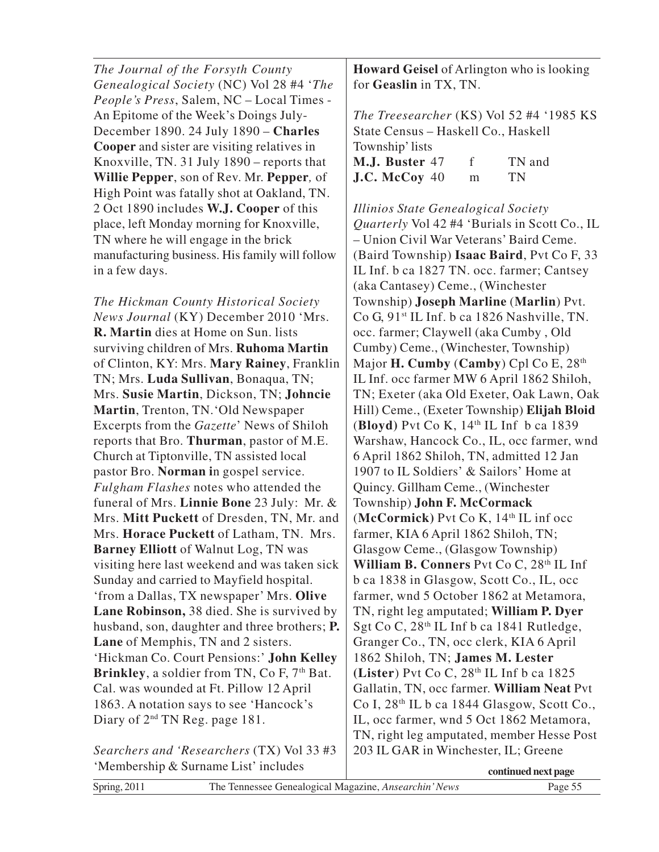*The Journal of the Forsyth County Genealogical Society* (NC) Vol 28 #4 '*The People's Press*, Salem, NC – Local Times - An Epitome of the Week's Doings July-December 1890. 24 July 1890 – **Charles Cooper** and sister are visiting relatives in Knoxville, TN. 31 July 1890 – reports that **Willie Pepper**, son of Rev. Mr. **Pepper***,* of High Point was fatally shot at Oakland, TN. 2 Oct 1890 includes **W.J. Cooper** of this place, left Monday morning for Knoxville, TN where he will engage in the brick manufacturing business. His family will follow in a few days.

*The Hickman County Historical Society News Journal* (KY) December 2010 'Mrs. **R. Martin** dies at Home on Sun. lists surviving children of Mrs. **Ruhoma Martin** of Clinton, KY: Mrs. **Mary Rainey**, Franklin TN; Mrs. **Luda Sullivan**, Bonaqua, TN; Mrs. **Susie Martin**, Dickson, TN; **Johncie Martin**, Trenton, TN.'Old Newspaper Excerpts from the *Gazette*' News of Shiloh reports that Bro. **Thurman**, pastor of M.E. Church at Tiptonville, TN assisted local pastor Bro. **Norman i**n gospel service. *Fulgham Flashes* notes who attended the funeral of Mrs. **Linnie Bone** 23 July: Mr. & Mrs. **Mitt Puckett** of Dresden, TN, Mr. and Mrs. **Horace Puckett** of Latham, TN. Mrs. **Barney Elliott** of Walnut Log, TN was visiting here last weekend and was taken sick Sunday and carried to Mayfield hospital. 'from a Dallas, TX newspaper' Mrs. **Olive Lane Robinson,** 38 died. She is survived by husband, son, daughter and three brothers; **P. Lane** of Memphis, TN and 2 sisters. 'Hickman Co. Court Pensions:' **John Kelley Brinkley**, a soldier from TN, Co F, 7<sup>th</sup> Bat. Cal. was wounded at Ft. Pillow 12 April 1863. A notation says to see 'Hancock's Diary of  $2<sup>nd</sup> TN Reg. page 181.$ 

*Searchers and 'Researchers* (TX) Vol 33 #3 'Membership & Surname List' includes

**Howard Geisel** of Arlington who is looking for **Geaslin** in TX, TN.

*The Treesearcher* (KS) Vol 52 #4 '1985 KS State Census – Haskell Co., Haskell Township' lists **M.J. Buster** 47 f TN and **J.C. McCoy** 40 m TN

*Illinios State Genealogical Society Quarterly* Vol 42 #4 'Burials in Scott Co., IL – Union Civil War Veterans' Baird Ceme. (Baird Township) **Isaac Baird**, Pvt Co F, 33 IL Inf. b ca 1827 TN. occ. farmer; Cantsey (aka Cantasey) Ceme., (Winchester Township) **Joseph Marline** (**Marlin**) Pvt. Co G,  $91^{st}$  IL Inf. b ca 1826 Nashville, TN. occ. farmer; Claywell (aka Cumby , Old Cumby) Ceme., (Winchester, Township) Major **H. Cumby** (**Camby**) Cpl Co E, 28th IL Inf. occ farmer MW 6 April 1862 Shiloh, TN; Exeter (aka Old Exeter, Oak Lawn, Oak Hill) Ceme., (Exeter Township) **Elijah Bloid** (**Bloyd)** Pvt Co K, 14th IL Inf b ca 1839 Warshaw, Hancock Co., IL, occ farmer, wnd 6 April 1862 Shiloh, TN, admitted 12 Jan 1907 to IL Soldiers' & Sailors' Home at Quincy. Gillham Ceme., (Winchester Township) **John F. McCormack** (McCormick) Pvt Co K,  $14<sup>th</sup>$  IL inf occ farmer, KIA 6 April 1862 Shiloh, TN; Glasgow Ceme., (Glasgow Township) William B. Conners Pvt Co C, 28<sup>th</sup> IL Inf b ca 1838 in Glasgow, Scott Co., IL, occ farmer, wnd 5 October 1862 at Metamora, TN, right leg amputated; **William P. Dyer** Sgt Co C, 28<sup>th</sup> IL Inf b ca 1841 Rutledge, Granger Co., TN, occ clerk, KIA 6 April 1862 Shiloh, TN; **James M. Lester (Lister**) Pvt Co C, 28th IL Inf b ca 1825 Gallatin, TN, occ farmer. **William Neat** Pvt Co I, 28th IL b ca 1844 Glasgow, Scott Co., IL, occ farmer, wnd 5 Oct 1862 Metamora, TN, right leg amputated, member Hesse Post 203 IL GAR in Winchester, IL; Greene

| $\mu$ . $\mu$ . $\mu$ . $\mu$ . $\mu$ . $\mu$ . $\mu$ . $\mu$ . $\mu$ . $\mu$ . $\mu$ . $\mu$ . $\mu$ . $\mu$ . $\mu$ . $\mu$ . $\mu$ . $\mu$ . $\mu$ . $\mu$ . $\mu$ . $\mu$ . $\mu$ . $\mu$ . $\mu$ . $\mu$ . $\mu$ . $\mu$ . $\mu$ . $\mu$ . $\mu$ . $\mu$ . $\mu$ . $\mu$ . $\mu$ . $\mu$ . $\mu$ . |                                                       | continued next page |
|---------------------------------------------------------------------------------------------------------------------------------------------------------------------------------------------------------------------------------------------------------------------------------------------------------|-------------------------------------------------------|---------------------|
| Spring, $2011$                                                                                                                                                                                                                                                                                          | The Tennessee Genealogical Magazine, Ansearchin' News | Page 55             |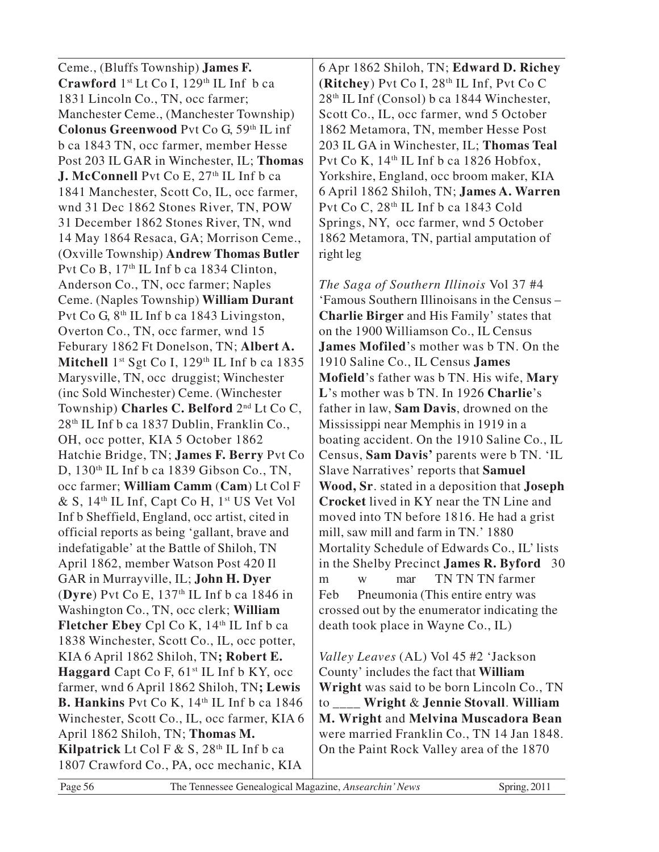Ceme., (Bluffs Township) **James F.** Crawford 1<sup>st</sup> Lt Co I, 129<sup>th</sup> IL Inf b ca 1831 Lincoln Co., TN, occ farmer; Manchester Ceme., (Manchester Township) **Colonus Greenwood** Pvt Co G, 59th IL inf b ca 1843 TN, occ farmer, member Hesse Post 203 IL GAR in Winchester, IL; **Thomas J. McConnell** Pvt Co E, 27<sup>th</sup> IL Inf b ca 1841 Manchester, Scott Co, IL, occ farmer, wnd 31 Dec 1862 Stones River, TN, POW 31 December 1862 Stones River, TN, wnd 14 May 1864 Resaca, GA; Morrison Ceme., (Oxville Township) **Andrew Thomas Butler** Pvt Co B, 17<sup>th</sup> IL Inf b ca 1834 Clinton, Anderson Co., TN, occ farmer; Naples Ceme. (Naples Township) **William Durant** Pvt Co G,  $8<sup>th</sup>$  IL Inf b ca 1843 Livingston, Overton Co., TN, occ farmer, wnd 15 Feburary 1862 Ft Donelson, TN; **Albert A.** Mitchell 1<sup>st</sup> Sgt Co I, 129<sup>th</sup> IL Inf b ca 1835 Marysville, TN, occ druggist; Winchester (inc Sold Winchester) Ceme. (Winchester Township) **Charles C. Belford** 2nd Lt Co C, 28th IL Inf b ca 1837 Dublin, Franklin Co., OH, occ potter, KIA 5 October 1862 Hatchie Bridge, TN; **James F. Berry** Pvt Co D,  $130<sup>th</sup>$  IL Inf b ca 1839 Gibson Co., TN, occ farmer; **William Camm** (**Cam**) Lt Col F & S, 14th IL Inf, Capt Co H, 1st US Vet Vol Inf b Sheffield, England, occ artist, cited in official reports as being 'gallant, brave and indefatigable' at the Battle of Shiloh, TN April 1862, member Watson Post 420 Il GAR in Murrayville, IL; **John H. Dyer** (**Dyre**) Pvt Co E, 137th IL Inf b ca 1846 in Washington Co., TN, occ clerk; **William Fletcher Ebey** Cpl Co K, 14<sup>th</sup> IL Inf b ca 1838 Winchester, Scott Co., IL, occ potter, KIA 6 April 1862 Shiloh, TN**; Robert E. Haggard** Capt Co F, 61<sup>st</sup> IL Inf b KY, occ farmer, wnd 6 April 1862 Shiloh, TN**; Lewis B. Hankins** Pvt Co K, 14<sup>th</sup> IL Inf b ca 1846 Winchester, Scott Co., IL, occ farmer, KIA 6 April 1862 Shiloh, TN; **Thomas M. Kilpatrick** Lt Col F  $\&$  S, 28<sup>th</sup> IL Inf b ca 1807 Crawford Co., PA, occ mechanic, KIA

6 Apr 1862 Shiloh, TN; **Edward D. Richey (Ritchey**) Pvt Co I, 28th IL Inf, Pvt Co C 28th IL Inf (Consol) b ca 1844 Winchester, Scott Co., IL, occ farmer, wnd 5 October 1862 Metamora, TN, member Hesse Post 203 IL GA in Winchester, IL; **Thomas Teal** Pvt Co K,  $14<sup>th</sup>$  IL Inf b ca 1826 Hobfox, Yorkshire, England, occ broom maker, KIA 6 April 1862 Shiloh, TN; **James A. Warren** Pvt Co C, 28th IL Inf b ca 1843 Cold Springs, NY, occ farmer, wnd 5 October 1862 Metamora, TN, partial amputation of right leg

*The Saga of Southern Illinois* Vol 37 #4 'Famous Southern Illinoisans in the Census – **Charlie Birger** and His Family' states that on the 1900 Williamson Co., IL Census **James Mofiled**'s mother was b TN. On the 1910 Saline Co., IL Census **James Mofield**'s father was b TN. His wife, **Mary L**'s mother was b TN. In 1926 **Charlie**'s father in law, **Sam Davis**, drowned on the Mississippi near Memphis in 1919 in a boating accident. On the 1910 Saline Co., IL Census, **Sam Davis'** parents were b TN. 'IL Slave Narratives' reports that **Samuel Wood, Sr**. stated in a deposition that **Joseph Crocket** lived in KY near the TN Line and moved into TN before 1816. He had a grist mill, saw mill and farm in TN.' 1880 Mortality Schedule of Edwards Co., IL' lists in the Shelby Precinct **James R. Byford** 30 m w mar TN TN TN farmer Feb Pneumonia (This entire entry was crossed out by the enumerator indicating the death took place in Wayne Co., IL)

*Valley Leaves* (AL) Vol 45 #2 'Jackson County' includes the fact that **William Wright** was said to be born Lincoln Co., TN to \_\_\_\_ **Wright** & **Jennie Stovall**. **William M. Wright** and **Melvina Muscadora Bean** were married Franklin Co., TN 14 Jan 1848. On the Paint Rock Valley area of the 1870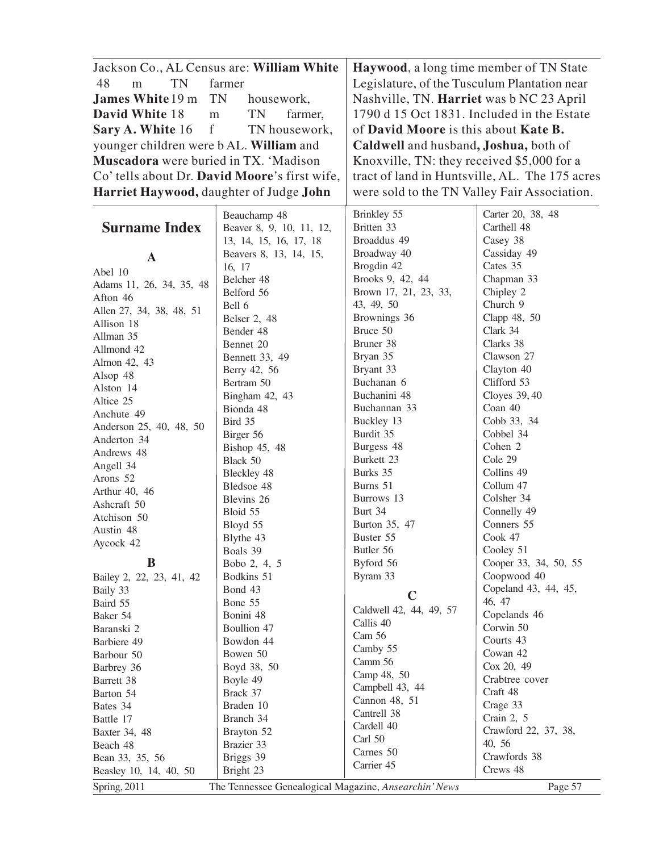| Jackson Co., AL Census are: William White    |                                                                            | Haywood, a long time member of TN State        |                       |
|----------------------------------------------|----------------------------------------------------------------------------|------------------------------------------------|-----------------------|
| TN<br>48<br>m                                | farmer                                                                     | Legislature, of the Tusculum Plantation near   |                       |
| <b>James White 19 m</b>                      | housework,                                                                 | Nashville, TN. Harriet was b NC 23 April       |                       |
| David White 18                               | <b>TN</b><br>TN<br>1790 d 15 Oct 1831. Included in the Estate<br>${\rm m}$ |                                                |                       |
|                                              | farmer,                                                                    |                                                |                       |
| $\boldsymbol{f}$<br>Sary A. White 16         | TN housework,                                                              | of David Moore is this about Kate B.           |                       |
| younger children were b AL. William and      |                                                                            | Caldwell and husband, Joshua, both of          |                       |
| <b>Muscadora</b> were buried in TX. 'Madison |                                                                            | Knoxville, TN: they received \$5,000 for a     |                       |
|                                              | Co' tells about Dr. David Moore's first wife,                              | tract of land in Huntsville, AL. The 175 acres |                       |
| Harriet Haywood, daughter of Judge John      |                                                                            | were sold to the TN Valley Fair Association.   |                       |
|                                              | Beauchamp 48                                                               | Brinkley 55                                    | Carter 20, 38, 48     |
| <b>Surname Index</b>                         | Beaver 8, 9, 10, 11, 12,                                                   | Britten 33                                     | Carthell 48           |
|                                              | 13, 14, 15, 16, 17, 18                                                     | Broaddus 49                                    | Casey 38              |
|                                              | Beavers 8, 13, 14, 15,                                                     | Broadway 40                                    | Cassiday 49           |
| A                                            | 16, 17                                                                     | Brogdin 42                                     | Cates 35              |
| Abel 10                                      | Belcher 48                                                                 | Brooks 9, 42, 44                               | Chapman 33            |
| Adams 11, 26, 34, 35, 48                     | Belford 56                                                                 | Brown 17, 21, 23, 33,                          | Chipley 2             |
| Afton 46                                     |                                                                            | 43, 49, 50                                     | Church 9              |
| Allen 27, 34, 38, 48, 51                     | Bell 6                                                                     |                                                |                       |
| Allison 18                                   | Belser 2, 48                                                               | Brownings 36                                   | Clapp 48, 50          |
| Allman 35                                    | Bender 48                                                                  | Bruce 50                                       | Clark 34              |
| Allmond 42                                   | Bennet 20                                                                  | Bruner 38                                      | Clarks 38             |
| Almon 42, 43                                 | Bennett 33, 49                                                             | Bryan 35                                       | Clawson 27            |
| Alsop 48                                     | Berry 42, 56                                                               | Bryant 33                                      | Clayton 40            |
| Alston 14                                    | Bertram 50                                                                 | Buchanan 6                                     | Clifford 53           |
| Altice 25                                    | Bingham 42, 43                                                             | Buchanini 48                                   | Cloyes 39, 40         |
| Anchute 49                                   | Bionda 48                                                                  | Buchannan 33                                   | Coan 40               |
| Anderson 25, 40, 48, 50                      | Bird 35                                                                    | Buckley 13                                     | Cobb 33, 34           |
| Anderton 34                                  | Birger 56                                                                  | Burdit 35                                      | Cobbel 34             |
| Andrews 48                                   | Bishop 45, 48                                                              | Burgess 48                                     | Cohen 2               |
|                                              | Black 50                                                                   | Burkett 23                                     | Cole 29               |
| Angell 34                                    | Bleckley 48                                                                | Burks 35                                       | Collins 49            |
| Arons 52                                     | Bledsoe 48                                                                 | Burns 51                                       | Collum 47             |
| Arthur 40, 46                                | Blevins 26                                                                 | Burrows 13                                     | Colsher 34            |
| Ashcraft 50                                  | Bloid 55                                                                   | Burt 34                                        | Connelly 49           |
| Atchison 50                                  | Bloyd 55                                                                   | Burton 35, 47                                  | Conners 55            |
| Austin 48                                    | Blythe 43                                                                  | Buster 55                                      | Cook 47               |
| Aycock 42                                    | Boals 39                                                                   | Butler 56                                      | Cooley 51             |
| B                                            | Bobo 2, 4, 5                                                               | Byford 56                                      | Cooper 33, 34, 50, 55 |
| Bailey 2, 22, 23, 41, 42                     | Bodkins 51                                                                 | Byram 33                                       | Coopwood 40           |
|                                              | Bond 43                                                                    |                                                | Copeland 43, 44, 45,  |
| Baily 33                                     | Bone 55                                                                    | $\mathbf C$                                    | 46, 47                |
| Baird 55                                     |                                                                            | Caldwell 42, 44, 49, 57                        |                       |
| Baker 54                                     | Bonini 48                                                                  | Callis 40                                      | Copelands 46          |
| Baranski 2                                   | Boullion 47                                                                | Cam 56                                         | Corwin 50             |
| Barbiere 49                                  | Bowdon 44                                                                  | Camby 55                                       | Courts 43             |
| Barbour 50                                   | Bowen 50                                                                   | Camm 56                                        | Cowan 42              |
| Barbrey 36                                   | Boyd 38, 50                                                                | Camp 48, 50                                    | Cox 20, 49            |
| Barrett 38                                   | Boyle 49                                                                   |                                                | Crabtree cover        |
| Barton 54                                    | Brack 37                                                                   | Campbell 43, 44                                | Craft 48              |
| Bates 34                                     | Braden 10                                                                  | Cannon 48, 51                                  | Crage 33              |
| Battle 17                                    | Branch 34                                                                  | Cantrell 38                                    | Crain 2, 5            |
| Baxter 34, 48                                | Brayton 52                                                                 | Cardell 40                                     | Crawford 22, 37, 38,  |
| Beach 48                                     | Brazier 33                                                                 | Carl 50                                        | 40, 56                |
| Bean 33, 35, 56                              | Briggs 39                                                                  | Carnes 50                                      | Crawfords 38          |
| Beasley 10, 14, 40, 50                       | Bright 23                                                                  | Carrier 45                                     | Crews 48              |
| Spring, 2011                                 | The Tennessee Genealogical Magazine, Ansearchin' News                      |                                                | Page 57               |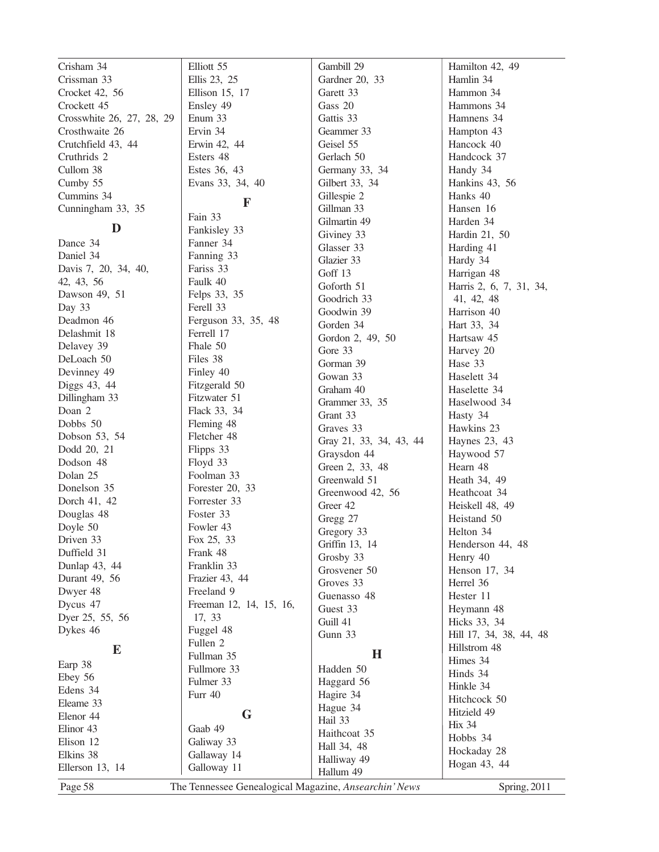| Crisham 34                | Elliott 55                                            | Gambill 29                 | Hamilton 42, 49         |
|---------------------------|-------------------------------------------------------|----------------------------|-------------------------|
| Crissman 33               | Ellis 23, 25                                          | Gardner 20, 33             | Hamlin 34               |
| Crocket 42, 56            | Ellison 15, 17                                        | Garett 33                  | Hammon 34               |
| Crockett 45               | Ensley 49                                             | Gass 20                    | Hammons 34              |
| Crosswhite 26, 27, 28, 29 | Enum 33                                               | Gattis 33                  | Hamnens 34              |
| Crosthwaite 26            | Ervin 34                                              | Geammer 33                 | Hampton 43              |
| Crutchfield 43, 44        | Erwin 42, 44                                          | Geisel 55                  | Hancock 40              |
| Cruthrids 2               | Esters 48                                             | Gerlach 50                 | Handcock 37             |
| Cullom 38                 | Estes 36, 43                                          | Germany 33, 34             | Handy 34                |
| Cumby 55                  | Evans 33, 34, 40                                      | Gilbert 33, 34             | Hankins 43, 56          |
| Cummins 34                |                                                       | Gillespie 2                | Hanks 40                |
| Cunningham 33, 35         | F                                                     | Gillman 33                 | Hansen 16               |
|                           | Fain 33                                               | Gilmartin 49               | Harden 34               |
| D                         | Fankisley 33                                          | Giviney 33                 | Hardin 21, 50           |
| Dance 34                  | Fanner 34                                             | Glasser 33                 | Harding 41              |
| Daniel 34                 | Fanning 33                                            | Glazier 33                 | Hardy 34                |
| Davis 7, 20, 34, 40,      | Fariss 33                                             | Goff 13                    | Harrigan 48             |
| 42, 43, 56                | Faulk 40                                              | Goforth 51                 | Harris 2, 6, 7, 31, 34, |
| Dawson 49, 51             | Felps 33, 35                                          | Goodrich 33                | 41, 42, 48              |
| Day 33                    | Ferell 33                                             | Goodwin 39                 | Harrison 40             |
| Deadmon 46                | Ferguson 33, 35, 48                                   | Gorden 34                  | Hart 33, 34             |
| Delashmit 18              | Ferrell 17                                            | Gordon 2, 49, 50           | Hartsaw 45              |
| Delavey 39                | Fhale 50                                              | Gore 33                    | Harvey 20               |
| DeLoach 50                | Files 38                                              | Gorman 39                  | Hase 33                 |
| Devinney 49               | Finley 40                                             | Gowan 33                   | Haselett 34             |
| Diggs 43, 44              | Fitzgerald 50                                         | Graham 40                  |                         |
| Dillingham 33             | Fitzwater 51                                          |                            | Haselette 34            |
| Doan 2                    | Flack 33, 34                                          | Grammer 33, 35<br>Grant 33 | Haselwood 34            |
| Dobbs 50                  | Fleming 48                                            |                            | Hasty 34                |
| Dobson 53, 54             | Fletcher 48                                           | Graves 33                  | Hawkins 23              |
| Dodd 20, 21               | Flipps 33                                             | Gray 21, 33, 34, 43, 44    | Haynes 23, 43           |
| Dodson 48                 | Floyd 33                                              | Graysdon 44                | Haywood 57              |
| Dolan 25                  | Foolman 33                                            | Green 2, 33, 48            | Hearn 48                |
| Donelson 35               | Forester 20, 33                                       | Greenwald 51               | Heath 34, 49            |
| Dorch 41, 42              | Forrester 33                                          | Greenwood 42, 56           | Heathcoat 34            |
| Douglas 48                | Foster 33                                             | Greer 42                   | Heiskell 48, 49         |
| Doyle 50                  | Fowler 43                                             | Gregg 27                   | Heistand 50             |
| Driven 33                 | Fox 25, 33                                            | Gregory 33                 | Helton 34               |
| Duffield 31               | Frank 48                                              | Griffin 13, 14             | Henderson 44, 48        |
| Dunlap 43, 44             | Franklin 33                                           | Grosby 33                  | Henry 40                |
| Durant 49, 56             | Frazier 43, 44                                        | Grosvener 50<br>Groves 33  | Henson 17, 34           |
| Dwyer 48                  | Freeland 9                                            |                            | Herrel 36               |
| Dycus 47                  | Freeman 12, 14, 15, 16,                               | Guenasso 48                | Hester 11               |
| Dyer 25, 55, 56           | 17, 33                                                | Guest 33                   | Heymann 48              |
| Dykes 46                  | Fuggel 48                                             | Guill 41                   | Hicks 33, 34            |
|                           | Fullen 2                                              | Gunn 33                    | Hill 17, 34, 38, 44, 48 |
| E                         | Fullman 35                                            | $\mathbf H$                | Hillstrom 48            |
| Earp 38                   | Fullmore 33                                           | Hadden 50                  | Himes 34                |
| Ebey 56                   | Fulmer 33                                             | Haggard 56                 | Hinds 34<br>Hinkle 34   |
| Edens 34                  | Furr 40                                               | Hagire 34                  |                         |
| Eleame 33                 |                                                       | Hague 34                   | Hitchcock 50            |
| Elenor 44                 | G                                                     | Hail 33                    | Hitzield 49             |
| Elinor 43                 | Gaab 49                                               | Haithcoat 35               | <b>Hix 34</b>           |
| Elison 12                 | Galiway 33                                            | Hall 34, 48                | Hobbs 34                |
| Elkins 38                 | Gallaway 14                                           | Halliway 49                | Hockaday 28             |
| Ellerson 13, 14           | Galloway 11                                           | Hallum 49                  | Hogan 43, 44            |
| Page 58                   | The Tennessee Genealogical Magazine, Ansearchin' News |                            | Spring, 2011            |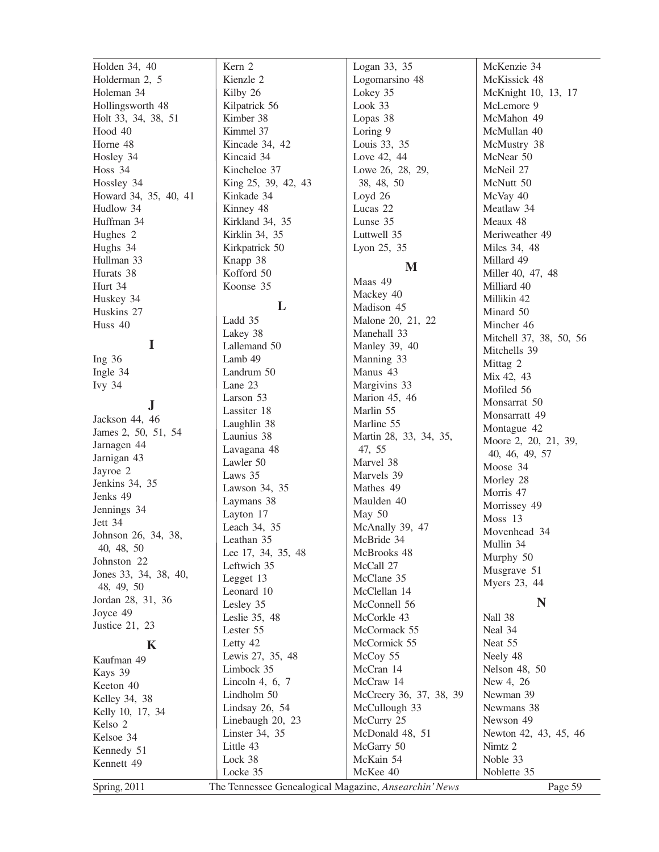Holden 34, 40 Holderman 2, 5 Holeman 34 Hollingsworth 48 Holt 33, 34, 38, 51 Hood 40 Horne 48 Hosley 34 Hoss 34 Hossley 34 Howard 34, 35, 40, 41 Hudlow 34 Huffman 34 Hughes 2 Hughs 34 Hullman 33 Hurats 38 Hurt 34 Huskey 34 Huskins 27 Huss 40 **I** Ing 36 Ingle 34 Ivy 34 **J** Jackson 44, 46 James 2, 50, 51, 54 Jarnagen 44 Jarnigan 43 Jayroe 2 Jenkins 34, 35 Jenks 49 Jennings 34 Jett 34 Johnson 26, 34, 38, 40, 48, 50 Johnston 22 Jones 33, 34, 38, 40, 48, 49, 50 Jordan 28, 31, 36 Joyce 49 Justice 21, 23 **K** Kaufman 49 Kays 39 Keeton 40 Kelley 34, 38 Kelly 10, 17, 34 Kelso 2 Kelsoe 34 Kennedy 51 Lock 38

Kennett 49

Kern 2 Kienzle 2 Kilby 26 Kilpatrick 56 Kimber 38 Kimmel 37 Kincade 34, 42 Kincaid 34 Kincheloe 37 King 25, 39, 42, 43 Kinkade 34 Kinney 48 Kirkland 34, 35 Kirklin 34, 35 Kirkpatrick 50 Knapp 38 Kofford 50 Koonse 35 **L** Ladd 35 Lakey 38 Lallemand 50 Lamb 49 Landrum 50 Lane 23 Larson 53 Lassiter 18 Laughlin 38 Launius 38 Lavagana 48 Lawler 50 Laws 35 Lawson 34, 35 Laymans 38 Layton 17 Leach 34, 35 Leathan 35 Lee 17, 34, 35, 48 Leftwich 35 Legget 13 Leonard 10 Lesley 35 Leslie 35, 48 Lester 55 Letty 42 Lewis 27, 35, 48 Limbock 35 Lincoln 4, 6, 7 Lindholm 50 Lindsay 26, 54 Linebaugh 20, 23 Linster 34, 35 Little 43 Look 33 May 50 McGarry 50

Spring, 2011 The Tennessee Genealogical Magazine, *Ansearchin' News* Page 59

McKain 54 McKee 40

Locke 35

Logan 33, 35 Logomarsino 48 Lokey 35 Lopas 38 Loring 9 Louis 33, 35 Love 42, 44 Lowe 26, 28, 29, 38, 48, 50 Loyd 26 Lucas 22 Lunse 35 Luttwell 35 Lyon 25, 35 **M** Maas 49 Mackey 40 Madison 45 Malone 20, 21, 22 Manehall 33 Manley 39, 40 Manning 33 Manus 43 Margivins 33 Marion 45, 46 Marlin 55 Marline 55 Martin 28, 33, 34, 35, 47, 55 Marvel 38 Marvels 39 Mathes 49 Maulden 40 McAnally 39, 47 McBride 34 McBrooks 48 McCall 27 McClane 35 McClellan 14 McConnell 56 McCorkle 43 McCormack 55 McCormick 55 McCoy 55 McCran 14 McCraw 14 McCreery 36, 37, 38, 39 McCullough 33 McCurry 25 McDonald 48, 51

McKenzie 34 McKissick 48 McKnight 10, 13, 17 McLemore 9 McMahon 49 McMullan 40 McMustry 38 McNear 50 McNeil 27 McNutt 50 McVay 40 Meatlaw 34 Meaux 48 Meriweather 49 Miles 34, 48 Millard 49 Miller 40, 47, 48 Milliard 40 Millikin 42 Minard 50 Mincher 46 Mitchell 37, 38, 50, 56 Mitchells 39 Mittag 2 Mix 42, 43 Mofiled 56 Monsarrat 50 Monsarratt 49 Montague 42 Moore 2, 20, 21, 39, 40, 46, 49, 57 Moose 34 Morley 28 Morris 47 Morrissey 49 Moss 13 Movenhead 34 Mullin 34 Murphy 50 Musgrave 51 Myers 23, 44 **N** Nall 38 Neal 34 Neat 55 Neely 48 Nelson 48, 50 New 4, 26 Newman 39 Newmans 38 Newson 49 Newton 42, 43, 45, 46 Nimtz 2 Noble 33

Noblette 35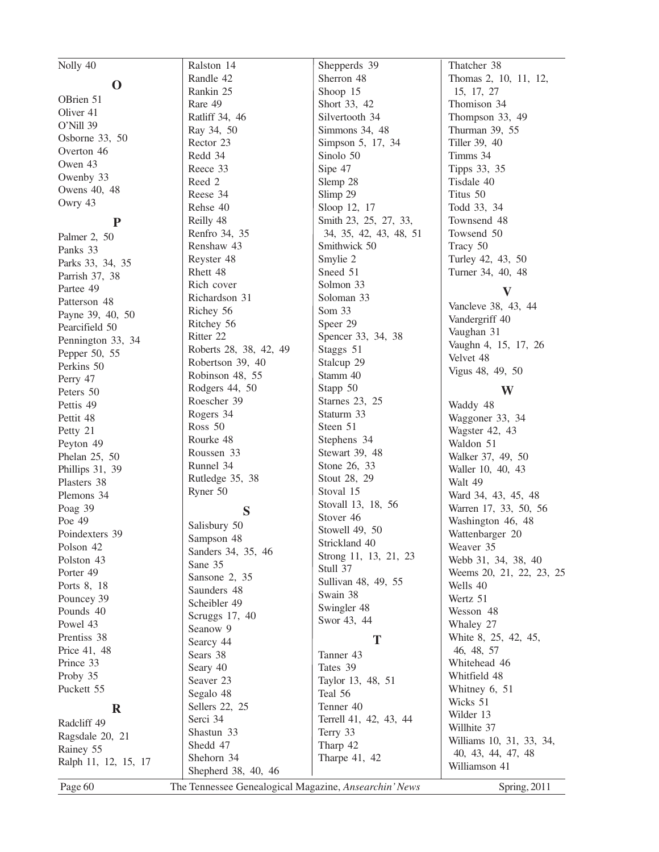| Nolly 40             | Ralston 14                                            | Shepperds 39           | Thatcher 38              |
|----------------------|-------------------------------------------------------|------------------------|--------------------------|
| $\mathbf 0$          | Randle 42                                             | Sherron 48             | Thomas 2, 10, 11, 12,    |
|                      | Rankin 25                                             | Shoop 15               | 15, 17, 27               |
| OBrien 51            | Rare 49                                               | Short 33, 42           | Thomison 34              |
| Oliver 41            | Ratliff 34, 46                                        | Silvertooth 34         | Thompson 33, 49          |
| O'Nill 39            | Ray 34, 50                                            | Simmons 34, 48         | Thurman 39, 55           |
| Osborne 33, 50       | Rector 23                                             | Simpson 5, 17, 34      | Tiller 39, 40            |
| Overton 46           | Redd 34                                               | Sinolo 50              | Timms 34                 |
| Owen 43              | Reece 33                                              | Sipe 47                | Tipps 33, 35             |
| Owenby 33            | Reed 2                                                | Slemp 28               | Tisdale 40               |
| Owens 40, 48         | Reese 34                                              | Slimp 29               | Titus 50                 |
| Owry 43              | Rehse 40                                              | Sloop 12, 17           | Todd 33, 34              |
| ${\bf P}$            | Reilly 48                                             | Smith 23, 25, 27, 33,  | Townsend 48              |
| Palmer 2, 50         | Renfro 34, 35                                         | 34, 35, 42, 43, 48, 51 | Towsend 50               |
| Panks 33             | Renshaw 43                                            | Smithwick 50           | Tracy 50                 |
|                      | Reyster 48                                            | Smylie 2               | Turley 42, 43, 50        |
| Parks 33, 34, 35     | Rhett 48                                              | Sneed 51               | Turner 34, 40, 48        |
| Parrish 37, 38       | Rich cover                                            | Solmon 33              |                          |
| Partee 49            | Richardson 31                                         | Soloman 33             | $\bf V$                  |
| Patterson 48         | Richey 56                                             | Som 33                 | Vancleve 38, 43, 44      |
| Payne 39, 40, 50     | Ritchey 56                                            | Speer 29               | Vandergriff 40           |
| Pearcifield 50       | Ritter 22                                             | Spencer 33, 34, 38     | Vaughan 31               |
| Pennington 33, 34    | Roberts 28, 38, 42, 49                                | Staggs 51              | Vaughn 4, 15, 17, 26     |
| Pepper 50, 55        | Robertson 39, 40                                      | Stalcup 29             | Velvet 48                |
| Perkins 50           | Robinson 48, 55                                       | Stamm 40               | Vigus 48, 49, 50         |
| Perry 47             | Rodgers 44, 50                                        | Stapp 50               |                          |
| Peters 50            | Roescher 39                                           | Starnes 23, 25         | W                        |
| Pettis 49            |                                                       |                        | Waddy 48                 |
| Pettit 48            | Rogers 34                                             | Staturm 33             | Waggoner 33, 34          |
| Petty 21             | Ross 50                                               | Steen 51               | Wagster 42, 43           |
| Peyton 49            | Rourke 48                                             | Stephens 34            | Waldon 51                |
| Phelan 25, 50        | Roussen 33                                            | Stewart 39, 48         | Walker 37, 49, 50        |
| Phillips 31, 39      | Runnel 34                                             | Stone 26, 33           | Waller 10, 40, 43        |
| Plasters 38          | Rutledge 35, 38                                       | Stout 28, 29           | Walt 49                  |
| Plemons 34           | Ryner 50                                              | Stoval 15              | Ward 34, 43, 45, 48      |
| Poag 39              | S                                                     | Stovall 13, 18, 56     | Warren 17, 33, 50, 56    |
| Poe 49               | Salisbury 50                                          | Stover 46              | Washington 46, 48        |
| Poindexters 39       | Sampson 48                                            | Stowell 49, 50         | Wattenbarger 20          |
| Polson 42            | Sanders 34, 35, 46                                    | Strickland 40          | Weaver 35                |
| Polston 43           | Sane 35                                               | Strong 11, 13, 21, 23  | Webb 31, 34, 38, 40      |
| Porter 49            | Sansone 2, 35                                         | Stull 37               | Weems 20, 21, 22, 23, 25 |
| Ports 8, 18          | Saunders 48                                           | Sullivan 48, 49, 55    | Wells 40                 |
| Pouncey 39           | Scheibler 49                                          | Swain 38               | Wertz 51                 |
| Pounds 40            |                                                       | Swingler 48            | Wesson 48                |
| Powel 43             | Scruggs 17, 40                                        | Swor 43, 44            | Whaley 27                |
| Prentiss 38          | Seanow 9                                              | T                      | White 8, 25, 42, 45,     |
| Price 41, 48         | Searcy 44                                             |                        | 46, 48, 57               |
| Prince 33            | Sears 38                                              | Tanner 43              | Whitehead 46             |
| Proby 35             | Seary 40                                              | Tates 39               | Whitfield 48             |
| Puckett 55           | Seaver 23                                             | Taylor 13, 48, 51      | Whitney 6, 51            |
|                      | Segalo 48                                             | Teal 56                | Wicks 51                 |
| $\mathbf R$          | Sellers 22, 25                                        | Tenner 40              | Wilder 13                |
| Radcliff 49          | Serci 34                                              | Terrell 41, 42, 43, 44 | Willhite 37              |
| Ragsdale 20, 21      | Shastun 33                                            | Terry 33               | Williams 10, 31, 33, 34, |
| Rainey 55            | Shedd 47                                              | Tharp 42               | 40, 43, 44, 47, 48       |
| Ralph 11, 12, 15, 17 | Shehorn 34                                            | Tharpe 41, 42          | Williamson 41            |
|                      | Shepherd 38, 40, 46                                   |                        |                          |
| Page 60              | The Tennessee Genealogical Magazine, Ansearchin' News |                        | Spring, 2011             |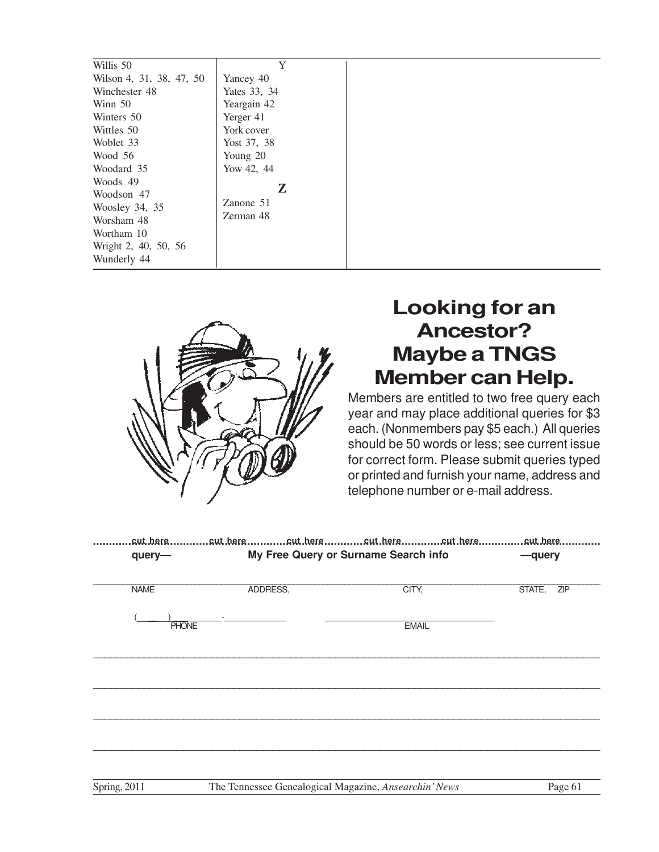| Y            |
|--------------|
| Yancey 40    |
| Yates 33, 34 |
| Yeargain 42  |
| Yerger 41    |
| York cover   |
| Yost 37, 38  |
| Young 20     |
| Yow 42, 44   |
|              |
| Z            |
| Zanone 51    |
| Zerman 48    |
|              |
|              |
|              |
|              |



# **Looking for an Ancestor? Maybe a TNGS Member can Help.**

Members are entitled to two free query each year and may place additional queries for \$3 each. (Nonmembers pay \$5 each.) All queries should be 50 words or less; see current issue for correct form. Please submit queries typed or printed and furnish your name, address and telephone number or e-mail address.

|              |          | .cut.bere……………cut.bere……………cut.bere…………cut.bere…………cut.bere……………cut.bere…………… |               |
|--------------|----------|-------------------------------------------------------------------------------|---------------|
| query-       |          | My Free Query or Surname Search info                                          | -query        |
|              |          |                                                                               |               |
|              |          |                                                                               |               |
| <b>NAME</b>  | ADDRESS, | CITY,                                                                         | STATE,<br>ZIP |
|              |          |                                                                               |               |
|              |          |                                                                               |               |
| <b>PHONE</b> |          | <b>EMAIL</b>                                                                  |               |
|              |          |                                                                               |               |
|              |          |                                                                               |               |
|              |          |                                                                               |               |
|              |          |                                                                               |               |
|              |          |                                                                               |               |
|              |          |                                                                               |               |
|              |          |                                                                               |               |
|              |          |                                                                               |               |
|              |          |                                                                               |               |
|              |          |                                                                               |               |
|              |          |                                                                               |               |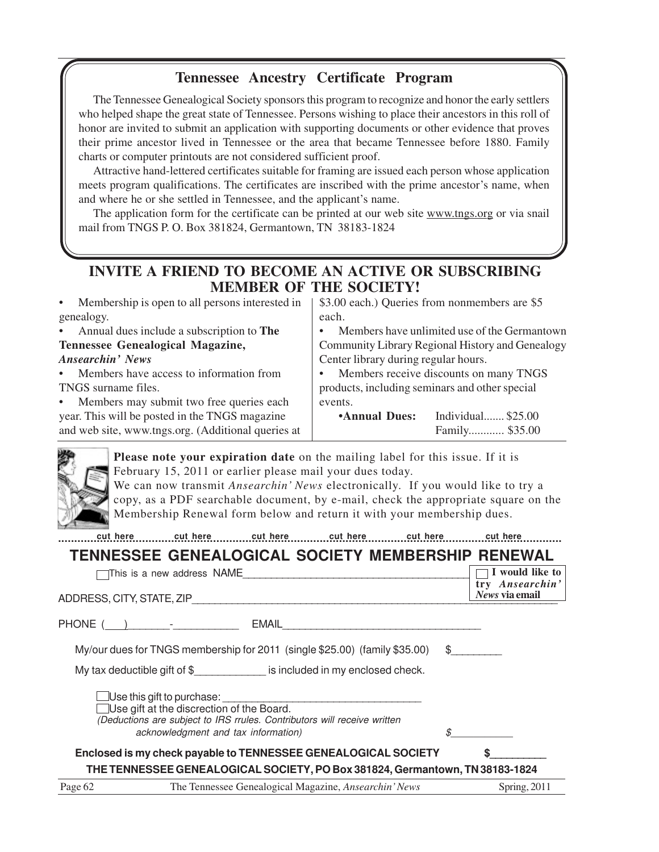#### **Tennessee Ancestry Certificate Program**

The Tennessee Genealogical Society sponsors this program to recognize and honor the early settlers who helped shape the great state of Tennessee. Persons wishing to place their ancestors in this roll of honor are invited to submit an application with supporting documents or other evidence that proves their prime ancestor lived in Tennessee or the area that became Tennessee before 1880. Family charts or computer printouts are not considered sufficient proof.

Attractive hand-lettered certificates suitable for framing are issued each person whose application meets program qualifications. The certificates are inscribed with the prime ancestor's name, when and where he or she settled in Tennessee, and the applicant's name.

The application form for the certificate can be printed at our web site www.tngs.org or via snail mail from TNGS P. O. Box 381824, Germantown, TN 38183-1824

#### **INVITE A FRIEND TO BECOME AN ACTIVE OR SUBSCRIBING MEMBER OF THE SOCIETY!**

| Membership is open to all persons interested in<br>$\bullet$ | \$3.00 each.) Queries from nonmembers are \$5       |  |  |
|--------------------------------------------------------------|-----------------------------------------------------|--|--|
| genealogy.                                                   | each.                                               |  |  |
| • Annual dues include a subscription to The                  | Members have unlimited use of the Germantown        |  |  |
| Tennessee Genealogical Magazine,                             | Community Library Regional History and Genealogy    |  |  |
| Ansearchin' News                                             | Center library during regular hours.                |  |  |
| Members have access to information from<br>$\bullet$         | Members receive discounts on many TNGS<br>$\bullet$ |  |  |
| TNGS surname files.                                          | products, including seminars and other special      |  |  |
| Members may submit two free queries each<br>$\bullet$        | events.                                             |  |  |
| year. This will be posted in the TNGS magazine               | Individual \$25.00<br><b>Annual Dues:</b>           |  |  |
| and web site, www.tngs.org. (Additional queries at           | Family \$35.00                                      |  |  |



**Please note your expiration date** on the mailing label for this issue. If it is February 15, 2011 or earlier please mail your dues today.

We can now transmit *Ansearchin' News* electronically. If you would like to try a copy, as a PDF searchable document, by e-mail, check the appropriate square on the Membership Renewal form below and return it with your membership dues.

**............................................................................................................................................................ cut here cut here cut here cut here cut here cut here**

# **TENNESSEE GENEALOGICAL SOCIETY MEMBERSHIP RENEWAL**

|         | This is a new address NAME                                                                                                   |                               | I would like to<br>try Ansearchin' |
|---------|------------------------------------------------------------------------------------------------------------------------------|-------------------------------|------------------------------------|
|         | ADDRESS, CITY, STATE, ZIP                                                                                                    |                               | News via email                     |
|         | PHONE ( ) <u>___________________</u><br>EMAIL                                                                                |                               |                                    |
|         | My/our dues for TNGS membership for 2011 (single \$25.00) (family \$35.00)                                                   | $\mathbb{S}$ and $\mathbb{S}$ |                                    |
|         | My tax deductible gift of $$$ is included in my enclosed check.                                                              |                               |                                    |
|         | $\Box$ Use this gift to purchase:                                                                                            |                               |                                    |
|         | $\Box$ Use gift at the discrection of the Board.<br>(Deductions are subject to IRS rrules. Contributors will receive written |                               |                                    |
|         | acknowledgment and tax information)                                                                                          |                               |                                    |
|         | Enclosed is my check payable to TENNESSEE GENEALOGICAL SOCIETY                                                               |                               |                                    |
|         | THE TENNESSEE GENEALOGICAL SOCIETY, PO Box 381824, Germantown, TN 38183-1824                                                 |                               |                                    |
| Page 62 | The Tennessee Genealogical Magazine, <i>Ansearchin' News</i>                                                                 |                               | Spring, 2011                       |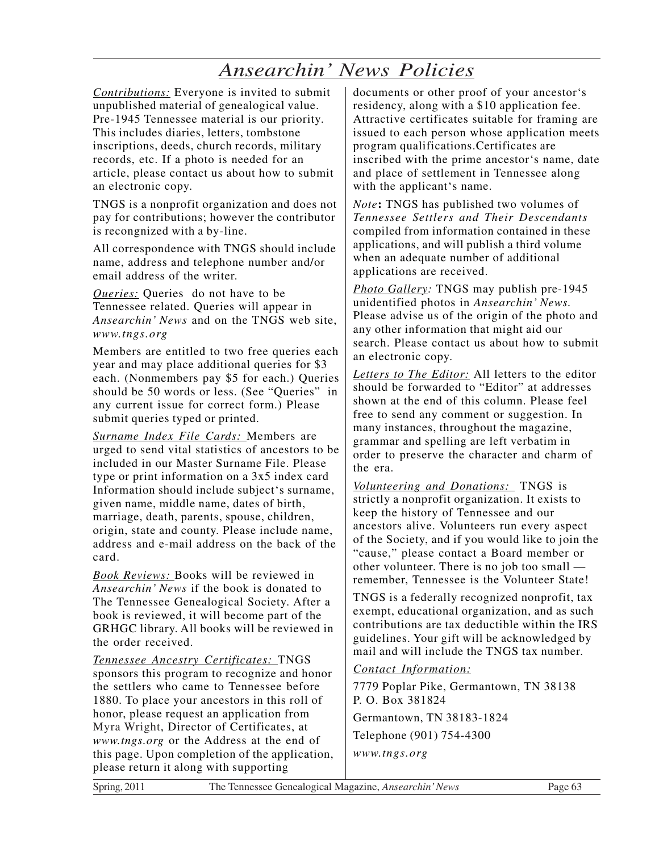# *Ansearchin' News Policies*

*Contributions:* Everyone is invited to submit unpublished material of genealogical value. Pre-1945 Tennessee material is our priority. This includes diaries, letters, tombstone inscriptions, deeds, church records, military records, etc. If a photo is needed for an article, please contact us about how to submit an electronic copy.

TNGS is a nonprofit organization and does not pay for contributions; however the contributor is recongnized with a by-line.

All correspondence with TNGS should include name, address and telephone number and/or email address of the writer.

*Queries:* Queries do not have to be Tennessee related. Queries will appear in *Ansearchin' News* and on the TNGS web site, *www.tngs.org*

Members are entitled to two free queries each year and may place additional queries for \$3 each. (Nonmembers pay \$5 for each.) Queries should be 50 words or less. (See "Queries" in any current issue for correct form.) Please submit queries typed or printed.

*Surname Index File Cards:* Members are urged to send vital statistics of ancestors to be included in our Master Surname File. Please type or print information on a 3x5 index card Information should include subject's surname, given name, middle name, dates of birth, marriage, death, parents, spouse, children, origin, state and county. Please include name, address and e-mail address on the back of the card.

*Book Reviews:* Books will be reviewed in *Ansearchin' News* if the book is donated to The Tennessee Genealogical Society. After a book is reviewed, it will become part of the GRHGC library. All books will be reviewed in the order received.

*Tennessee Ancestry Certificates:* TNGS sponsors this program to recognize and honor the settlers who came to Tennessee before 1880. To place your ancestors in this roll of honor, please request an application from Myra Wright, Director of Certificates, at *www.tngs.org* or the Address at the end of this page. Upon completion of the application, please return it along with supporting

documents or other proof of your ancestor's residency, along with a \$10 application fee. Attractive certificates suitable for framing are issued to each person whose application meets program qualifications.Certificates are inscribed with the prime ancestor's name, date and place of settlement in Tennessee along with the applicant's name.

*Note***:** TNGS has published two volumes of *Tennessee Settlers and Their Descendants* compiled from information contained in these applications, and will publish a third volume when an adequate number of additional applications are received.

*Photo Gallery:* TNGS may publish pre-1945 unidentified photos in *Ansearchin' News.* Please advise us of the origin of the photo and any other information that might aid our search. Please contact us about how to submit an electronic copy.

*Letters to The Editor:* All letters to the editor should be forwarded to "Editor" at addresses shown at the end of this column. Please feel free to send any comment or suggestion. In many instances, throughout the magazine, grammar and spelling are left verbatim in order to preserve the character and charm of the era.

*Volunteering and Donations:* TNGS is strictly a nonprofit organization. It exists to keep the history of Tennessee and our ancestors alive. Volunteers run every aspect of the Society, and if you would like to join the "cause," please contact a Board member or other volunteer. There is no job too small remember, Tennessee is the Volunteer State!

TNGS is a federally recognized nonprofit, tax exempt, educational organization, and as such contributions are tax deductible within the IRS guidelines. Your gift will be acknowledged by mail and will include the TNGS tax number.

*Contact Information:*

7779 Poplar Pike, Germantown, TN 38138 P. O. Box 381824 Germantown, TN 38183-1824 Telephone (901) 754-4300 *www.tngs.org*